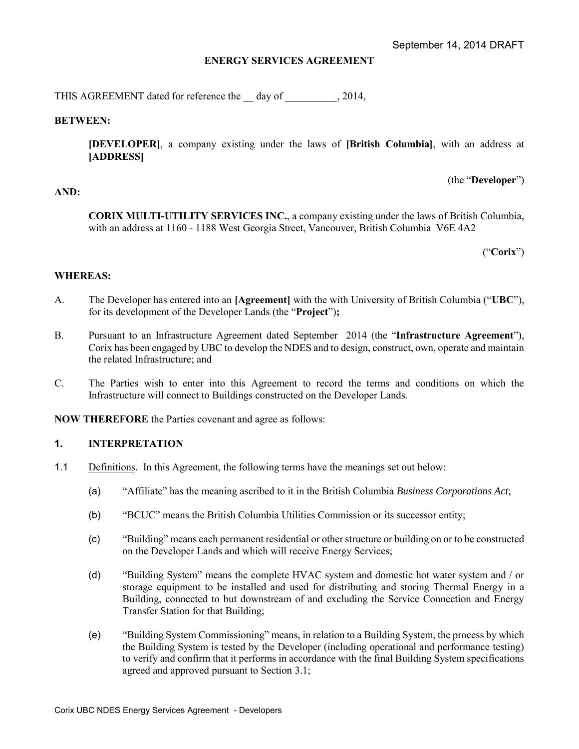# **ENERGY SERVICES AGREEMENT**

THIS AGREEMENT dated for reference the day of , 2014,

#### **BETWEEN:**

**[DEVELOPER]**, a company existing under the laws of **[British Columbia]**, with an address at **[ADDRESS]** 

(the "**Developer**")

#### **AND:**

**CORIX MULTI-UTILITY SERVICES INC.**, a company existing under the laws of British Columbia, with an address at 1160 - 1188 West Georgia Street, Vancouver, British Columbia V6E 4A2

("**Corix**")

#### **WHEREAS:**

- <span id="page-0-0"></span>A. The Developer has entered into an **[Agreement]** with the with University of British Columbia ("**UBC**"), for its development of the Developer Lands (the "**Project**")**;**
- B. Pursuant to an Infrastructure Agreement dated September 2014 (the "**Infrastructure Agreement**"), Corix has been engaged by UBC to develop the NDES and to design, construct, own, operate and maintain the related Infrastructure; and
- C. The Parties wish to enter into this Agreement to record the terms and conditions on which the Infrastructure will connect to Buildings constructed on the Developer Lands.

**NOW THEREFORE** the Parties covenant and agree as follows:

#### **1. INTERPRETATION**

- 1.1 Definitions. In this Agreement, the following terms have the meanings set out below:
	- (a) "Affiliate" has the meaning ascribed to it in the British Columbia *Business Corporations Act*;
	- (b) "BCUC" means the British Columbia Utilities Commission or its successor entity;
	- (c) "Building" means each permanent residential or other structure or building on or to be constructed on the Developer Lands and which will receive Energy Services;
	- (d) "Building System" means the complete HVAC system and domestic hot water system and / or storage equipment to be installed and used for distributing and storing Thermal Energy in a Building, connected to but downstream of and excluding the Service Connection and Energy Transfer Station for that Building;
	- (e) "Building System Commissioning" means, in relation to a Building System, the process by which the Building System is tested by the Developer (including operational and performance testing) to verify and confirm that it performs in accordance with the final Building System specifications agreed and approved pursuant to Section [3.1;](#page-6-0)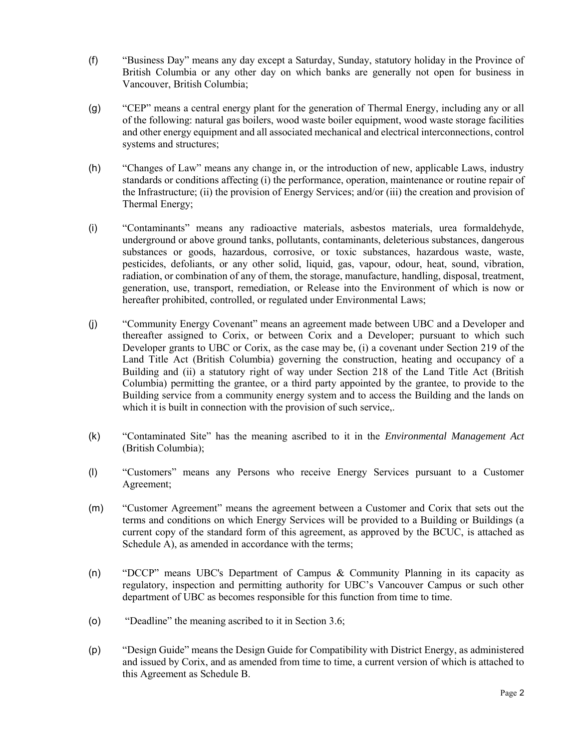- (f) "Business Day" means any day except a Saturday, Sunday, statutory holiday in the Province of British Columbia or any other day on which banks are generally not open for business in Vancouver, British Columbia;
- (g) "CEP" means a central energy plant for the generation of Thermal Energy, including any or all of the following: natural gas boilers, wood waste boiler equipment, wood waste storage facilities and other energy equipment and all associated mechanical and electrical interconnections, control systems and structures;
- (h) "Changes of Law" means any change in, or the introduction of new, applicable Laws, industry standards or conditions affecting (i) the performance, operation, maintenance or routine repair of the Infrastructure; (ii) the provision of Energy Services; and/or (iii) the creation and provision of Thermal Energy;
- (i) "Contaminants" means any radioactive materials, asbestos materials, urea formaldehyde, underground or above ground tanks, pollutants, contaminants, deleterious substances, dangerous substances or goods, hazardous, corrosive, or toxic substances, hazardous waste, waste, pesticides, defoliants, or any other solid, liquid, gas, vapour, odour, heat, sound, vibration, radiation, or combination of any of them, the storage, manufacture, handling, disposal, treatment, generation, use, transport, remediation, or Release into the Environment of which is now or hereafter prohibited, controlled, or regulated under Environmental Laws;
- (j) "Community Energy Covenant" means an agreement made between UBC and a Developer and thereafter assigned to Corix, or between Corix and a Developer; pursuant to which such Developer grants to UBC or Corix, as the case may be, (i) a covenant under Section 219 of the Land Title Act (British Columbia) governing the construction, heating and occupancy of a Building and (ii) a statutory right of way under Section 218 of the Land Title Act (British Columbia) permitting the grantee, or a third party appointed by the grantee, to provide to the Building service from a community energy system and to access the Building and the lands on which it is built in connection with the provision of such service,.
- (k) "Contaminated Site" has the meaning ascribed to it in the *Environmental Management Act*  (British Columbia);
- (l) "Customers" means any Persons who receive Energy Services pursuant to a Customer Agreement;
- (m) "Customer Agreement" means the agreement between a Customer and Corix that sets out the terms and conditions on which Energy Services will be provided to a Building or Buildings (a current copy of the standard form of this agreement, as approved by the BCUC, is attached as Schedule A), as amended in accordance with the terms;
- (n) "DCCP" means UBC's Department of Campus & Community Planning in its capacity as regulatory, inspection and permitting authority for UBC's Vancouver Campus or such other department of UBC as becomes responsible for this function from time to time.
- (o) "Deadline" the meaning ascribed to it in Section [3.6;](#page-7-0)
- (p) "Design Guide" means the Design Guide for Compatibility with District Energy, as administered and issued by Corix, and as amended from time to time, a current version of which is attached to this Agreement as Schedule B.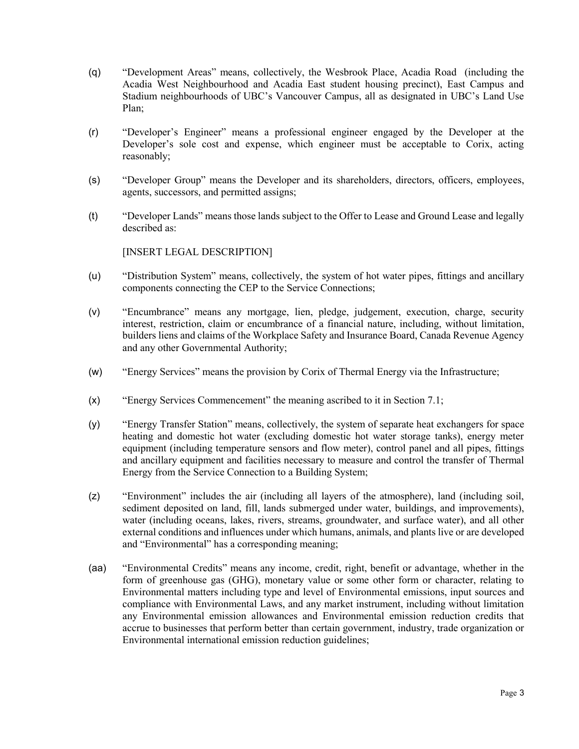- (q) "Development Areas" means, collectively, the Wesbrook Place, Acadia Road (including the Acadia West Neighbourhood and Acadia East student housing precinct), East Campus and Stadium neighbourhoods of UBC's Vancouver Campus, all as designated in UBC's Land Use Plan;
- (r) "Developer's Engineer" means a professional engineer engaged by the Developer at the Developer's sole cost and expense, which engineer must be acceptable to Corix, acting reasonably;
- (s) "Developer Group" means the Developer and its shareholders, directors, officers, employees, agents, successors, and permitted assigns;
- (t) "Developer Lands" means those lands subject to the Offer to Lease and Ground Lease and legally described as:

[INSERT LEGAL DESCRIPTION]

- (u) "Distribution System" means, collectively, the system of hot water pipes, fittings and ancillary components connecting the CEP to the Service Connections;
- (v) "Encumbrance" means any mortgage, lien, pledge, judgement, execution, charge, security interest, restriction, claim or encumbrance of a financial nature, including, without limitation, builders liens and claims of the Workplace Safety and Insurance Board, Canada Revenue Agency and any other Governmental Authority;
- (w) "Energy Services" means the provision by Corix of Thermal Energy via the Infrastructure;
- (x) "Energy Services Commencement" the meaning ascribed to it in Section [7.1;](#page-9-0)
- (y) "Energy Transfer Station" means, collectively, the system of separate heat exchangers for space heating and domestic hot water (excluding domestic hot water storage tanks), energy meter equipment (including temperature sensors and flow meter), control panel and all pipes, fittings and ancillary equipment and facilities necessary to measure and control the transfer of Thermal Energy from the Service Connection to a Building System;
- (z) "Environment" includes the air (including all layers of the atmosphere), land (including soil, sediment deposited on land, fill, lands submerged under water, buildings, and improvements), water (including oceans, lakes, rivers, streams, groundwater, and surface water), and all other external conditions and influences under which humans, animals, and plants live or are developed and "Environmental" has a corresponding meaning;
- (aa) "Environmental Credits" means any income, credit, right, benefit or advantage, whether in the form of greenhouse gas (GHG), monetary value or some other form or character, relating to Environmental matters including type and level of Environmental emissions, input sources and compliance with Environmental Laws, and any market instrument, including without limitation any Environmental emission allowances and Environmental emission reduction credits that accrue to businesses that perform better than certain government, industry, trade organization or Environmental international emission reduction guidelines;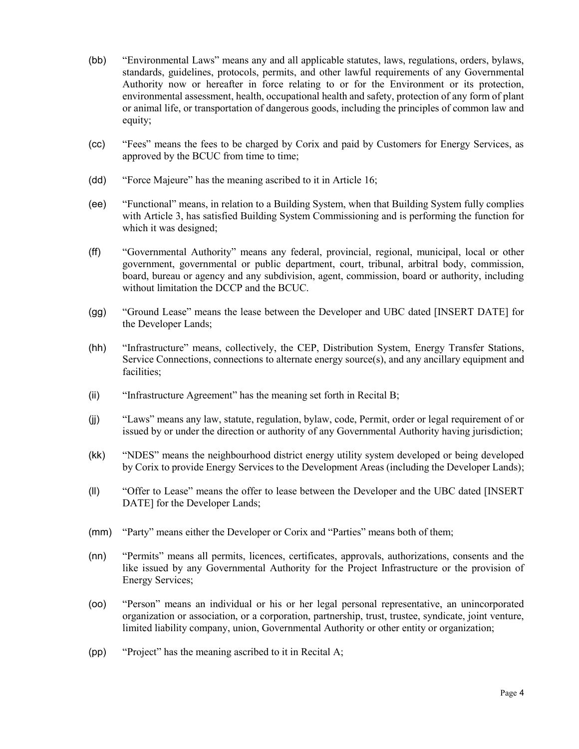- (bb) "Environmental Laws" means any and all applicable statutes, laws, regulations, orders, bylaws, standards, guidelines, protocols, permits, and other lawful requirements of any Governmental Authority now or hereafter in force relating to or for the Environment or its protection, environmental assessment, health, occupational health and safety, protection of any form of plant or animal life, or transportation of dangerous goods, including the principles of common law and equity;
- (cc) "Fees" means the fees to be charged by Corix and paid by Customers for Energy Services, as approved by the BCUC from time to time;
- (dd) "Force Majeure" has the meaning ascribed to it in Article [16;](#page-18-0)
- (ee) "Functional" means, in relation to a Building System, when that Building System fully complies with Article [3,](#page-6-1) has satisfied Building System Commissioning and is performing the function for which it was designed;
- (ff) "Governmental Authority" means any federal, provincial, regional, municipal, local or other government, governmental or public department, court, tribunal, arbitral body, commission, board, bureau or agency and any subdivision, agent, commission, board or authority, including without limitation the DCCP and the BCUC.
- (gg) "Ground Lease" means the lease between the Developer and UBC dated [INSERT DATE] for the Developer Lands;
- (hh) "Infrastructure" means, collectively, the CEP, Distribution System, Energy Transfer Stations, Service Connections, connections to alternate energy source(s), and any ancillary equipment and facilities;
- (ii) "Infrastructure Agreement" has the meaning set forth in Recital B;
- (jj) "Laws" means any law, statute, regulation, bylaw, code, Permit, order or legal requirement of or issued by or under the direction or authority of any Governmental Authority having jurisdiction;
- (kk) "NDES" means the neighbourhood district energy utility system developed or being developed by Corix to provide Energy Services to the Development Areas (including the Developer Lands);
- (ll) "Offer to Lease" means the offer to lease between the Developer and the UBC dated [INSERT DATE] for the Developer Lands;
- (mm) "Party" means either the Developer or Corix and "Parties" means both of them;
- (nn) "Permits" means all permits, licences, certificates, approvals, authorizations, consents and the like issued by any Governmental Authority for the Project Infrastructure or the provision of Energy Services;
- (oo) "Person" means an individual or his or her legal personal representative, an unincorporated organization or association, or a corporation, partnership, trust, trustee, syndicate, joint venture, limited liability company, union, Governmental Authority or other entity or organization;
- (pp) "Project" has the meaning ascribed to it in Recital [A;](#page-0-0)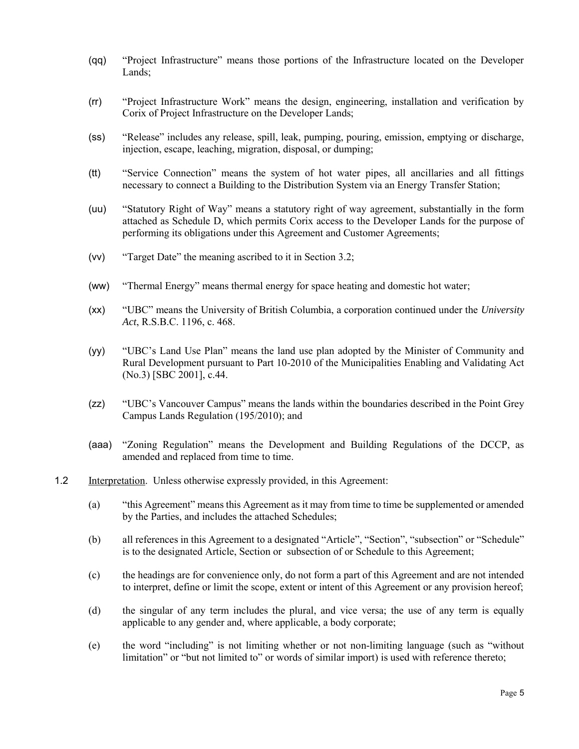- (qq) "Project Infrastructure" means those portions of the Infrastructure located on the Developer Lands;
- (rr) "Project Infrastructure Work" means the design, engineering, installation and verification by Corix of Project Infrastructure on the Developer Lands;
- (ss) "Release" includes any release, spill, leak, pumping, pouring, emission, emptying or discharge, injection, escape, leaching, migration, disposal, or dumping;
- (tt) "Service Connection" means the system of hot water pipes, all ancillaries and all fittings necessary to connect a Building to the Distribution System via an Energy Transfer Station;
- (uu) "Statutory Right of Way" means a statutory right of way agreement, substantially in the form attached as Schedule D, which permits Corix access to the Developer Lands for the purpose of performing its obligations under this Agreement and Customer Agreements;
- (vv) "Target Date" the meaning ascribed to it in Section [3.2;](#page-7-1)
- (ww) "Thermal Energy" means thermal energy for space heating and domestic hot water;
- (xx) "UBC" means the University of British Columbia, a corporation continued under the *University Act*, R.S.B.C. 1196, c. 468.
- (yy) "UBC's Land Use Plan" means the land use plan adopted by the Minister of Community and Rural Development pursuant to Part 10-2010 of the Municipalities Enabling and Validating Act (No.3) [SBC 2001], c.44.
- (zz) "UBC's Vancouver Campus" means the lands within the boundaries described in the Point Grey Campus Lands Regulation (195/2010); and
- (aaa) "Zoning Regulation" means the Development and Building Regulations of the DCCP, as amended and replaced from time to time.
- 1.2 Interpretation. Unless otherwise expressly provided, in this Agreement:
	- (a) "this Agreement" means this Agreement as it may from time to time be supplemented or amended by the Parties, and includes the attached Schedules;
	- (b) all references in this Agreement to a designated "Article", "Section", "subsection" or "Schedule" is to the designated Article, Section or subsection of or Schedule to this Agreement;
	- (c) the headings are for convenience only, do not form a part of this Agreement and are not intended to interpret, define or limit the scope, extent or intent of this Agreement or any provision hereof;
	- (d) the singular of any term includes the plural, and vice versa; the use of any term is equally applicable to any gender and, where applicable, a body corporate;
	- (e) the word "including" is not limiting whether or not non-limiting language (such as "without limitation" or "but not limited to" or words of similar import) is used with reference thereto;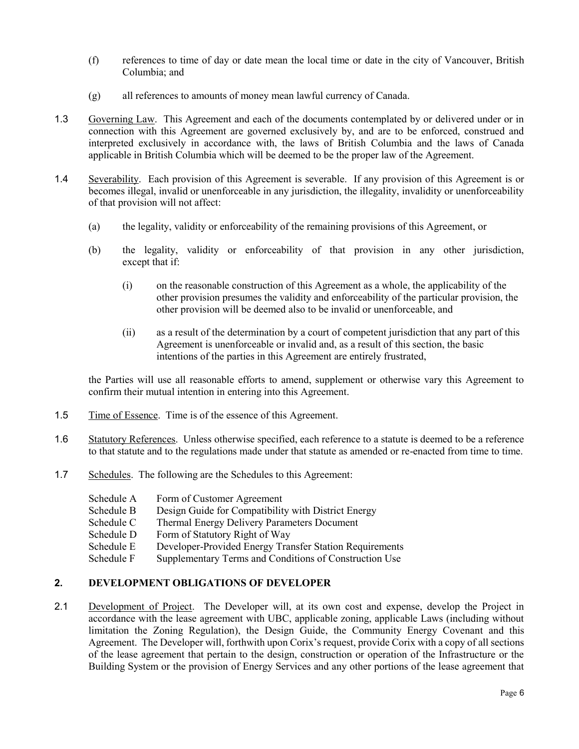- (f) references to time of day or date mean the local time or date in the city of Vancouver, British Columbia; and
- (g) all references to amounts of money mean lawful currency of Canada.
- 1.3 Governing Law. This Agreement and each of the documents contemplated by or delivered under or in connection with this Agreement are governed exclusively by, and are to be enforced, construed and interpreted exclusively in accordance with, the laws of British Columbia and the laws of Canada applicable in British Columbia which will be deemed to be the proper law of the Agreement.
- 1.4 Severability. Each provision of this Agreement is severable. If any provision of this Agreement is or becomes illegal, invalid or unenforceable in any jurisdiction, the illegality, invalidity or unenforceability of that provision will not affect:
	- (a) the legality, validity or enforceability of the remaining provisions of this Agreement, or
	- (b) the legality, validity or enforceability of that provision in any other jurisdiction, except that if:
		- (i) on the reasonable construction of this Agreement as a whole, the applicability of the other provision presumes the validity and enforceability of the particular provision, the other provision will be deemed also to be invalid or unenforceable, and
		- (ii) as a result of the determination by a court of competent jurisdiction that any part of this Agreement is unenforceable or invalid and, as a result of this section, the basic intentions of the parties in this Agreement are entirely frustrated,

the Parties will use all reasonable efforts to amend, supplement or otherwise vary this Agreement to confirm their mutual intention in entering into this Agreement.

- 1.5 Time of Essence. Time is of the essence of this Agreement.
- 1.6 Statutory References. Unless otherwise specified, each reference to a statute is deemed to be a reference to that statute and to the regulations made under that statute as amended or re-enacted from time to time.
- 1.7 Schedules.The following are the Schedules to this Agreement:

| Schedule A | Form of Customer Agreement |
|------------|----------------------------|
|------------|----------------------------|

- Schedule B Design Guide for Compatibility with District Energy
- Schedule C Thermal Energy Delivery Parameters Document
- Schedule D Form of Statutory Right of Way<br>Schedule E Developer-Provided Energy Trai
- Developer-Provided Energy Transfer Station Requirements
- Schedule F Supplementary Terms and Conditions of Construction Use

# **2. DEVELOPMENT OBLIGATIONS OF DEVELOPER**

2.1 Development of Project. The Developer will, at its own cost and expense, develop the Project in accordance with the lease agreement with UBC, applicable zoning, applicable Laws (including without limitation the Zoning Regulation), the Design Guide, the Community Energy Covenant and this Agreement. The Developer will, forthwith upon Corix's request, provide Corix with a copy of all sections of the lease agreement that pertain to the design, construction or operation of the Infrastructure or the Building System or the provision of Energy Services and any other portions of the lease agreement that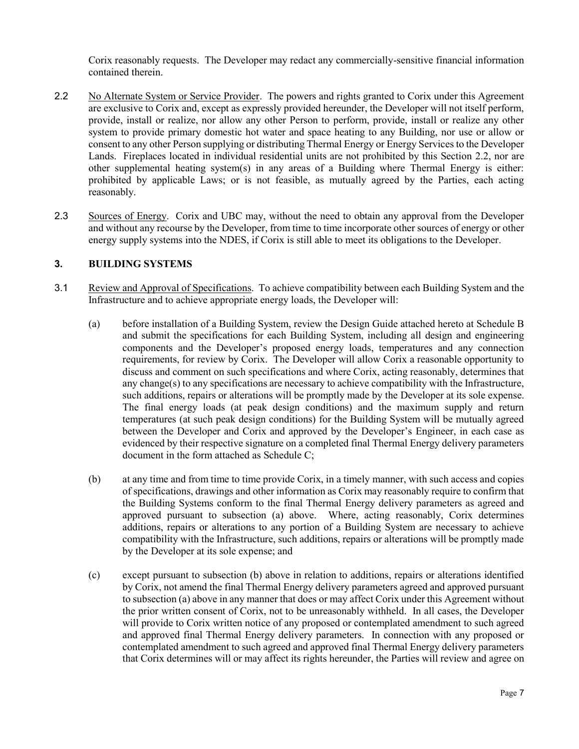Corix reasonably requests. The Developer may redact any commercially-sensitive financial information contained therein.

- <span id="page-6-2"></span>2.2 No Alternate System or Service Provider. The powers and rights granted to Corix under this Agreement are exclusive to Corix and, except as expressly provided hereunder, the Developer will not itself perform, provide, install or realize, nor allow any other Person to perform, provide, install or realize any other system to provide primary domestic hot water and space heating to any Building, nor use or allow or consent to any other Person supplying or distributing Thermal Energy or Energy Services to the Developer Lands. Fireplaces located in individual residential units are not prohibited by this Section [2.2,](#page-6-2) nor are other supplemental heating system(s) in any areas of a Building where Thermal Energy is either: prohibited by applicable Laws; or is not feasible, as mutually agreed by the Parties, each acting reasonably.
- 2.3 Sources of Energy. Corix and UBC may, without the need to obtain any approval from the Developer and without any recourse by the Developer, from time to time incorporate other sources of energy or other energy supply systems into the NDES, if Corix is still able to meet its obligations to the Developer.

# <span id="page-6-1"></span>**3. BUILDING SYSTEMS**

- <span id="page-6-0"></span>3.1 Review and Approval of Specifications. To achieve compatibility between each Building System and the Infrastructure and to achieve appropriate energy loads, the Developer will:
	- (a) before installation of a Building System, review the Design Guide attached hereto at Schedule B and submit the specifications for each Building System, including all design and engineering components and the Developer's proposed energy loads, temperatures and any connection requirements, for review by Corix. The Developer will allow Corix a reasonable opportunity to discuss and comment on such specifications and where Corix, acting reasonably, determines that any change(s) to any specifications are necessary to achieve compatibility with the Infrastructure, such additions, repairs or alterations will be promptly made by the Developer at its sole expense. The final energy loads (at peak design conditions) and the maximum supply and return temperatures (at such peak design conditions) for the Building System will be mutually agreed between the Developer and Corix and approved by the Developer's Engineer, in each case as evidenced by their respective signature on a completed final Thermal Energy delivery parameters document in the form attached as Schedule C;
	- (b) at any time and from time to time provide Corix, in a timely manner, with such access and copies of specifications, drawings and other information as Corix may reasonably require to confirm that the Building Systems conform to the final Thermal Energy delivery parameters as agreed and approved pursuant to subsection (a) above. Where, acting reasonably, Corix determines additions, repairs or alterations to any portion of a Building System are necessary to achieve compatibility with the Infrastructure, such additions, repairs or alterations will be promptly made by the Developer at its sole expense; and
	- (c) except pursuant to subsection (b) above in relation to additions, repairs or alterations identified by Corix, not amend the final Thermal Energy delivery parameters agreed and approved pursuant to subsection (a) above in any manner that does or may affect Corix under this Agreement without the prior written consent of Corix, not to be unreasonably withheld. In all cases, the Developer will provide to Corix written notice of any proposed or contemplated amendment to such agreed and approved final Thermal Energy delivery parameters. In connection with any proposed or contemplated amendment to such agreed and approved final Thermal Energy delivery parameters that Corix determines will or may affect its rights hereunder, the Parties will review and agree on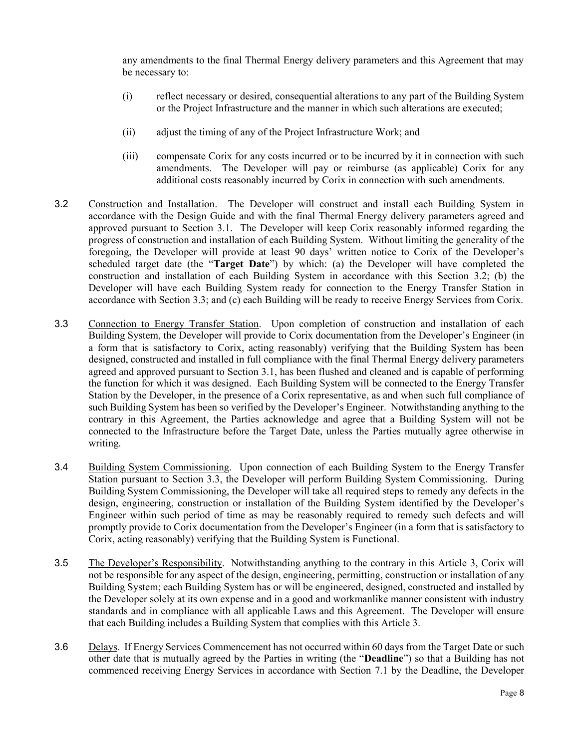any amendments to the final Thermal Energy delivery parameters and this Agreement that may be necessary to:

- (i) reflect necessary or desired, consequential alterations to any part of the Building System or the Project Infrastructure and the manner in which such alterations are executed;
- (ii) adjust the timing of any of the Project Infrastructure Work; and
- (iii) compensate Corix for any costs incurred or to be incurred by it in connection with such amendments. The Developer will pay or reimburse (as applicable) Corix for any additional costs reasonably incurred by Corix in connection with such amendments.
- <span id="page-7-1"></span>3.2 Construction and Installation. The Developer will construct and install each Building System in accordance with the Design Guide and with the final Thermal Energy delivery parameters agreed and approved pursuant to Section [3.1.](#page-6-0) The Developer will keep Corix reasonably informed regarding the progress of construction and installation of each Building System. Without limiting the generality of the foregoing, the Developer will provide at least 90 days' written notice to Corix of the Developer's scheduled target date (the "**Target Date**") by which: (a) the Developer will have completed the construction and installation of each Building System in accordance with this Section [3.2;](#page-7-1) (b) the Developer will have each Building System ready for connection to the Energy Transfer Station in accordance with Section [3.3;](#page-7-2) and (c) each Building will be ready to receive Energy Services from Corix.
- <span id="page-7-2"></span>3.3 Connection to Energy Transfer Station. Upon completion of construction and installation of each Building System, the Developer will provide to Corix documentation from the Developer's Engineer (in a form that is satisfactory to Corix, acting reasonably) verifying that the Building System has been designed, constructed and installed in full compliance with the final Thermal Energy delivery parameters agreed and approved pursuant to Section [3.1,](#page-6-0) has been flushed and cleaned and is capable of performing the function for which it was designed. Each Building System will be connected to the Energy Transfer Station by the Developer, in the presence of a Corix representative, as and when such full compliance of such Building System has been so verified by the Developer's Engineer. Notwithstanding anything to the contrary in this Agreement, the Parties acknowledge and agree that a Building System will not be connected to the Infrastructure before the Target Date, unless the Parties mutually agree otherwise in writing.
- <span id="page-7-3"></span>3.4 Building System Commissioning. Upon connection of each Building System to the Energy Transfer Station pursuant to Section [3.3,](#page-7-2) the Developer will perform Building System Commissioning. During Building System Commissioning, the Developer will take all required steps to remedy any defects in the design, engineering, construction or installation of the Building System identified by the Developer's Engineer within such period of time as may be reasonably required to remedy such defects and will promptly provide to Corix documentation from the Developer's Engineer (in a form that is satisfactory to Corix, acting reasonably) verifying that the Building System is Functional.
- 3.5 The Developer's Responsibility. Notwithstanding anything to the contrary in this Article [3,](#page-6-1) Corix will not be responsible for any aspect of the design, engineering, permitting, construction or installation of any Building System; each Building System has or will be engineered, designed, constructed and installed by the Developer solely at its own expense and in a good and workmanlike manner consistent with industry standards and in compliance with all applicable Laws and this Agreement. The Developer will ensure that each Building includes a Building System that complies with this Article 3.
- <span id="page-7-0"></span>3.6 Delays. If Energy Services Commencement has not occurred within 60 days from the Target Date or such other date that is mutually agreed by the Parties in writing (the "**Deadline**") so that a Building has not commenced receiving Energy Services in accordance with Section [7.1](#page-9-0) by the Deadline, the Developer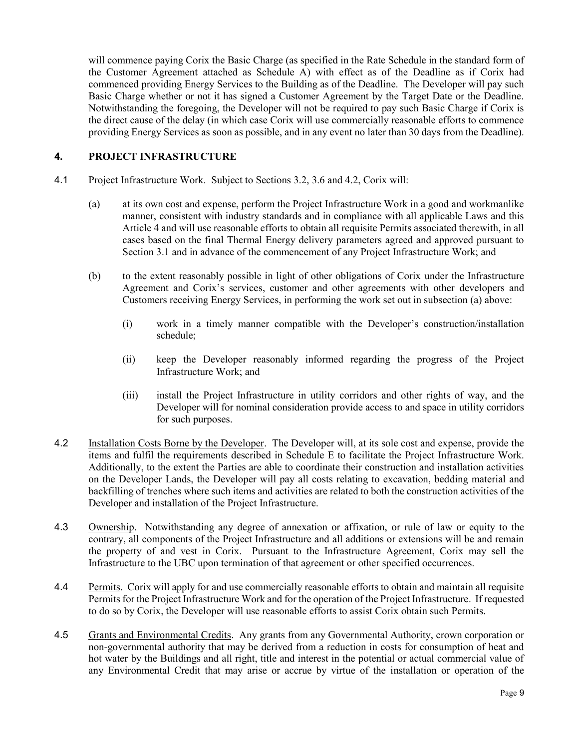will commence paying Corix the Basic Charge (as specified in the Rate Schedule in the standard form of the Customer Agreement attached as Schedule A) with effect as of the Deadline as if Corix had commenced providing Energy Services to the Building as of the Deadline. The Developer will pay such Basic Charge whether or not it has signed a Customer Agreement by the Target Date or the Deadline. Notwithstanding the foregoing, the Developer will not be required to pay such Basic Charge if Corix is the direct cause of the delay (in which case Corix will use commercially reasonable efforts to commence providing Energy Services as soon as possible, and in any event no later than 30 days from the Deadline).

# <span id="page-8-1"></span>**4. PROJECT INFRASTRUCTURE**

#### 4.1 Project Infrastructure Work. Subject to Sections [3.2,](#page-7-1) [3.6](#page-7-0) and [4.2,](#page-8-0) Corix will:

- (a) at its own cost and expense, perform the Project Infrastructure Work in a good and workmanlike manner, consistent with industry standards and in compliance with all applicable Laws and this Articl[e 4](#page-8-1) and will use reasonable efforts to obtain all requisite Permits associated therewith, in all cases based on the final Thermal Energy delivery parameters agreed and approved pursuant to Section [3.1](#page-6-0) and in advance of the commencement of any Project Infrastructure Work; and
- (b) to the extent reasonably possible in light of other obligations of Corix under the Infrastructure Agreement and Corix's services, customer and other agreements with other developers and Customers receiving Energy Services, in performing the work set out in subsection (a) above:
	- (i) work in a timely manner compatible with the Developer's construction/installation schedule;
	- (ii) keep the Developer reasonably informed regarding the progress of the Project Infrastructure Work; and
	- (iii) install the Project Infrastructure in utility corridors and other rights of way, and the Developer will for nominal consideration provide access to and space in utility corridors for such purposes.
- <span id="page-8-0"></span>4.2 Installation Costs Borne by the Developer. The Developer will, at its sole cost and expense, provide the items and fulfil the requirements described in Schedule E to facilitate the Project Infrastructure Work. Additionally, to the extent the Parties are able to coordinate their construction and installation activities on the Developer Lands, the Developer will pay all costs relating to excavation, bedding material and backfilling of trenches where such items and activities are related to both the construction activities of the Developer and installation of the Project Infrastructure.
- <span id="page-8-2"></span>4.3 Ownership. Notwithstanding any degree of annexation or affixation, or rule of law or equity to the contrary, all components of the Project Infrastructure and all additions or extensions will be and remain the property of and vest in Corix. Pursuant to the Infrastructure Agreement, Corix may sell the Infrastructure to the UBC upon termination of that agreement or other specified occurrences.
- 4.4 Permits. Corix will apply for and use commercially reasonable efforts to obtain and maintain all requisite Permits for the Project Infrastructure Work and for the operation of the Project Infrastructure. If requested to do so by Corix, the Developer will use reasonable efforts to assist Corix obtain such Permits.
- 4.5 Grants and Environmental Credits. Any grants from any Governmental Authority, crown corporation or non-governmental authority that may be derived from a reduction in costs for consumption of heat and hot water by the Buildings and all right, title and interest in the potential or actual commercial value of any Environmental Credit that may arise or accrue by virtue of the installation or operation of the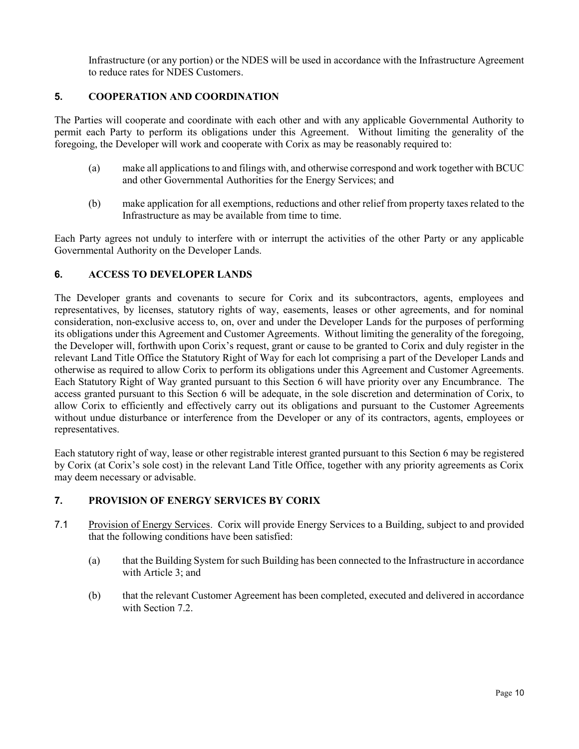Infrastructure (or any portion) or the NDES will be used in accordance with the Infrastructure Agreement to reduce rates for NDES Customers.

# **5. COOPERATION AND COORDINATION**

The Parties will cooperate and coordinate with each other and with any applicable Governmental Authority to permit each Party to perform its obligations under this Agreement. Without limiting the generality of the foregoing, the Developer will work and cooperate with Corix as may be reasonably required to:

- (a) make all applications to and filings with, and otherwise correspond and work together with BCUC and other Governmental Authorities for the Energy Services; and
- (b) make application for all exemptions, reductions and other relief from property taxes related to the Infrastructure as may be available from time to time.

Each Party agrees not unduly to interfere with or interrupt the activities of the other Party or any applicable Governmental Authority on the Developer Lands.

# <span id="page-9-1"></span>**6. ACCESS TO DEVELOPER LANDS**

The Developer grants and covenants to secure for Corix and its subcontractors, agents, employees and representatives, by licenses, statutory rights of way, easements, leases or other agreements, and for nominal consideration, non-exclusive access to, on, over and under the Developer Lands for the purposes of performing its obligations under this Agreement and Customer Agreements. Without limiting the generality of the foregoing, the Developer will, forthwith upon Corix's request, grant or cause to be granted to Corix and duly register in the relevant Land Title Office the Statutory Right of Way for each lot comprising a part of the Developer Lands and otherwise as required to allow Corix to perform its obligations under this Agreement and Customer Agreements. Each Statutory Right of Way granted pursuant to this Section [6](#page-9-1) will have priority over any Encumbrance. The access granted pursuant to this Section [6](#page-9-1) will be adequate, in the sole discretion and determination of Corix, to allow Corix to efficiently and effectively carry out its obligations and pursuant to the Customer Agreements without undue disturbance or interference from the Developer or any of its contractors, agents, employees or representatives.

Each statutory right of way, lease or other registrable interest granted pursuant to this Sectio[n 6](#page-9-1) may be registered by Corix (at Corix's sole cost) in the relevant Land Title Office, together with any priority agreements as Corix may deem necessary or advisable.

# **7. PROVISION OF ENERGY SERVICES BY CORIX**

- <span id="page-9-0"></span>7.1 Provision of Energy Services. Corix will provide Energy Services to a Building, subject to and provided that the following conditions have been satisfied:
	- (a) that the Building System for such Building has been connected to the Infrastructure in accordance with Article 3; and
	- (b) that the relevant Customer Agreement has been completed, executed and delivered in accordance with Sectio[n 7.2.](#page-10-0)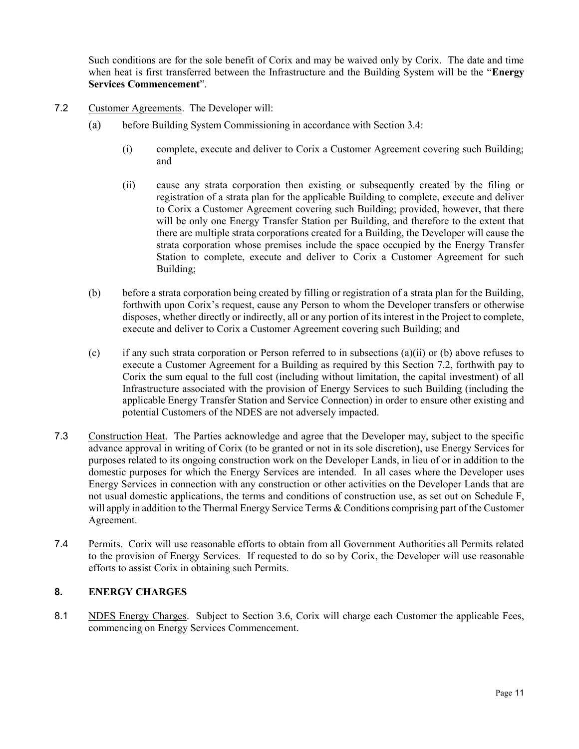Such conditions are for the sole benefit of Corix and may be waived only by Corix. The date and time when heat is first transferred between the Infrastructure and the Building System will be the "**Energy Services Commencement**".

- <span id="page-10-0"></span>7.2 Customer Agreements. The Developer will:
	- (a) before Building System Commissioning in accordance with Section [3.4:](#page-7-3)
		- (i) complete, execute and deliver to Corix a Customer Agreement covering such Building; and
		- (ii) cause any strata corporation then existing or subsequently created by the filing or registration of a strata plan for the applicable Building to complete, execute and deliver to Corix a Customer Agreement covering such Building; provided, however, that there will be only one Energy Transfer Station per Building, and therefore to the extent that there are multiple strata corporations created for a Building, the Developer will cause the strata corporation whose premises include the space occupied by the Energy Transfer Station to complete, execute and deliver to Corix a Customer Agreement for such Building;
	- (b) before a strata corporation being created by filling or registration of a strata plan for the Building, forthwith upon Corix's request, cause any Person to whom the Developer transfers or otherwise disposes, whether directly or indirectly, all or any portion of its interest in the Project to complete, execute and deliver to Corix a Customer Agreement covering such Building; and
	- (c) if any such strata corporation or Person referred to in subsections (a)(ii) or (b) above refuses to execute a Customer Agreement for a Building as required by this Section [7.2,](#page-10-0) forthwith pay to Corix the sum equal to the full cost (including without limitation, the capital investment) of all Infrastructure associated with the provision of Energy Services to such Building (including the applicable Energy Transfer Station and Service Connection) in order to ensure other existing and potential Customers of the NDES are not adversely impacted.
- 7.3 Construction Heat. The Parties acknowledge and agree that the Developer may, subject to the specific advance approval in writing of Corix (to be granted or not in its sole discretion), use Energy Services for purposes related to its ongoing construction work on the Developer Lands, in lieu of or in addition to the domestic purposes for which the Energy Services are intended. In all cases where the Developer uses Energy Services in connection with any construction or other activities on the Developer Lands that are not usual domestic applications, the terms and conditions of construction use, as set out on Schedule F, will apply in addition to the Thermal Energy Service Terms & Conditions comprising part of the Customer Agreement.
- 7.4 Permits. Corix will use reasonable efforts to obtain from all Government Authorities all Permits related to the provision of Energy Services. If requested to do so by Corix, the Developer will use reasonable efforts to assist Corix in obtaining such Permits.

# **8. ENERGY CHARGES**

8.1 NDES Energy Charges. Subject to Section [3.6,](#page-7-0) Corix will charge each Customer the applicable Fees, commencing on Energy Services Commencement.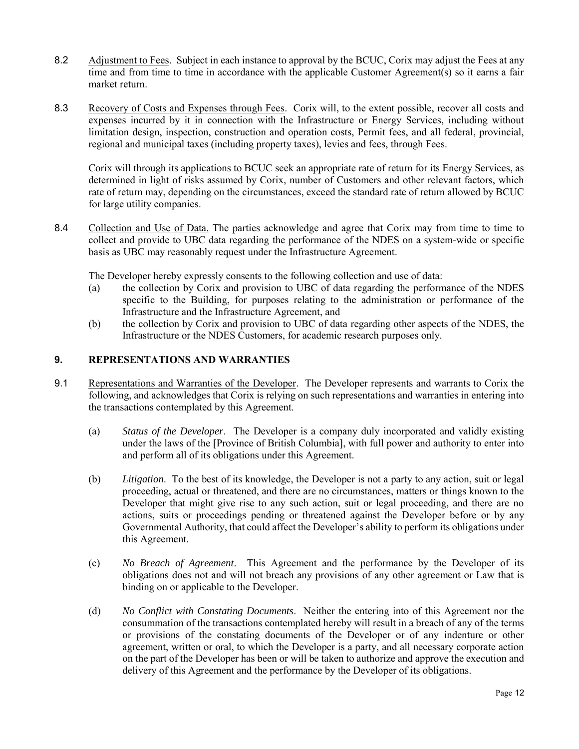- 8.2 Adjustment to Fees. Subject in each instance to approval by the BCUC, Corix may adjust the Fees at any time and from time to time in accordance with the applicable Customer Agreement(s) so it earns a fair market return.
- 8.3 Recovery of Costs and Expenses through Fees. Corix will, to the extent possible, recover all costs and expenses incurred by it in connection with the Infrastructure or Energy Services, including without limitation design, inspection, construction and operation costs, Permit fees, and all federal, provincial, regional and municipal taxes (including property taxes), levies and fees, through Fees.

Corix will through its applications to BCUC seek an appropriate rate of return for its Energy Services, as determined in light of risks assumed by Corix, number of Customers and other relevant factors, which rate of return may, depending on the circumstances, exceed the standard rate of return allowed by BCUC for large utility companies.

8.4 Collection and Use of Data. The parties acknowledge and agree that Corix may from time to time to collect and provide to UBC data regarding the performance of the NDES on a system-wide or specific basis as UBC may reasonably request under the Infrastructure Agreement.

The Developer hereby expressly consents to the following collection and use of data:

- (a) the collection by Corix and provision to UBC of data regarding the performance of the NDES specific to the Building, for purposes relating to the administration or performance of the Infrastructure and the Infrastructure Agreement, and
- (b) the collection by Corix and provision to UBC of data regarding other aspects of the NDES, the Infrastructure or the NDES Customers, for academic research purposes only.

# **9. REPRESENTATIONS AND WARRANTIES**

- 9.1 Representations and Warranties of the Developer. The Developer represents and warrants to Corix the following, and acknowledges that Corix is relying on such representations and warranties in entering into the transactions contemplated by this Agreement.
	- (a) *Status of the Developer*. The Developer is a company duly incorporated and validly existing under the laws of the [Province of British Columbia], with full power and authority to enter into and perform all of its obligations under this Agreement.
	- (b) *Litigation*. To the best of its knowledge, the Developer is not a party to any action, suit or legal proceeding, actual or threatened, and there are no circumstances, matters or things known to the Developer that might give rise to any such action, suit or legal proceeding, and there are no actions, suits or proceedings pending or threatened against the Developer before or by any Governmental Authority, that could affect the Developer's ability to perform its obligations under this Agreement.
	- (c) *No Breach of Agreement*. This Agreement and the performance by the Developer of its obligations does not and will not breach any provisions of any other agreement or Law that is binding on or applicable to the Developer.
	- (d) *No Conflict with Constating Documents*. Neither the entering into of this Agreement nor the consummation of the transactions contemplated hereby will result in a breach of any of the terms or provisions of the constating documents of the Developer or of any indenture or other agreement, written or oral, to which the Developer is a party, and all necessary corporate action on the part of the Developer has been or will be taken to authorize and approve the execution and delivery of this Agreement and the performance by the Developer of its obligations.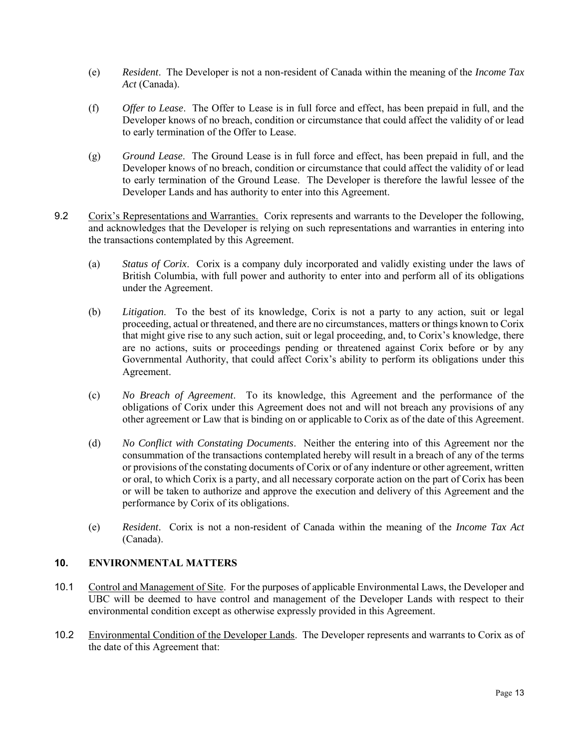- (e) *Resident*. The Developer is not a non-resident of Canada within the meaning of the *Income Tax Act* (Canada).
- (f) *Offer to Lease*. The Offer to Lease is in full force and effect, has been prepaid in full, and the Developer knows of no breach, condition or circumstance that could affect the validity of or lead to early termination of the Offer to Lease.
- (g) *Ground Lease*. The Ground Lease is in full force and effect, has been prepaid in full, and the Developer knows of no breach, condition or circumstance that could affect the validity of or lead to early termination of the Ground Lease. The Developer is therefore the lawful lessee of the Developer Lands and has authority to enter into this Agreement.
- 9.2 Corix's Representations and Warranties. Corix represents and warrants to the Developer the following, and acknowledges that the Developer is relying on such representations and warranties in entering into the transactions contemplated by this Agreement.
	- (a) *Status of Corix*. Corix is a company duly incorporated and validly existing under the laws of British Columbia, with full power and authority to enter into and perform all of its obligations under the Agreement.
	- (b) *Litigation*. To the best of its knowledge, Corix is not a party to any action, suit or legal proceeding, actual or threatened, and there are no circumstances, matters or things known to Corix that might give rise to any such action, suit or legal proceeding, and, to Corix's knowledge, there are no actions, suits or proceedings pending or threatened against Corix before or by any Governmental Authority, that could affect Corix's ability to perform its obligations under this Agreement.
	- (c) *No Breach of Agreement*. To its knowledge, this Agreement and the performance of the obligations of Corix under this Agreement does not and will not breach any provisions of any other agreement or Law that is binding on or applicable to Corix as of the date of this Agreement.
	- (d) *No Conflict with Constating Documents*. Neither the entering into of this Agreement nor the consummation of the transactions contemplated hereby will result in a breach of any of the terms or provisions of the constating documents of Corix or of any indenture or other agreement, written or oral, to which Corix is a party, and all necessary corporate action on the part of Corix has been or will be taken to authorize and approve the execution and delivery of this Agreement and the performance by Corix of its obligations.
	- (e) *Resident*. Corix is not a non-resident of Canada within the meaning of the *Income Tax Act*  (Canada).

# <span id="page-12-0"></span>**10. ENVIRONMENTAL MATTERS**

- 10.1 Control and Management of Site. For the purposes of applicable Environmental Laws, the Developer and UBC will be deemed to have control and management of the Developer Lands with respect to their environmental condition except as otherwise expressly provided in this Agreement.
- 10.2 Environmental Condition of the Developer Lands. The Developer represents and warrants to Corix as of the date of this Agreement that: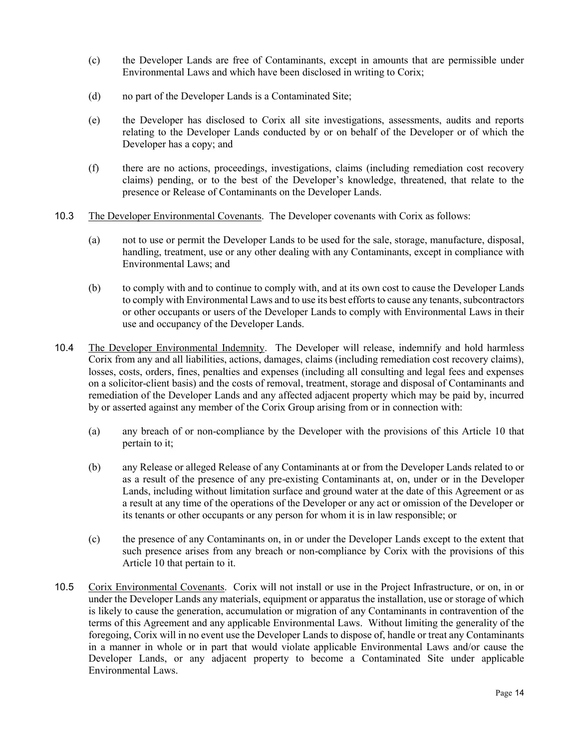- (c) the Developer Lands are free of Contaminants, except in amounts that are permissible under Environmental Laws and which have been disclosed in writing to Corix;
- (d) no part of the Developer Lands is a Contaminated Site;
- (e) the Developer has disclosed to Corix all site investigations, assessments, audits and reports relating to the Developer Lands conducted by or on behalf of the Developer or of which the Developer has a copy; and
- (f) there are no actions, proceedings, investigations, claims (including remediation cost recovery claims) pending, or to the best of the Developer's knowledge, threatened, that relate to the presence or Release of Contaminants on the Developer Lands.
- 10.3 The Developer Environmental Covenants. The Developer covenants with Corix as follows:
	- (a) not to use or permit the Developer Lands to be used for the sale, storage, manufacture, disposal, handling, treatment, use or any other dealing with any Contaminants, except in compliance with Environmental Laws; and
	- (b) to comply with and to continue to comply with, and at its own cost to cause the Developer Lands to comply with Environmental Laws and to use its best efforts to cause any tenants, subcontractors or other occupants or users of the Developer Lands to comply with Environmental Laws in their use and occupancy of the Developer Lands.
- 10.4 The Developer Environmental Indemnity. The Developer will release, indemnify and hold harmless Corix from any and all liabilities, actions, damages, claims (including remediation cost recovery claims), losses, costs, orders, fines, penalties and expenses (including all consulting and legal fees and expenses on a solicitor-client basis) and the costs of removal, treatment, storage and disposal of Contaminants and remediation of the Developer Lands and any affected adjacent property which may be paid by, incurred by or asserted against any member of the Corix Group arising from or in connection with:
	- (a) any breach of or non-compliance by the Developer with the provisions of this Article [10](#page-12-0) that pertain to it;
	- (b) any Release or alleged Release of any Contaminants at or from the Developer Lands related to or as a result of the presence of any pre-existing Contaminants at, on, under or in the Developer Lands, including without limitation surface and ground water at the date of this Agreement or as a result at any time of the operations of the Developer or any act or omission of the Developer or its tenants or other occupants or any person for whom it is in law responsible; or
	- (c) the presence of any Contaminants on, in or under the Developer Lands except to the extent that such presence arises from any breach or non-compliance by Corix with the provisions of this Article [10](#page-12-0) that pertain to it.
- 10.5 Corix Environmental Covenants. Corix will not install or use in the Project Infrastructure, or on, in or under the Developer Lands any materials, equipment or apparatus the installation, use or storage of which is likely to cause the generation, accumulation or migration of any Contaminants in contravention of the terms of this Agreement and any applicable Environmental Laws. Without limiting the generality of the foregoing, Corix will in no event use the Developer Lands to dispose of, handle or treat any Contaminants in a manner in whole or in part that would violate applicable Environmental Laws and/or cause the Developer Lands, or any adjacent property to become a Contaminated Site under applicable Environmental Laws.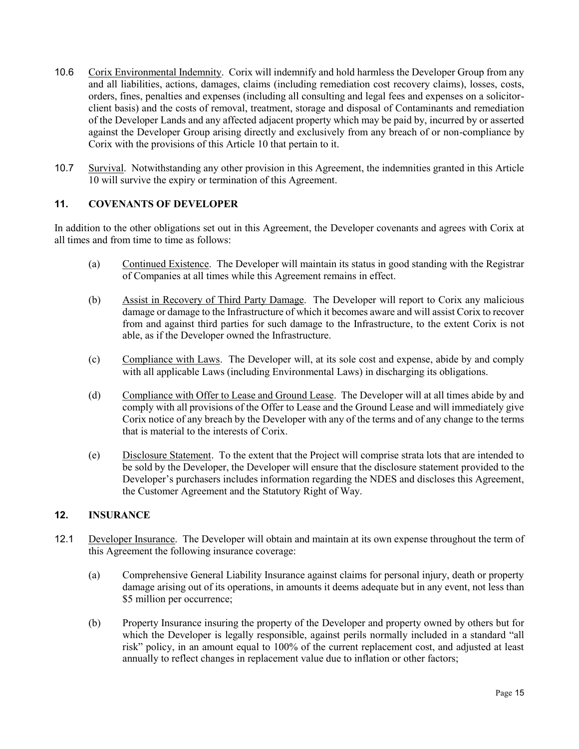- 10.6 Corix Environmental Indemnity. Corix will indemnify and hold harmless the Developer Group from any and all liabilities, actions, damages, claims (including remediation cost recovery claims), losses, costs, orders, fines, penalties and expenses (including all consulting and legal fees and expenses on a solicitorclient basis) and the costs of removal, treatment, storage and disposal of Contaminants and remediation of the Developer Lands and any affected adjacent property which may be paid by, incurred by or asserted against the Developer Group arising directly and exclusively from any breach of or non-compliance by Corix with the provisions of this Article [10](#page-12-0) that pertain to it.
- 10.7 Survival. Notwithstanding any other provision in this Agreement, the indemnities granted in this Article [10](#page-12-0) will survive the expiry or termination of this Agreement.

# **11. COVENANTS OF DEVELOPER**

In addition to the other obligations set out in this Agreement, the Developer covenants and agrees with Corix at all times and from time to time as follows:

- (a) Continued Existence. The Developer will maintain its status in good standing with the Registrar of Companies at all times while this Agreement remains in effect.
- (b) Assist in Recovery of Third Party Damage. The Developer will report to Corix any malicious damage or damage to the Infrastructure of which it becomes aware and will assist Corix to recover from and against third parties for such damage to the Infrastructure, to the extent Corix is not able, as if the Developer owned the Infrastructure.
- (c) Compliance with Laws. The Developer will, at its sole cost and expense, abide by and comply with all applicable Laws (including Environmental Laws) in discharging its obligations.
- (d) Compliance with Offer to Lease and Ground Lease. The Developer will at all times abide by and comply with all provisions of the Offer to Lease and the Ground Lease and will immediately give Corix notice of any breach by the Developer with any of the terms and of any change to the terms that is material to the interests of Corix.
- (e) Disclosure Statement. To the extent that the Project will comprise strata lots that are intended to be sold by the Developer, the Developer will ensure that the disclosure statement provided to the Developer's purchasers includes information regarding the NDES and discloses this Agreement, the Customer Agreement and the Statutory Right of Way.

# <span id="page-14-1"></span>**12. INSURANCE**

- <span id="page-14-0"></span>12.1 Developer Insurance. The Developer will obtain and maintain at its own expense throughout the term of this Agreement the following insurance coverage:
	- (a) Comprehensive General Liability Insurance against claims for personal injury, death or property damage arising out of its operations, in amounts it deems adequate but in any event, not less than \$5 million per occurrence;
	- (b) Property Insurance insuring the property of the Developer and property owned by others but for which the Developer is legally responsible, against perils normally included in a standard "all risk" policy, in an amount equal to 100% of the current replacement cost, and adjusted at least annually to reflect changes in replacement value due to inflation or other factors;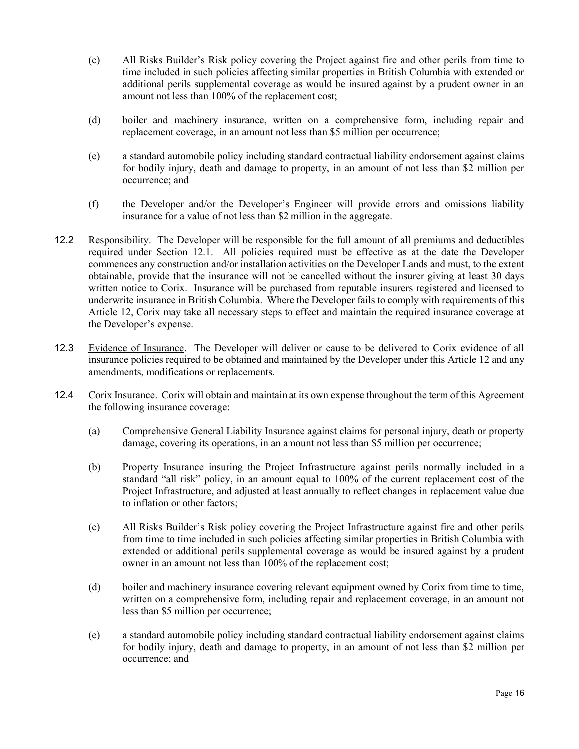- (c) All Risks Builder's Risk policy covering the Project against fire and other perils from time to time included in such policies affecting similar properties in British Columbia with extended or additional perils supplemental coverage as would be insured against by a prudent owner in an amount not less than 100% of the replacement cost;
- (d) boiler and machinery insurance, written on a comprehensive form, including repair and replacement coverage, in an amount not less than \$5 million per occurrence;
- (e) a standard automobile policy including standard contractual liability endorsement against claims for bodily injury, death and damage to property, in an amount of not less than \$2 million per occurrence; and
- (f) the Developer and/or the Developer's Engineer will provide errors and omissions liability insurance for a value of not less than \$2 million in the aggregate.
- 12.2 Responsibility. The Developer will be responsible for the full amount of all premiums and deductibles required under Section [12.1.](#page-14-0) All policies required must be effective as at the date the Developer commences any construction and/or installation activities on the Developer Lands and must, to the extent obtainable, provide that the insurance will not be cancelled without the insurer giving at least 30 days written notice to Corix. Insurance will be purchased from reputable insurers registered and licensed to underwrite insurance in British Columbia. Where the Developer fails to comply with requirements of this Article [12,](#page-14-1) Corix may take all necessary steps to effect and maintain the required insurance coverage at the Developer's expense.
- 12.3 Evidence of Insurance. The Developer will deliver or cause to be delivered to Corix evidence of all insurance policies required to be obtained and maintained by the Developer under this Article [12](#page-14-1) and any amendments, modifications or replacements.
- <span id="page-15-0"></span>12.4 Corix Insurance. Corix will obtain and maintain at its own expense throughout the term of this Agreement the following insurance coverage:
	- (a) Comprehensive General Liability Insurance against claims for personal injury, death or property damage, covering its operations, in an amount not less than \$5 million per occurrence;
	- (b) Property Insurance insuring the Project Infrastructure against perils normally included in a standard "all risk" policy, in an amount equal to 100% of the current replacement cost of the Project Infrastructure, and adjusted at least annually to reflect changes in replacement value due to inflation or other factors;
	- (c) All Risks Builder's Risk policy covering the Project Infrastructure against fire and other perils from time to time included in such policies affecting similar properties in British Columbia with extended or additional perils supplemental coverage as would be insured against by a prudent owner in an amount not less than 100% of the replacement cost;
	- (d) boiler and machinery insurance covering relevant equipment owned by Corix from time to time, written on a comprehensive form, including repair and replacement coverage, in an amount not less than \$5 million per occurrence;
	- (e) a standard automobile policy including standard contractual liability endorsement against claims for bodily injury, death and damage to property, in an amount of not less than \$2 million per occurrence; and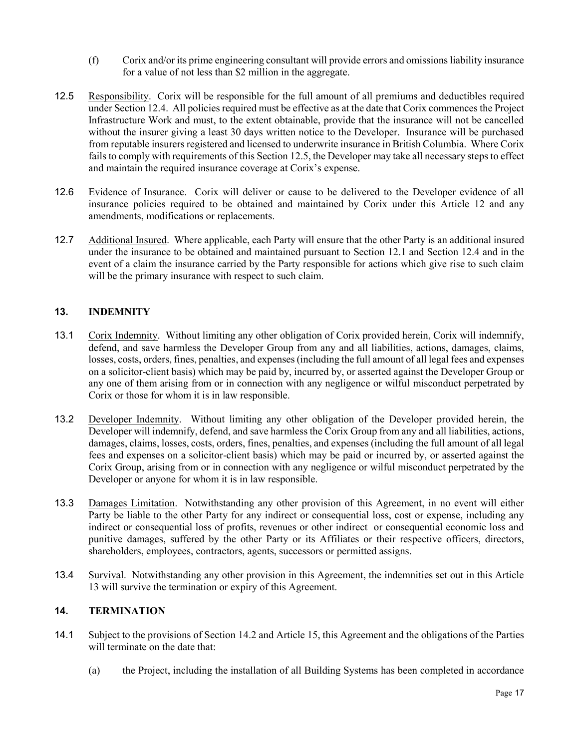- (f) Corix and/or its prime engineering consultant will provide errors and omissions liability insurance for a value of not less than \$2 million in the aggregate.
- <span id="page-16-0"></span>12.5 Responsibility. Corix will be responsible for the full amount of all premiums and deductibles required under Section [12.4.](#page-15-0) All policies required must be effective as at the date that Corix commences the Project Infrastructure Work and must, to the extent obtainable, provide that the insurance will not be cancelled without the insurer giving a least 30 days written notice to the Developer. Insurance will be purchased from reputable insurers registered and licensed to underwrite insurance in British Columbia. Where Corix fails to comply with requirements of this Sectio[n 12.5,](#page-16-0) the Developer may take all necessary steps to effect and maintain the required insurance coverage at Corix's expense.
- 12.6 Evidence of Insurance. Corix will deliver or cause to be delivered to the Developer evidence of all insurance policies required to be obtained and maintained by Corix under this Article [12](#page-14-1) and any amendments, modifications or replacements.
- 12.7 Additional Insured. Where applicable, each Party will ensure that the other Party is an additional insured under the insurance to be obtained and maintained pursuant to Section [12.1](#page-14-0) and Section [12.4](#page-15-0) and in the event of a claim the insurance carried by the Party responsible for actions which give rise to such claim will be the primary insurance with respect to such claim.

# <span id="page-16-1"></span>**13. INDEMNITY**

- 13.1 Corix Indemnity. Without limiting any other obligation of Corix provided herein, Corix will indemnify, defend, and save harmless the Developer Group from any and all liabilities, actions, damages, claims, losses, costs, orders, fines, penalties, and expenses (including the full amount of all legal fees and expenses on a solicitor-client basis) which may be paid by, incurred by, or asserted against the Developer Group or any one of them arising from or in connection with any negligence or wilful misconduct perpetrated by Corix or those for whom it is in law responsible.
- 13.2 Developer Indemnity. Without limiting any other obligation of the Developer provided herein, the Developer will indemnify, defend, and save harmless the Corix Group from any and all liabilities, actions, damages, claims, losses, costs, orders, fines, penalties, and expenses (including the full amount of all legal fees and expenses on a solicitor-client basis) which may be paid or incurred by, or asserted against the Corix Group, arising from or in connection with any negligence or wilful misconduct perpetrated by the Developer or anyone for whom it is in law responsible.
- 13.3 Damages Limitation. Notwithstanding any other provision of this Agreement, in no event will either Party be liable to the other Party for any indirect or consequential loss, cost or expense, including any indirect or consequential loss of profits, revenues or other indirect or consequential economic loss and punitive damages, suffered by the other Party or its Affiliates or their respective officers, directors, shareholders, employees, contractors, agents, successors or permitted assigns.
- 13.4 Survival. Notwithstanding any other provision in this Agreement, the indemnities set out in this Article [13](#page-16-1) will survive the termination or expiry of this Agreement.

# **14. TERMINATION**

- <span id="page-16-2"></span>14.1 Subject to the provisions of Sectio[n 14.2](#page-17-0) and Article [15,](#page-17-1) this Agreement and the obligations of the Parties will terminate on the date that:
	- (a) the Project, including the installation of all Building Systems has been completed in accordance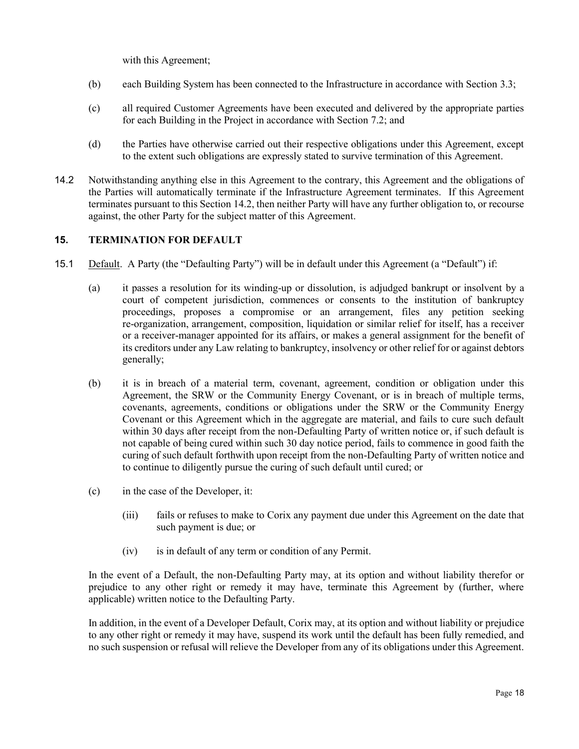with this Agreement;

- (b) each Building System has been connected to the Infrastructure in accordance with Section [3.3;](#page-7-2)
- (c) all required Customer Agreements have been executed and delivered by the appropriate parties for each Building in the Project in accordance with Section [7.2;](#page-10-0) and
- (d) the Parties have otherwise carried out their respective obligations under this Agreement, except to the extent such obligations are expressly stated to survive termination of this Agreement.
- <span id="page-17-0"></span>14.2 Notwithstanding anything else in this Agreement to the contrary, this Agreement and the obligations of the Parties will automatically terminate if the Infrastructure Agreement terminates. If this Agreement terminates pursuant to this Section [14.2,](#page-17-0) then neither Party will have any further obligation to, or recourse against, the other Party for the subject matter of this Agreement.

#### <span id="page-17-1"></span>**15. TERMINATION FOR DEFAULT**

- <span id="page-17-2"></span>15.1 Default. A Party (the "Defaulting Party") will be in default under this Agreement (a "Default") if:
	- (a) it passes a resolution for its winding-up or dissolution, is adjudged bankrupt or insolvent by a court of competent jurisdiction, commences or consents to the institution of bankruptcy proceedings, proposes a compromise or an arrangement, files any petition seeking re-organization, arrangement, composition, liquidation or similar relief for itself, has a receiver or a receiver-manager appointed for its affairs, or makes a general assignment for the benefit of its creditors under any Law relating to bankruptcy, insolvency or other relief for or against debtors generally;
	- (b) it is in breach of a material term, covenant, agreement, condition or obligation under this Agreement, the SRW or the Community Energy Covenant, or is in breach of multiple terms, covenants, agreements, conditions or obligations under the SRW or the Community Energy Covenant or this Agreement which in the aggregate are material, and fails to cure such default within 30 days after receipt from the non-Defaulting Party of written notice or, if such default is not capable of being cured within such 30 day notice period, fails to commence in good faith the curing of such default forthwith upon receipt from the non-Defaulting Party of written notice and to continue to diligently pursue the curing of such default until cured; or
	- (c) in the case of the Developer, it:
		- (iii) fails or refuses to make to Corix any payment due under this Agreement on the date that such payment is due; or
		- (iv) is in default of any term or condition of any Permit.

In the event of a Default, the non-Defaulting Party may, at its option and without liability therefor or prejudice to any other right or remedy it may have, terminate this Agreement by (further, where applicable) written notice to the Defaulting Party.

In addition, in the event of a Developer Default, Corix may, at its option and without liability or prejudice to any other right or remedy it may have, suspend its work until the default has been fully remedied, and no such suspension or refusal will relieve the Developer from any of its obligations under this Agreement.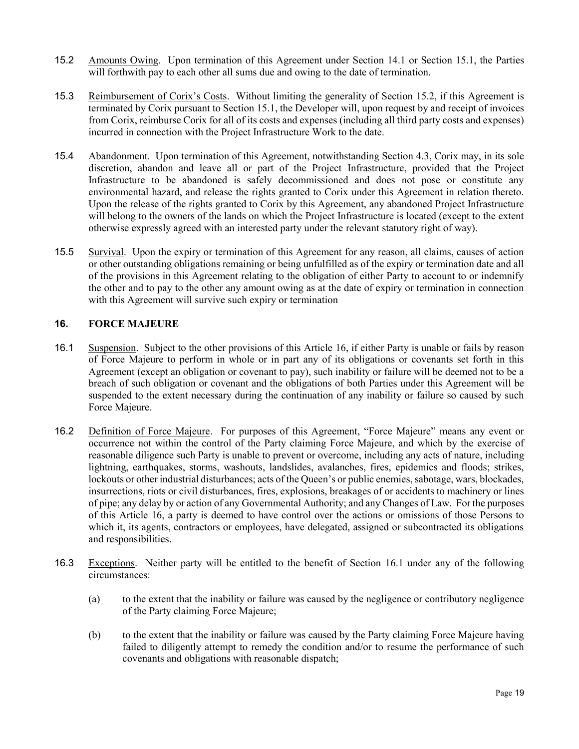- <span id="page-18-1"></span>15.2 Amounts Owing. Upon termination of this Agreement under Section [14.1](#page-16-2) or Section [15.1,](#page-17-2) the Parties will forthwith pay to each other all sums due and owing to the date of termination.
- 15.3 Reimbursement of Corix's Costs. Without limiting the generality of Section [15.2,](#page-18-1) if this Agreement is terminated by Corix pursuant to Section [15.1,](#page-17-2) the Developer will, upon request by and receipt of invoices from Corix, reimburse Corix for all of its costs and expenses (including all third party costs and expenses) incurred in connection with the Project Infrastructure Work to the date.
- 15.4 Abandonment. Upon termination of this Agreement, notwithstanding Section [4.3,](#page-8-2) Corix may, in its sole discretion, abandon and leave all or part of the Project Infrastructure, provided that the Project Infrastructure to be abandoned is safely decommissioned and does not pose or constitute any environmental hazard, and release the rights granted to Corix under this Agreement in relation thereto. Upon the release of the rights granted to Corix by this Agreement, any abandoned Project Infrastructure will belong to the owners of the lands on which the Project Infrastructure is located (except to the extent otherwise expressly agreed with an interested party under the relevant statutory right of way).
- 15.5 Survival. Upon the expiry or termination of this Agreement for any reason, all claims, causes of action or other outstanding obligations remaining or being unfulfilled as of the expiry or termination date and all of the provisions in this Agreement relating to the obligation of either Party to account to or indemnify the other and to pay to the other any amount owing as at the date of expiry or termination in connection with this Agreement will survive such expiry or termination

# <span id="page-18-0"></span>**16. FORCE MAJEURE**

- <span id="page-18-2"></span>16.1 Suspension. Subject to the other provisions of this Article [16,](#page-18-0) if either Party is unable or fails by reason of Force Majeure to perform in whole or in part any of its obligations or covenants set forth in this Agreement (except an obligation or covenant to pay), such inability or failure will be deemed not to be a breach of such obligation or covenant and the obligations of both Parties under this Agreement will be suspended to the extent necessary during the continuation of any inability or failure so caused by such Force Majeure.
- 16.2 Definition of Force Majeure. For purposes of this Agreement, "Force Majeure" means any event or occurrence not within the control of the Party claiming Force Majeure, and which by the exercise of reasonable diligence such Party is unable to prevent or overcome, including any acts of nature, including lightning, earthquakes, storms, washouts, landslides, avalanches, fires, epidemics and floods; strikes, lockouts or other industrial disturbances; acts of the Queen's or public enemies, sabotage, wars, blockades, insurrections, riots or civil disturbances, fires, explosions, breakages of or accidents to machinery or lines of pipe; any delay by or action of any Governmental Authority; and any Changes of Law. For the purposes of this Article [16,](#page-18-0) a party is deemed to have control over the actions or omissions of those Persons to which it, its agents, contractors or employees, have delegated, assigned or subcontracted its obligations and responsibilities.
- <span id="page-18-3"></span>16.3 Exceptions. Neither party will be entitled to the benefit of Section [16.1](#page-18-2) under any of the following circumstances:
	- (a) to the extent that the inability or failure was caused by the negligence or contributory negligence of the Party claiming Force Majeure;
	- (b) to the extent that the inability or failure was caused by the Party claiming Force Majeure having failed to diligently attempt to remedy the condition and/or to resume the performance of such covenants and obligations with reasonable dispatch;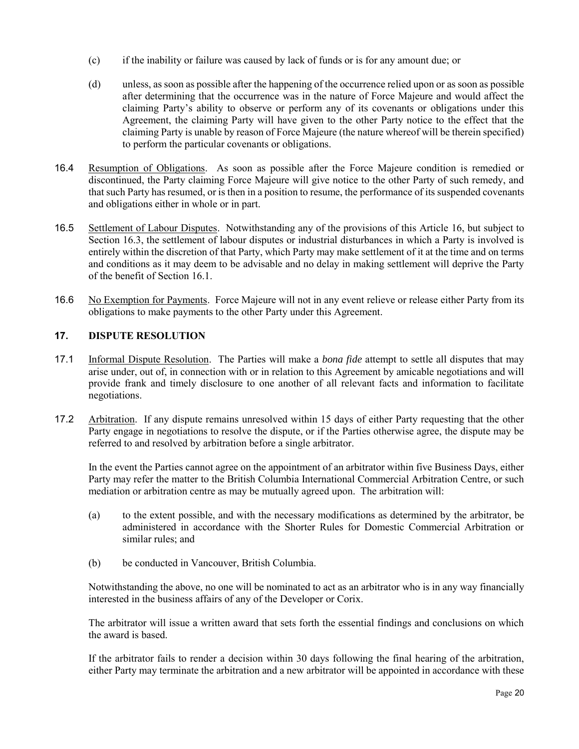- (c) if the inability or failure was caused by lack of funds or is for any amount due; or
- (d) unless, as soon as possible after the happening of the occurrence relied upon or as soon as possible after determining that the occurrence was in the nature of Force Majeure and would affect the claiming Party's ability to observe or perform any of its covenants or obligations under this Agreement, the claiming Party will have given to the other Party notice to the effect that the claiming Party is unable by reason of Force Majeure (the nature whereof will be therein specified) to perform the particular covenants or obligations.
- 16.4 Resumption of Obligations. As soon as possible after the Force Majeure condition is remedied or discontinued, the Party claiming Force Majeure will give notice to the other Party of such remedy, and that such Party has resumed, or is then in a position to resume, the performance of its suspended covenants and obligations either in whole or in part.
- 16.5 Settlement of Labour Disputes. Notwithstanding any of the provisions of this Article [16,](#page-18-0) but subject to Section [16.3,](#page-18-3) the settlement of labour disputes or industrial disturbances in which a Party is involved is entirely within the discretion of that Party, which Party may make settlement of it at the time and on terms and conditions as it may deem to be advisable and no delay in making settlement will deprive the Party of the benefit of Section [16.1.](#page-18-2)
- 16.6 No Exemption for Payments. Force Majeure will not in any event relieve or release either Party from its obligations to make payments to the other Party under this Agreement.

# <span id="page-19-0"></span>**17. DISPUTE RESOLUTION**

- 17.1 Informal Dispute Resolution. The Parties will make a *bona fide* attempt to settle all disputes that may arise under, out of, in connection with or in relation to this Agreement by amicable negotiations and will provide frank and timely disclosure to one another of all relevant facts and information to facilitate negotiations.
- 17.2 Arbitration. If any dispute remains unresolved within 15 days of either Party requesting that the other Party engage in negotiations to resolve the dispute, or if the Parties otherwise agree, the dispute may be referred to and resolved by arbitration before a single arbitrator.

In the event the Parties cannot agree on the appointment of an arbitrator within five Business Days, either Party may refer the matter to the British Columbia International Commercial Arbitration Centre, or such mediation or arbitration centre as may be mutually agreed upon. The arbitration will:

- (a) to the extent possible, and with the necessary modifications as determined by the arbitrator, be administered in accordance with the Shorter Rules for Domestic Commercial Arbitration or similar rules; and
- (b) be conducted in Vancouver, British Columbia.

Notwithstanding the above, no one will be nominated to act as an arbitrator who is in any way financially interested in the business affairs of any of the Developer or Corix.

The arbitrator will issue a written award that sets forth the essential findings and conclusions on which the award is based.

If the arbitrator fails to render a decision within 30 days following the final hearing of the arbitration, either Party may terminate the arbitration and a new arbitrator will be appointed in accordance with these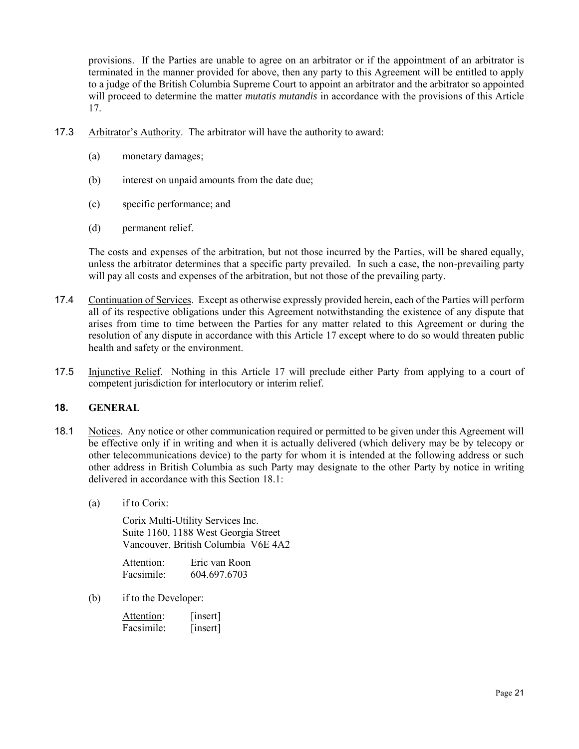provisions. If the Parties are unable to agree on an arbitrator or if the appointment of an arbitrator is terminated in the manner provided for above, then any party to this Agreement will be entitled to apply to a judge of the British Columbia Supreme Court to appoint an arbitrator and the arbitrator so appointed will proceed to determine the matter *mutatis mutandis* in accordance with the provisions of this Article [17.](#page-19-0)

- 17.3 Arbitrator's Authority. The arbitrator will have the authority to award:
	- (a) monetary damages;
	- (b) interest on unpaid amounts from the date due;
	- (c) specific performance; and
	- (d) permanent relief.

The costs and expenses of the arbitration, but not those incurred by the Parties, will be shared equally, unless the arbitrator determines that a specific party prevailed. In such a case, the non-prevailing party will pay all costs and expenses of the arbitration, but not those of the prevailing party.

- 17.4 Continuation of Services. Except as otherwise expressly provided herein, each of the Parties will perform all of its respective obligations under this Agreement notwithstanding the existence of any dispute that arises from time to time between the Parties for any matter related to this Agreement or during the resolution of any dispute in accordance with this Article [17](#page-19-0) except where to do so would threaten public health and safety or the environment.
- 17.5 Injunctive Relief. Nothing in this Article [17](#page-19-0) will preclude either Party from applying to a court of competent jurisdiction for interlocutory or interim relief.

# **18. GENERAL**

- <span id="page-20-0"></span>18.1 Notices. Any notice or other communication required or permitted to be given under this Agreement will be effective only if in writing and when it is actually delivered (which delivery may be by telecopy or other telecommunications device) to the party for whom it is intended at the following address or such other address in British Columbia as such Party may designate to the other Party by notice in writing delivered in accordance with this Section [18.1:](#page-20-0)
	- (a) if to Corix:

Corix Multi-Utility Services Inc. Suite 1160, 1188 West Georgia Street Vancouver, British Columbia V6E 4A2

| Attention: | Eric van Roon |
|------------|---------------|
| Facsimile: | 604.697.6703  |

(b) if to the Developer:

| Attention: | [insert] |
|------------|----------|
| Facsimile: | [insert] |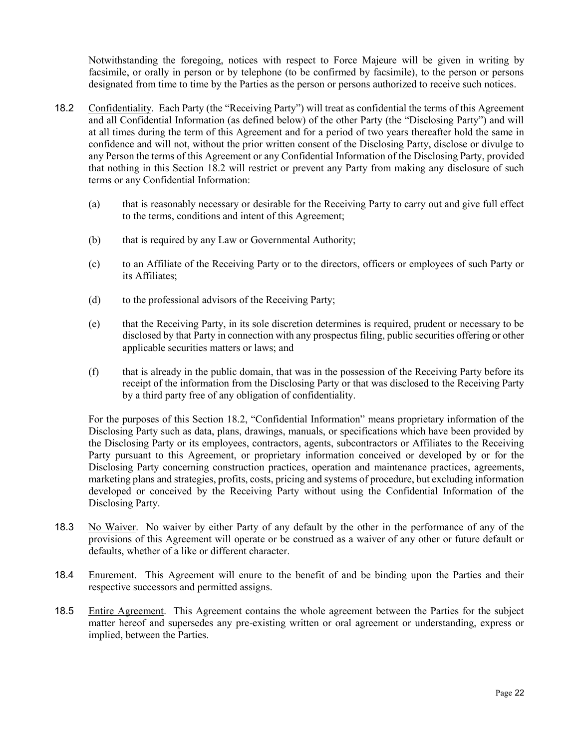Notwithstanding the foregoing, notices with respect to Force Majeure will be given in writing by facsimile, or orally in person or by telephone (to be confirmed by facsimile), to the person or persons designated from time to time by the Parties as the person or persons authorized to receive such notices.

- <span id="page-21-0"></span>18.2 Confidentiality. Each Party (the "Receiving Party") will treat as confidential the terms of this Agreement and all Confidential Information (as defined below) of the other Party (the "Disclosing Party") and will at all times during the term of this Agreement and for a period of two years thereafter hold the same in confidence and will not, without the prior written consent of the Disclosing Party, disclose or divulge to any Person the terms of this Agreement or any Confidential Information of the Disclosing Party, provided that nothing in this Section [18.2](#page-21-0) will restrict or prevent any Party from making any disclosure of such terms or any Confidential Information:
	- (a) that is reasonably necessary or desirable for the Receiving Party to carry out and give full effect to the terms, conditions and intent of this Agreement;
	- (b) that is required by any Law or Governmental Authority;
	- (c) to an Affiliate of the Receiving Party or to the directors, officers or employees of such Party or its Affiliates;
	- (d) to the professional advisors of the Receiving Party;
	- (e) that the Receiving Party, in its sole discretion determines is required, prudent or necessary to be disclosed by that Party in connection with any prospectus filing, public securities offering or other applicable securities matters or laws; and
	- (f) that is already in the public domain, that was in the possession of the Receiving Party before its receipt of the information from the Disclosing Party or that was disclosed to the Receiving Party by a third party free of any obligation of confidentiality.

For the purposes of this Section [18.2,](#page-21-0) "Confidential Information" means proprietary information of the Disclosing Party such as data, plans, drawings, manuals, or specifications which have been provided by the Disclosing Party or its employees, contractors, agents, subcontractors or Affiliates to the Receiving Party pursuant to this Agreement, or proprietary information conceived or developed by or for the Disclosing Party concerning construction practices, operation and maintenance practices, agreements, marketing plans and strategies, profits, costs, pricing and systems of procedure, but excluding information developed or conceived by the Receiving Party without using the Confidential Information of the Disclosing Party.

- 18.3 No Waiver. No waiver by either Party of any default by the other in the performance of any of the provisions of this Agreement will operate or be construed as a waiver of any other or future default or defaults, whether of a like or different character.
- 18.4 Enurement. This Agreement will enure to the benefit of and be binding upon the Parties and their respective successors and permitted assigns.
- 18.5 Entire Agreement. This Agreement contains the whole agreement between the Parties for the subject matter hereof and supersedes any pre-existing written or oral agreement or understanding, express or implied, between the Parties.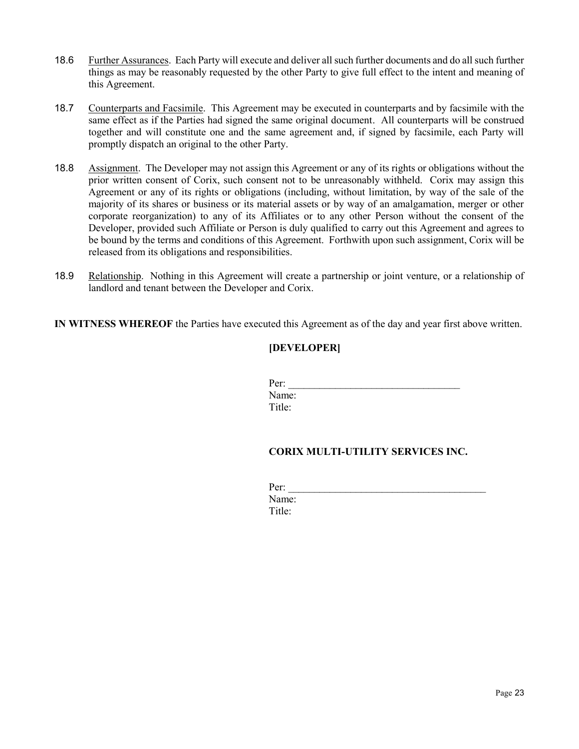- 18.6 Further Assurances. Each Party will execute and deliver all such further documents and do all such further things as may be reasonably requested by the other Party to give full effect to the intent and meaning of this Agreement.
- 18.7 Counterparts and Facsimile. This Agreement may be executed in counterparts and by facsimile with the same effect as if the Parties had signed the same original document. All counterparts will be construed together and will constitute one and the same agreement and, if signed by facsimile, each Party will promptly dispatch an original to the other Party.
- 18.8 Assignment. The Developer may not assign this Agreement or any of its rights or obligations without the prior written consent of Corix, such consent not to be unreasonably withheld. Corix may assign this Agreement or any of its rights or obligations (including, without limitation, by way of the sale of the majority of its shares or business or its material assets or by way of an amalgamation, merger or other corporate reorganization) to any of its Affiliates or to any other Person without the consent of the Developer, provided such Affiliate or Person is duly qualified to carry out this Agreement and agrees to be bound by the terms and conditions of this Agreement. Forthwith upon such assignment, Corix will be released from its obligations and responsibilities.
- 18.9 Relationship. Nothing in this Agreement will create a partnership or joint venture, or a relationship of landlord and tenant between the Developer and Corix.

**IN WITNESS WHEREOF** the Parties have executed this Agreement as of the day and year first above written.

# **[DEVELOPER]**

| Per:   |  |  |
|--------|--|--|
| Name:  |  |  |
| Title: |  |  |

# **CORIX MULTI-UTILITY SERVICES INC.**

| Per:   |  |  |  |
|--------|--|--|--|
| Name:  |  |  |  |
| Title: |  |  |  |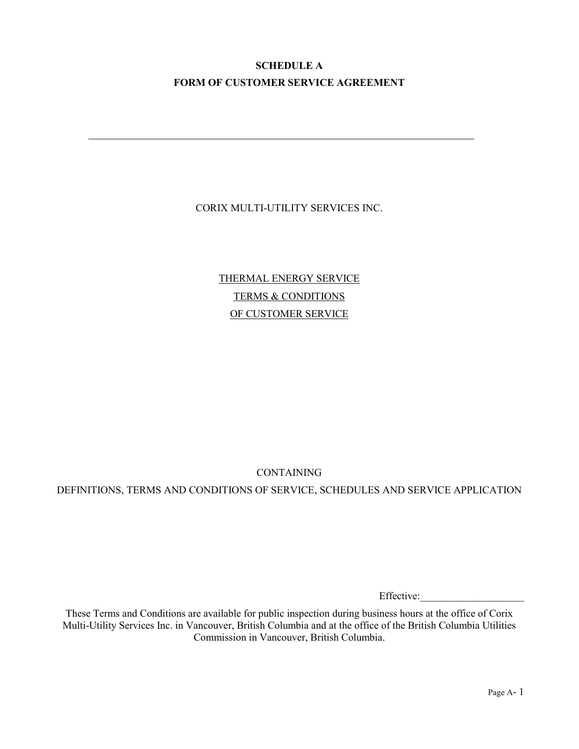# **SCHEDULE A FORM OF CUSTOMER SERVICE AGREEMENT**

\_\_\_\_\_\_\_\_\_\_\_\_\_\_\_\_\_\_\_\_\_\_\_\_\_\_\_\_\_\_\_\_\_\_\_\_\_\_\_\_\_\_\_\_\_\_\_\_\_\_\_\_\_\_\_\_\_\_\_\_\_\_\_\_\_\_\_\_

# CORIX MULTI-UTILITY SERVICES INC.

THERMAL ENERGY SERVICE TERMS & CONDITIONS OF CUSTOMER SERVICE

CONTAINING

DEFINITIONS, TERMS AND CONDITIONS OF SERVICE, SCHEDULES AND SERVICE APPLICATION

Effective:

These Terms and Conditions are available for public inspection during business hours at the office of Corix Multi-Utility Services Inc. in Vancouver, British Columbia and at the office of the British Columbia Utilities Commission in Vancouver, British Columbia.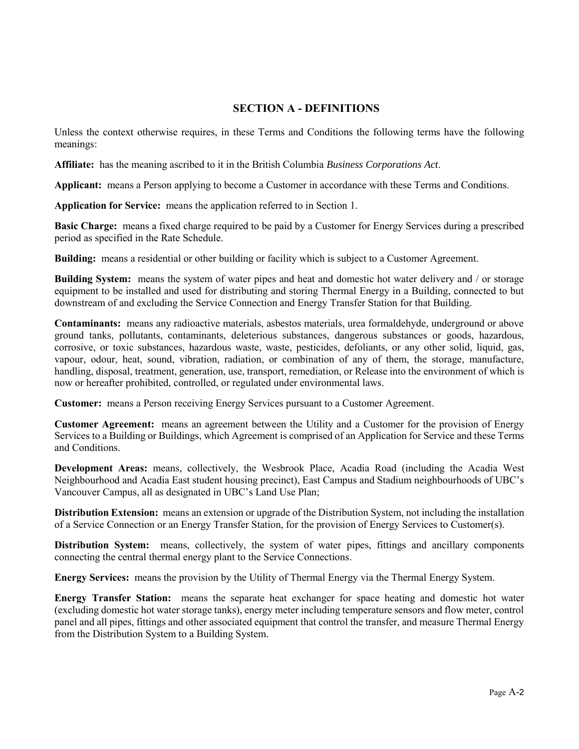# **SECTION A - DEFINITIONS**

Unless the context otherwise requires, in these Terms and Conditions the following terms have the following meanings:

**Affiliate:** has the meaning ascribed to it in the British Columbia *Business Corporations Act*.

**Applicant:** means a Person applying to become a Customer in accordance with these Terms and Conditions.

**Application for Service:** means the application referred to in Section [1.](#page-26-0)

**Basic Charge:** means a fixed charge required to be paid by a Customer for Energy Services during a prescribed period as specified in the Rate Schedule.

**Building:** means a residential or other building or facility which is subject to a Customer Agreement.

**Building System:** means the system of water pipes and heat and domestic hot water delivery and / or storage equipment to be installed and used for distributing and storing Thermal Energy in a Building, connected to but downstream of and excluding the Service Connection and Energy Transfer Station for that Building.

**Contaminants:** means any radioactive materials, asbestos materials, urea formaldehyde, underground or above ground tanks, pollutants, contaminants, deleterious substances, dangerous substances or goods, hazardous, corrosive, or toxic substances, hazardous waste, waste, pesticides, defoliants, or any other solid, liquid, gas, vapour, odour, heat, sound, vibration, radiation, or combination of any of them, the storage, manufacture, handling, disposal, treatment, generation, use, transport, remediation, or Release into the environment of which is now or hereafter prohibited, controlled, or regulated under environmental laws.

**Customer:** means a Person receiving Energy Services pursuant to a Customer Agreement.

**Customer Agreement:** means an agreement between the Utility and a Customer for the provision of Energy Services to a Building or Buildings, which Agreement is comprised of an Application for Service and these Terms and Conditions.

**Development Areas:** means, collectively, the Wesbrook Place, Acadia Road (including the Acadia West Neighbourhood and Acadia East student housing precinct), East Campus and Stadium neighbourhoods of UBC's Vancouver Campus, all as designated in UBC's Land Use Plan;

**Distribution Extension:** means an extension or upgrade of the Distribution System, not including the installation of a Service Connection or an Energy Transfer Station, for the provision of Energy Services to Customer(s).

**Distribution System:** means, collectively, the system of water pipes, fittings and ancillary components connecting the central thermal energy plant to the Service Connections.

**Energy Services:** means the provision by the Utility of Thermal Energy via the Thermal Energy System.

**Energy Transfer Station:** means the separate heat exchanger for space heating and domestic hot water (excluding domestic hot water storage tanks), energy meter including temperature sensors and flow meter, control panel and all pipes, fittings and other associated equipment that control the transfer, and measure Thermal Energy from the Distribution System to a Building System.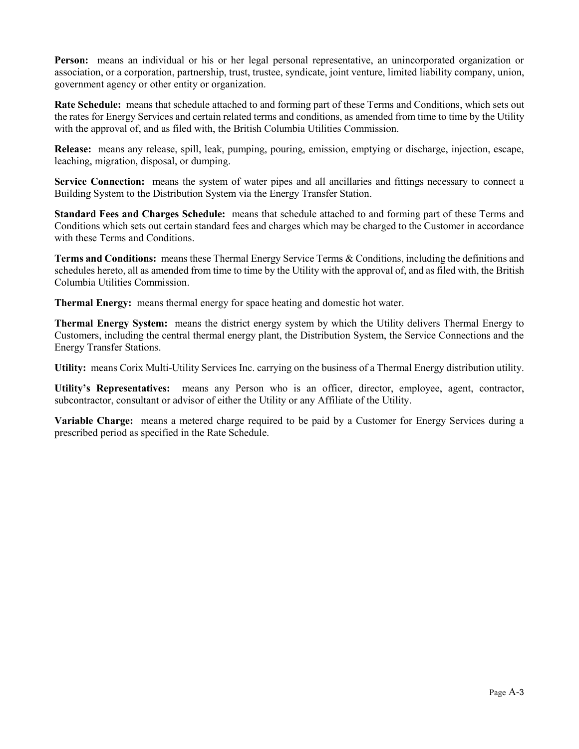**Person:** means an individual or his or her legal personal representative, an unincorporated organization or association, or a corporation, partnership, trust, trustee, syndicate, joint venture, limited liability company, union, government agency or other entity or organization.

**Rate Schedule:** means that schedule attached to and forming part of these Terms and Conditions, which sets out the rates for Energy Services and certain related terms and conditions, as amended from time to time by the Utility with the approval of, and as filed with, the British Columbia Utilities Commission.

**Release:** means any release, spill, leak, pumping, pouring, emission, emptying or discharge, injection, escape, leaching, migration, disposal, or dumping.

Service Connection: means the system of water pipes and all ancillaries and fittings necessary to connect a Building System to the Distribution System via the Energy Transfer Station.

**Standard Fees and Charges Schedule:** means that schedule attached to and forming part of these Terms and Conditions which sets out certain standard fees and charges which may be charged to the Customer in accordance with these Terms and Conditions.

**Terms and Conditions:** means these Thermal Energy Service Terms & Conditions, including the definitions and schedules hereto, all as amended from time to time by the Utility with the approval of, and as filed with, the British Columbia Utilities Commission.

**Thermal Energy:** means thermal energy for space heating and domestic hot water.

**Thermal Energy System:** means the district energy system by which the Utility delivers Thermal Energy to Customers, including the central thermal energy plant, the Distribution System, the Service Connections and the Energy Transfer Stations.

**Utility:** means Corix Multi-Utility Services Inc. carrying on the business of a Thermal Energy distribution utility.

**Utility's Representatives:** means any Person who is an officer, director, employee, agent, contractor, subcontractor, consultant or advisor of either the Utility or any Affiliate of the Utility.

**Variable Charge:** means a metered charge required to be paid by a Customer for Energy Services during a prescribed period as specified in the Rate Schedule.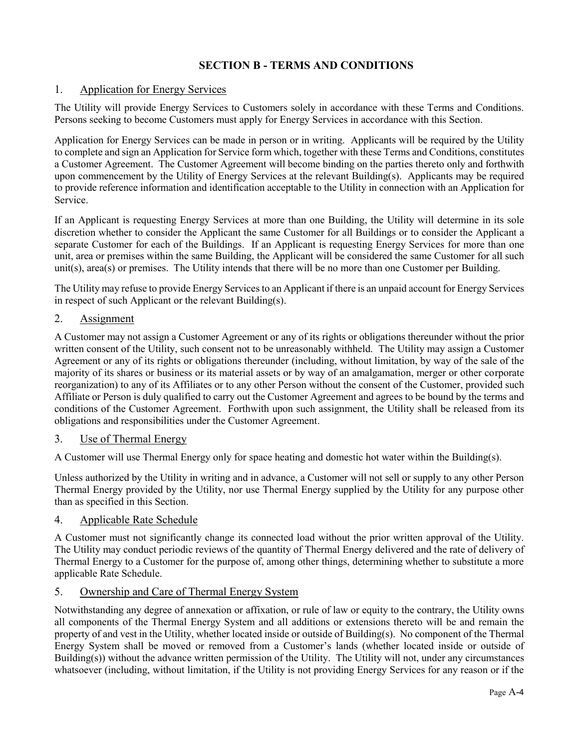# **SECTION B - TERMS AND CONDITIONS**

# <span id="page-26-0"></span>1. Application for Energy Services

The Utility will provide Energy Services to Customers solely in accordance with these Terms and Conditions. Persons seeking to become Customers must apply for Energy Services in accordance with this Section.

Application for Energy Services can be made in person or in writing. Applicants will be required by the Utility to complete and sign an Application for Service form which, together with these Terms and Conditions, constitutes a Customer Agreement. The Customer Agreement will become binding on the parties thereto only and forthwith upon commencement by the Utility of Energy Services at the relevant Building(s). Applicants may be required to provide reference information and identification acceptable to the Utility in connection with an Application for Service.

If an Applicant is requesting Energy Services at more than one Building, the Utility will determine in its sole discretion whether to consider the Applicant the same Customer for all Buildings or to consider the Applicant a separate Customer for each of the Buildings. If an Applicant is requesting Energy Services for more than one unit, area or premises within the same Building, the Applicant will be considered the same Customer for all such unit(s), area(s) or premises. The Utility intends that there will be no more than one Customer per Building.

The Utility may refuse to provide Energy Services to an Applicant if there is an unpaid account for Energy Services in respect of such Applicant or the relevant Building(s).

# 2. Assignment

A Customer may not assign a Customer Agreement or any of its rights or obligations thereunder without the prior written consent of the Utility, such consent not to be unreasonably withheld. The Utility may assign a Customer Agreement or any of its rights or obligations thereunder (including, without limitation, by way of the sale of the majority of its shares or business or its material assets or by way of an amalgamation, merger or other corporate reorganization) to any of its Affiliates or to any other Person without the consent of the Customer, provided such Affiliate or Person is duly qualified to carry out the Customer Agreement and agrees to be bound by the terms and conditions of the Customer Agreement. Forthwith upon such assignment, the Utility shall be released from its obligations and responsibilities under the Customer Agreement.

# 3. Use of Thermal Energy

A Customer will use Thermal Energy only for space heating and domestic hot water within the Building(s).

Unless authorized by the Utility in writing and in advance, a Customer will not sell or supply to any other Person Thermal Energy provided by the Utility, nor use Thermal Energy supplied by the Utility for any purpose other than as specified in this Section.

# 4. Applicable Rate Schedule

A Customer must not significantly change its connected load without the prior written approval of the Utility. The Utility may conduct periodic reviews of the quantity of Thermal Energy delivered and the rate of delivery of Thermal Energy to a Customer for the purpose of, among other things, determining whether to substitute a more applicable Rate Schedule.

# <span id="page-26-1"></span>5. Ownership and Care of Thermal Energy System

Notwithstanding any degree of annexation or affixation, or rule of law or equity to the contrary, the Utility owns all components of the Thermal Energy System and all additions or extensions thereto will be and remain the property of and vest in the Utility, whether located inside or outside of Building(s). No component of the Thermal Energy System shall be moved or removed from a Customer's lands (whether located inside or outside of Building(s)) without the advance written permission of the Utility. The Utility will not, under any circumstances whatsoever (including, without limitation, if the Utility is not providing Energy Services for any reason or if the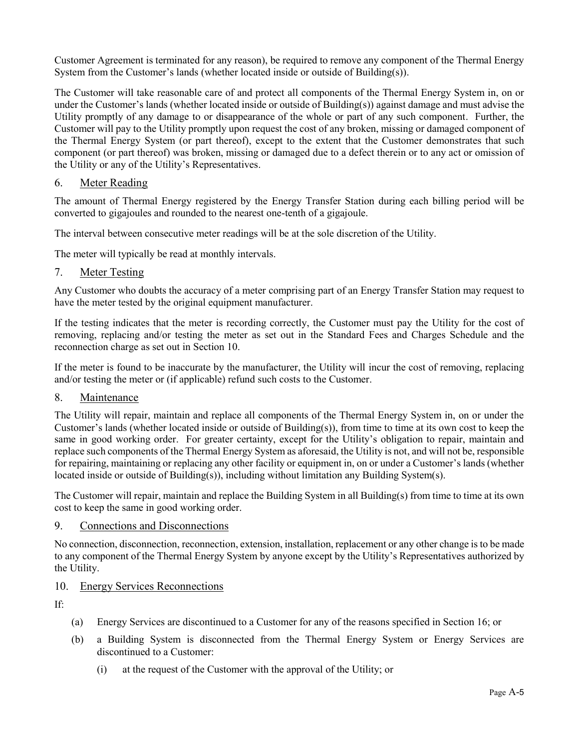Customer Agreement is terminated for any reason), be required to remove any component of the Thermal Energy System from the Customer's lands (whether located inside or outside of Building(s)).

The Customer will take reasonable care of and protect all components of the Thermal Energy System in, on or under the Customer's lands (whether located inside or outside of Building(s)) against damage and must advise the Utility promptly of any damage to or disappearance of the whole or part of any such component. Further, the Customer will pay to the Utility promptly upon request the cost of any broken, missing or damaged component of the Thermal Energy System (or part thereof), except to the extent that the Customer demonstrates that such component (or part thereof) was broken, missing or damaged due to a defect therein or to any act or omission of the Utility or any of the Utility's Representatives.

# 6. Meter Reading

The amount of Thermal Energy registered by the Energy Transfer Station during each billing period will be converted to gigajoules and rounded to the nearest one-tenth of a gigajoule.

The interval between consecutive meter readings will be at the sole discretion of the Utility.

The meter will typically be read at monthly intervals.

# <span id="page-27-1"></span>7. Meter Testing

Any Customer who doubts the accuracy of a meter comprising part of an Energy Transfer Station may request to have the meter tested by the original equipment manufacturer.

If the testing indicates that the meter is recording correctly, the Customer must pay the Utility for the cost of removing, replacing and/or testing the meter as set out in the Standard Fees and Charges Schedule and the reconnection charge as set out in Section [10.](#page-27-0)

If the meter is found to be inaccurate by the manufacturer, the Utility will incur the cost of removing, replacing and/or testing the meter or (if applicable) refund such costs to the Customer.

# 8. Maintenance

The Utility will repair, maintain and replace all components of the Thermal Energy System in, on or under the Customer's lands (whether located inside or outside of Building(s)), from time to time at its own cost to keep the same in good working order. For greater certainty, except for the Utility's obligation to repair, maintain and replace such components of the Thermal Energy System as aforesaid, the Utility is not, and will not be, responsible for repairing, maintaining or replacing any other facility or equipment in, on or under a Customer's lands (whether located inside or outside of Building(s)), including without limitation any Building System(s).

The Customer will repair, maintain and replace the Building System in all Building(s) from time to time at its own cost to keep the same in good working order.

# 9. Connections and Disconnections

No connection, disconnection, reconnection, extension, installation, replacement or any other change is to be made to any component of the Thermal Energy System by anyone except by the Utility's Representatives authorized by the Utility.

# <span id="page-27-0"></span>10. Energy Services Reconnections

If:

- (a) Energy Services are discontinued to a Customer for any of the reasons specified in Section [16;](#page-31-0) or
- (b) a Building System is disconnected from the Thermal Energy System or Energy Services are discontinued to a Customer:
	- (i) at the request of the Customer with the approval of the Utility; or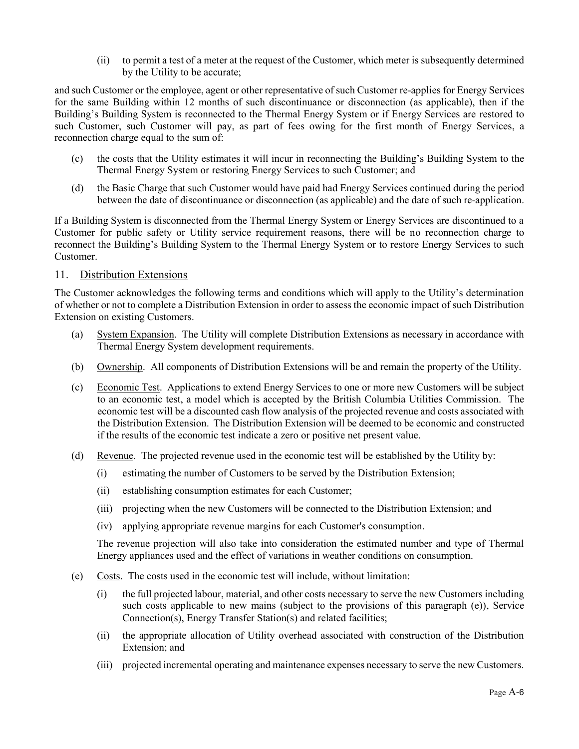(ii) to permit a test of a meter at the request of the Customer, which meter is subsequently determined by the Utility to be accurate;

and such Customer or the employee, agent or other representative of such Customer re-applies for Energy Services for the same Building within 12 months of such discontinuance or disconnection (as applicable), then if the Building's Building System is reconnected to the Thermal Energy System or if Energy Services are restored to such Customer, such Customer will pay, as part of fees owing for the first month of Energy Services, a reconnection charge equal to the sum of:

- (c) the costs that the Utility estimates it will incur in reconnecting the Building's Building System to the Thermal Energy System or restoring Energy Services to such Customer; and
- (d) the Basic Charge that such Customer would have paid had Energy Services continued during the period between the date of discontinuance or disconnection (as applicable) and the date of such re-application.

If a Building System is disconnected from the Thermal Energy System or Energy Services are discontinued to a Customer for public safety or Utility service requirement reasons, there will be no reconnection charge to reconnect the Building's Building System to the Thermal Energy System or to restore Energy Services to such Customer.

# 11. Distribution Extensions

The Customer acknowledges the following terms and conditions which will apply to the Utility's determination of whether or not to complete a Distribution Extension in order to assess the economic impact of such Distribution Extension on existing Customers.

- (a) System Expansion. The Utility will complete Distribution Extensions as necessary in accordance with Thermal Energy System development requirements.
- (b) Ownership. All components of Distribution Extensions will be and remain the property of the Utility.
- (c) Economic Test. Applications to extend Energy Services to one or more new Customers will be subject to an economic test, a model which is accepted by the British Columbia Utilities Commission. The economic test will be a discounted cash flow analysis of the projected revenue and costs associated with the Distribution Extension. The Distribution Extension will be deemed to be economic and constructed if the results of the economic test indicate a zero or positive net present value.
- (d) Revenue. The projected revenue used in the economic test will be established by the Utility by:
	- (i) estimating the number of Customers to be served by the Distribution Extension;
	- (ii) establishing consumption estimates for each Customer;
	- (iii) projecting when the new Customers will be connected to the Distribution Extension; and
	- (iv) applying appropriate revenue margins for each Customer's consumption.

The revenue projection will also take into consideration the estimated number and type of Thermal Energy appliances used and the effect of variations in weather conditions on consumption.

- (e) Costs. The costs used in the economic test will include, without limitation:
	- (i) the full projected labour, material, and other costs necessary to serve the new Customers including such costs applicable to new mains (subject to the provisions of this paragraph (e)), Service Connection(s), Energy Transfer Station(s) and related facilities;
	- (ii) the appropriate allocation of Utility overhead associated with construction of the Distribution Extension; and
	- (iii) projected incremental operating and maintenance expenses necessary to serve the new Customers.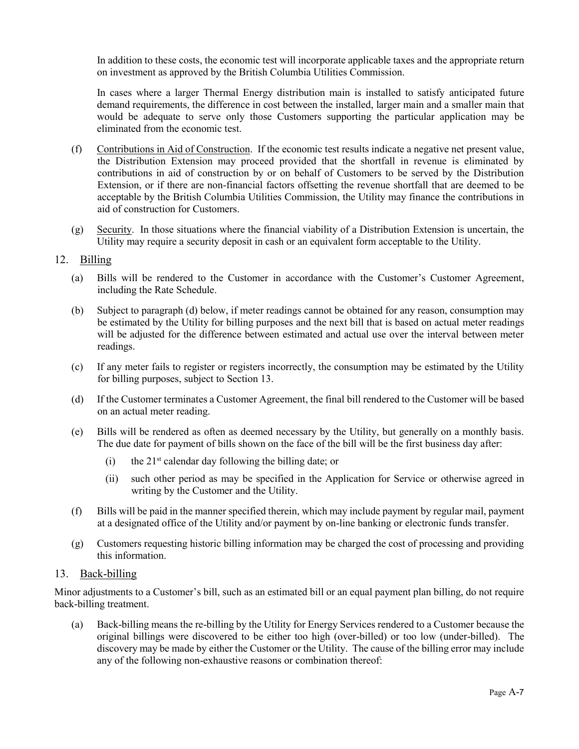In addition to these costs, the economic test will incorporate applicable taxes and the appropriate return on investment as approved by the British Columbia Utilities Commission.

In cases where a larger Thermal Energy distribution main is installed to satisfy anticipated future demand requirements, the difference in cost between the installed, larger main and a smaller main that would be adequate to serve only those Customers supporting the particular application may be eliminated from the economic test.

- (f) Contributions in Aid of Construction. If the economic test results indicate a negative net present value, the Distribution Extension may proceed provided that the shortfall in revenue is eliminated by contributions in aid of construction by or on behalf of Customers to be served by the Distribution Extension, or if there are non-financial factors offsetting the revenue shortfall that are deemed to be acceptable by the British Columbia Utilities Commission, the Utility may finance the contributions in aid of construction for Customers.
- (g) Security. In those situations where the financial viability of a Distribution Extension is uncertain, the Utility may require a security deposit in cash or an equivalent form acceptable to the Utility.

# 12. Billing

- (a) Bills will be rendered to the Customer in accordance with the Customer's Customer Agreement, including the Rate Schedule.
- (b) Subject to paragraph (d) below, if meter readings cannot be obtained for any reason, consumption may be estimated by the Utility for billing purposes and the next bill that is based on actual meter readings will be adjusted for the difference between estimated and actual use over the interval between meter readings.
- (c) If any meter fails to register or registers incorrectly, the consumption may be estimated by the Utility for billing purposes, subject to Sectio[n 13.](#page-29-0)
- (d) If the Customer terminates a Customer Agreement, the final bill rendered to the Customer will be based on an actual meter reading.
- (e) Bills will be rendered as often as deemed necessary by the Utility, but generally on a monthly basis. The due date for payment of bills shown on the face of the bill will be the first business day after:
	- (i) the  $21<sup>st</sup>$  calendar day following the billing date; or
	- (ii) such other period as may be specified in the Application for Service or otherwise agreed in writing by the Customer and the Utility.
- (f) Bills will be paid in the manner specified therein, which may include payment by regular mail, payment at a designated office of the Utility and/or payment by on-line banking or electronic funds transfer.
- (g) Customers requesting historic billing information may be charged the cost of processing and providing this information.

# <span id="page-29-0"></span>13. Back-billing

Minor adjustments to a Customer's bill, such as an estimated bill or an equal payment plan billing, do not require back-billing treatment.

(a) Back-billing means the re-billing by the Utility for Energy Services rendered to a Customer because the original billings were discovered to be either too high (over-billed) or too low (under-billed). The discovery may be made by either the Customer or the Utility. The cause of the billing error may include any of the following non-exhaustive reasons or combination thereof: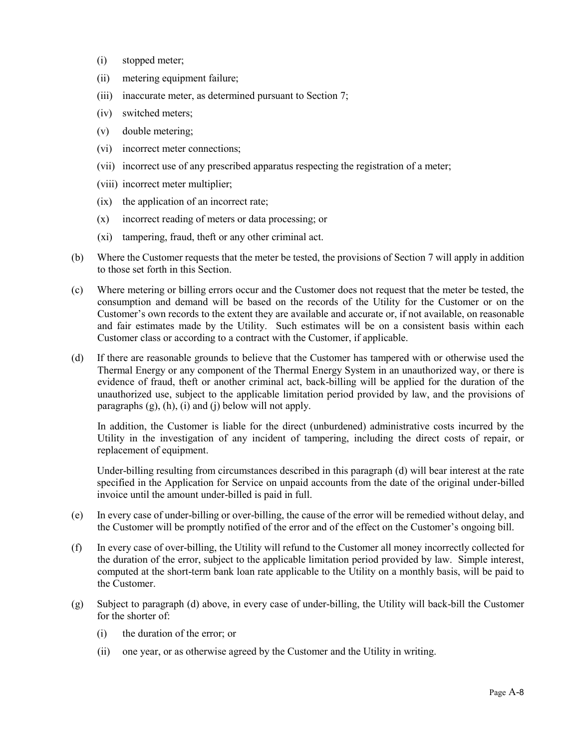- (i) stopped meter;
- (ii) metering equipment failure;
- (iii) inaccurate meter, as determined pursuant to Section [7;](#page-27-1)
- (iv) switched meters;
- (v) double metering;
- (vi) incorrect meter connections;
- (vii) incorrect use of any prescribed apparatus respecting the registration of a meter;
- (viii) incorrect meter multiplier;
- (ix) the application of an incorrect rate;
- (x) incorrect reading of meters or data processing; or
- (xi) tampering, fraud, theft or any other criminal act.
- (b) Where the Customer requests that the meter be tested, the provisions of Sectio[n 7](#page-27-1) will apply in addition to those set forth in this Section.
- (c) Where metering or billing errors occur and the Customer does not request that the meter be tested, the consumption and demand will be based on the records of the Utility for the Customer or on the Customer's own records to the extent they are available and accurate or, if not available, on reasonable and fair estimates made by the Utility. Such estimates will be on a consistent basis within each Customer class or according to a contract with the Customer, if applicable.
- <span id="page-30-1"></span>(d) If there are reasonable grounds to believe that the Customer has tampered with or otherwise used the Thermal Energy or any component of the Thermal Energy System in an unauthorized way, or there is evidence of fraud, theft or another criminal act, back-billing will be applied for the duration of the unauthorized use, subject to the applicable limitation period provided by law, and the provisions of paragraphs  $(g)$ ,  $(h)$ ,  $(i)$  and  $(j)$  below will not apply.

In addition, the Customer is liable for the direct (unburdened) administrative costs incurred by the Utility in the investigation of any incident of tampering, including the direct costs of repair, or replacement of equipment.

Under-billing resulting from circumstances described in this paragraph [\(d\)](#page-30-1) will bear interest at the rate specified in the Application for Service on unpaid accounts from the date of the original under-billed invoice until the amount under-billed is paid in full.

- (e) In every case of under-billing or over-billing, the cause of the error will be remedied without delay, and the Customer will be promptly notified of the error and of the effect on the Customer's ongoing bill.
- (f) In every case of over-billing, the Utility will refund to the Customer all money incorrectly collected for the duration of the error, subject to the applicable limitation period provided by law. Simple interest, computed at the short-term bank loan rate applicable to the Utility on a monthly basis, will be paid to the Customer.
- <span id="page-30-0"></span>(g) Subject to paragraph [\(d\)](#page-30-1) above, in every case of under-billing, the Utility will back-bill the Customer for the shorter of:
	- (i) the duration of the error; or
	- (ii) one year, or as otherwise agreed by the Customer and the Utility in writing.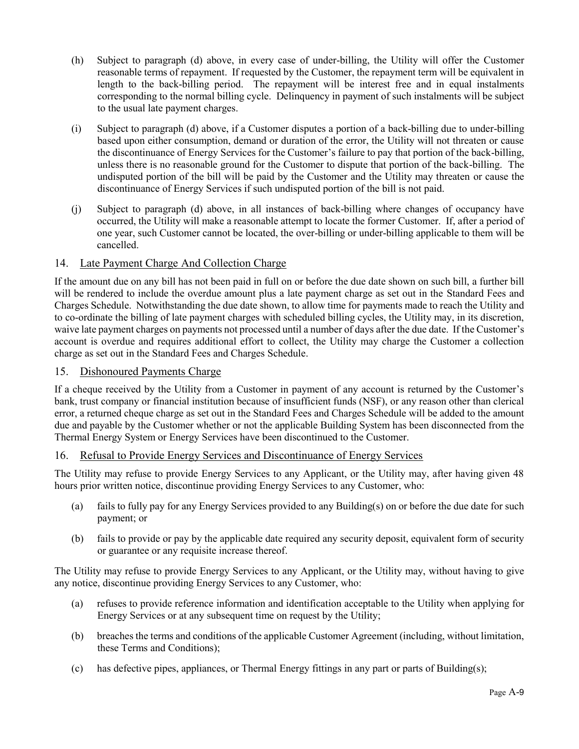- <span id="page-31-1"></span>(h) Subject to paragraph [\(d\)](#page-30-1) above, in every case of under-billing, the Utility will offer the Customer reasonable terms of repayment. If requested by the Customer, the repayment term will be equivalent in length to the back-billing period. The repayment will be interest free and in equal instalments corresponding to the normal billing cycle. Delinquency in payment of such instalments will be subject to the usual late payment charges.
- <span id="page-31-2"></span>(i) Subject to paragraph [\(d\)](#page-30-1) above, if a Customer disputes a portion of a back-billing due to under-billing based upon either consumption, demand or duration of the error, the Utility will not threaten or cause the discontinuance of Energy Services for the Customer's failure to pay that portion of the back-billing, unless there is no reasonable ground for the Customer to dispute that portion of the back-billing. The undisputed portion of the bill will be paid by the Customer and the Utility may threaten or cause the discontinuance of Energy Services if such undisputed portion of the bill is not paid.
- <span id="page-31-3"></span>(j) Subject to paragraph [\(d\)](#page-30-1) above, in all instances of back-billing where changes of occupancy have occurred, the Utility will make a reasonable attempt to locate the former Customer. If, after a period of one year, such Customer cannot be located, the over-billing or under-billing applicable to them will be cancelled.

# 14. Late Payment Charge And Collection Charge

If the amount due on any bill has not been paid in full on or before the due date shown on such bill, a further bill will be rendered to include the overdue amount plus a late payment charge as set out in the Standard Fees and Charges Schedule. Notwithstanding the due date shown, to allow time for payments made to reach the Utility and to co-ordinate the billing of late payment charges with scheduled billing cycles, the Utility may, in its discretion, waive late payment charges on payments not processed until a number of days after the due date. If the Customer's account is overdue and requires additional effort to collect, the Utility may charge the Customer a collection charge as set out in the Standard Fees and Charges Schedule.

# 15. Dishonoured Payments Charge

If a cheque received by the Utility from a Customer in payment of any account is returned by the Customer's bank, trust company or financial institution because of insufficient funds (NSF), or any reason other than clerical error, a returned cheque charge as set out in the Standard Fees and Charges Schedule will be added to the amount due and payable by the Customer whether or not the applicable Building System has been disconnected from the Thermal Energy System or Energy Services have been discontinued to the Customer.

# <span id="page-31-0"></span>16. Refusal to Provide Energy Services and Discontinuance of Energy Services

The Utility may refuse to provide Energy Services to any Applicant, or the Utility may, after having given 48 hours prior written notice, discontinue providing Energy Services to any Customer, who:

- (a) fails to fully pay for any Energy Services provided to any Building(s) on or before the due date for such payment; or
- (b) fails to provide or pay by the applicable date required any security deposit, equivalent form of security or guarantee or any requisite increase thereof.

The Utility may refuse to provide Energy Services to any Applicant, or the Utility may, without having to give any notice, discontinue providing Energy Services to any Customer, who:

- (a) refuses to provide reference information and identification acceptable to the Utility when applying for Energy Services or at any subsequent time on request by the Utility;
- (b) breaches the terms and conditions of the applicable Customer Agreement (including, without limitation, these Terms and Conditions);
- (c) has defective pipes, appliances, or Thermal Energy fittings in any part or parts of Building(s);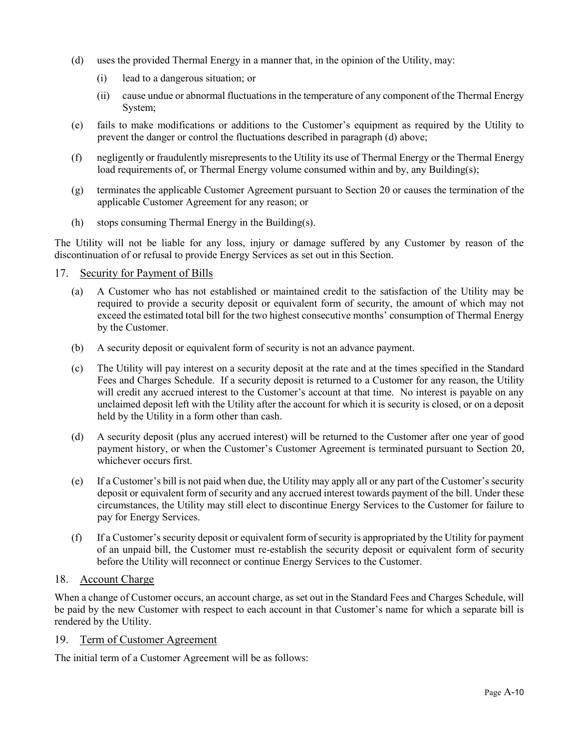- <span id="page-32-0"></span>(d) uses the provided Thermal Energy in a manner that, in the opinion of the Utility, may:
	- (i) lead to a dangerous situation; or
	- (ii) cause undue or abnormal fluctuations in the temperature of any component of the Thermal Energy System;
- (e) fails to make modifications or additions to the Customer's equipment as required by the Utility to prevent the danger or control the fluctuations described in paragraph [\(d\)](#page-32-0) above;
- (f) negligently or fraudulently misrepresents to the Utility its use of Thermal Energy or the Thermal Energy load requirements of, or Thermal Energy volume consumed within and by, any Building(s);
- (g) terminates the applicable Customer Agreement pursuant to Section [20](#page-33-0) or causes the termination of the applicable Customer Agreement for any reason; or
- (h) stops consuming Thermal Energy in the Building(s).

The Utility will not be liable for any loss, injury or damage suffered by any Customer by reason of the discontinuation of or refusal to provide Energy Services as set out in this Section.

# 17. Security for Payment of Bills

- (a) A Customer who has not established or maintained credit to the satisfaction of the Utility may be required to provide a security deposit or equivalent form of security, the amount of which may not exceed the estimated total bill for the two highest consecutive months' consumption of Thermal Energy by the Customer.
- (b) A security deposit or equivalent form of security is not an advance payment.
- (c) The Utility will pay interest on a security deposit at the rate and at the times specified in the Standard Fees and Charges Schedule. If a security deposit is returned to a Customer for any reason, the Utility will credit any accrued interest to the Customer's account at that time. No interest is payable on any unclaimed deposit left with the Utility after the account for which it is security is closed, or on a deposit held by the Utility in a form other than cash.
- (d) A security deposit (plus any accrued interest) will be returned to the Customer after one year of good payment history, or when the Customer's Customer Agreement is terminated pursuant to Section [20,](#page-33-0) whichever occurs first.
- (e) If a Customer's bill is not paid when due, the Utility may apply all or any part of the Customer's security deposit or equivalent form of security and any accrued interest towards payment of the bill. Under these circumstances, the Utility may still elect to discontinue Energy Services to the Customer for failure to pay for Energy Services.
- (f) If a Customer's security deposit or equivalent form of security is appropriated by the Utility for payment of an unpaid bill, the Customer must re-establish the security deposit or equivalent form of security before the Utility will reconnect or continue Energy Services to the Customer.

# 18. Account Charge

When a change of Customer occurs, an account charge, as set out in the Standard Fees and Charges Schedule, will be paid by the new Customer with respect to each account in that Customer's name for which a separate bill is rendered by the Utility.

# <span id="page-32-1"></span>19. Term of Customer Agreement

The initial term of a Customer Agreement will be as follows: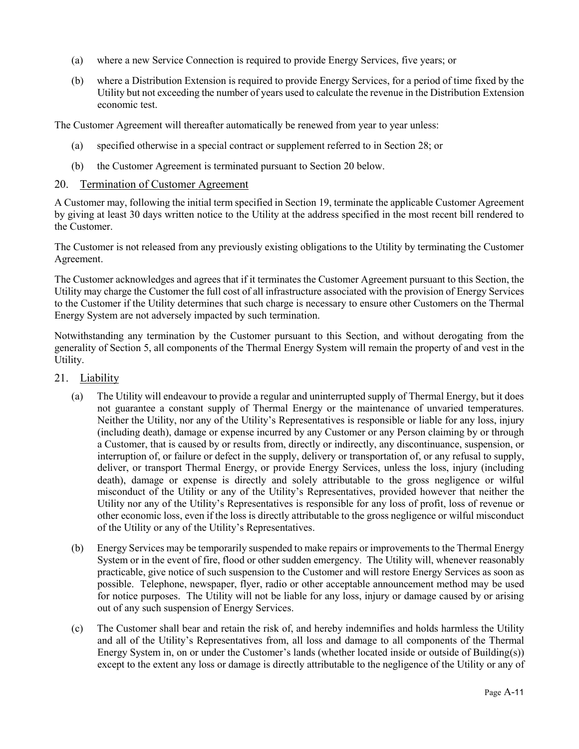- (a) where a new Service Connection is required to provide Energy Services, five years; or
- (b) where a Distribution Extension is required to provide Energy Services, for a period of time fixed by the Utility but not exceeding the number of years used to calculate the revenue in the Distribution Extension economic test.

The Customer Agreement will thereafter automatically be renewed from year to year unless:

- (a) specified otherwise in a special contract or supplement referred to in Section [28;](#page-36-0) or
- (b) the Customer Agreement is terminated pursuant to Section [20](#page-33-0) below.

# <span id="page-33-0"></span>20. Termination of Customer Agreement

A Customer may, following the initial term specified in Section [19,](#page-32-1) terminate the applicable Customer Agreement by giving at least 30 days written notice to the Utility at the address specified in the most recent bill rendered to the Customer.

The Customer is not released from any previously existing obligations to the Utility by terminating the Customer Agreement.

The Customer acknowledges and agrees that if it terminates the Customer Agreement pursuant to this Section, the Utility may charge the Customer the full cost of all infrastructure associated with the provision of Energy Services to the Customer if the Utility determines that such charge is necessary to ensure other Customers on the Thermal Energy System are not adversely impacted by such termination.

Notwithstanding any termination by the Customer pursuant to this Section, and without derogating from the generality of Section [5,](#page-26-1) all components of the Thermal Energy System will remain the property of and vest in the Utility.

- 21. Liability
	- (a) The Utility will endeavour to provide a regular and uninterrupted supply of Thermal Energy, but it does not guarantee a constant supply of Thermal Energy or the maintenance of unvaried temperatures. Neither the Utility, nor any of the Utility's Representatives is responsible or liable for any loss, injury (including death), damage or expense incurred by any Customer or any Person claiming by or through a Customer, that is caused by or results from, directly or indirectly, any discontinuance, suspension, or interruption of, or failure or defect in the supply, delivery or transportation of, or any refusal to supply, deliver, or transport Thermal Energy, or provide Energy Services, unless the loss, injury (including death), damage or expense is directly and solely attributable to the gross negligence or wilful misconduct of the Utility or any of the Utility's Representatives, provided however that neither the Utility nor any of the Utility's Representatives is responsible for any loss of profit, loss of revenue or other economic loss, even if the loss is directly attributable to the gross negligence or wilful misconduct of the Utility or any of the Utility's Representatives.
	- (b) Energy Services may be temporarily suspended to make repairs or improvements to the Thermal Energy System or in the event of fire, flood or other sudden emergency. The Utility will, whenever reasonably practicable, give notice of such suspension to the Customer and will restore Energy Services as soon as possible. Telephone, newspaper, flyer, radio or other acceptable announcement method may be used for notice purposes. The Utility will not be liable for any loss, injury or damage caused by or arising out of any such suspension of Energy Services.
	- (c) The Customer shall bear and retain the risk of, and hereby indemnifies and holds harmless the Utility and all of the Utility's Representatives from, all loss and damage to all components of the Thermal Energy System in, on or under the Customer's lands (whether located inside or outside of Building(s)) except to the extent any loss or damage is directly attributable to the negligence of the Utility or any of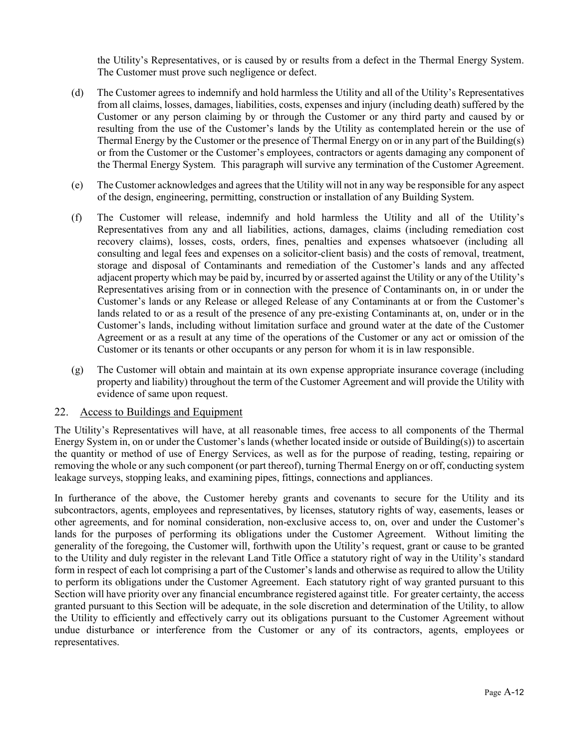the Utility's Representatives, or is caused by or results from a defect in the Thermal Energy System. The Customer must prove such negligence or defect.

- (d) The Customer agrees to indemnify and hold harmless the Utility and all of the Utility's Representatives from all claims, losses, damages, liabilities, costs, expenses and injury (including death) suffered by the Customer or any person claiming by or through the Customer or any third party and caused by or resulting from the use of the Customer's lands by the Utility as contemplated herein or the use of Thermal Energy by the Customer or the presence of Thermal Energy on or in any part of the Building(s) or from the Customer or the Customer's employees, contractors or agents damaging any component of the Thermal Energy System. This paragraph will survive any termination of the Customer Agreement.
- (e) The Customer acknowledges and agrees that the Utility will not in any way be responsible for any aspect of the design, engineering, permitting, construction or installation of any Building System.
- (f) The Customer will release, indemnify and hold harmless the Utility and all of the Utility's Representatives from any and all liabilities, actions, damages, claims (including remediation cost recovery claims), losses, costs, orders, fines, penalties and expenses whatsoever (including all consulting and legal fees and expenses on a solicitor-client basis) and the costs of removal, treatment, storage and disposal of Contaminants and remediation of the Customer's lands and any affected adjacent property which may be paid by, incurred by or asserted against the Utility or any of the Utility's Representatives arising from or in connection with the presence of Contaminants on, in or under the Customer's lands or any Release or alleged Release of any Contaminants at or from the Customer's lands related to or as a result of the presence of any pre-existing Contaminants at, on, under or in the Customer's lands, including without limitation surface and ground water at the date of the Customer Agreement or as a result at any time of the operations of the Customer or any act or omission of the Customer or its tenants or other occupants or any person for whom it is in law responsible.
- (g) The Customer will obtain and maintain at its own expense appropriate insurance coverage (including property and liability) throughout the term of the Customer Agreement and will provide the Utility with evidence of same upon request.

# 22. Access to Buildings and Equipment

The Utility's Representatives will have, at all reasonable times, free access to all components of the Thermal Energy System in, on or under the Customer's lands (whether located inside or outside of Building(s)) to ascertain the quantity or method of use of Energy Services, as well as for the purpose of reading, testing, repairing or removing the whole or any such component (or part thereof), turning Thermal Energy on or off, conducting system leakage surveys, stopping leaks, and examining pipes, fittings, connections and appliances.

In furtherance of the above, the Customer hereby grants and covenants to secure for the Utility and its subcontractors, agents, employees and representatives, by licenses, statutory rights of way, easements, leases or other agreements, and for nominal consideration, non-exclusive access to, on, over and under the Customer's lands for the purposes of performing its obligations under the Customer Agreement. Without limiting the generality of the foregoing, the Customer will, forthwith upon the Utility's request, grant or cause to be granted to the Utility and duly register in the relevant Land Title Office a statutory right of way in the Utility's standard form in respect of each lot comprising a part of the Customer's lands and otherwise as required to allow the Utility to perform its obligations under the Customer Agreement. Each statutory right of way granted pursuant to this Section will have priority over any financial encumbrance registered against title. For greater certainty, the access granted pursuant to this Section will be adequate, in the sole discretion and determination of the Utility, to allow the Utility to efficiently and effectively carry out its obligations pursuant to the Customer Agreement without undue disturbance or interference from the Customer or any of its contractors, agents, employees or representatives.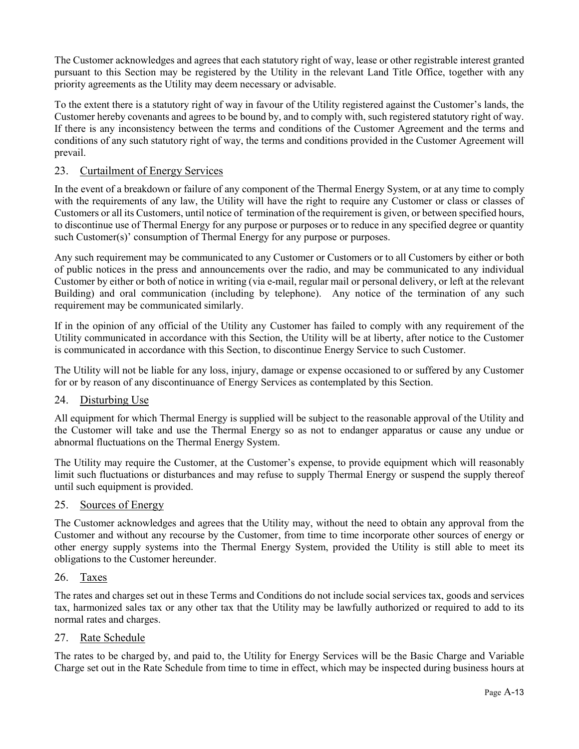The Customer acknowledges and agrees that each statutory right of way, lease or other registrable interest granted pursuant to this Section may be registered by the Utility in the relevant Land Title Office, together with any priority agreements as the Utility may deem necessary or advisable.

To the extent there is a statutory right of way in favour of the Utility registered against the Customer's lands, the Customer hereby covenants and agrees to be bound by, and to comply with, such registered statutory right of way. If there is any inconsistency between the terms and conditions of the Customer Agreement and the terms and conditions of any such statutory right of way, the terms and conditions provided in the Customer Agreement will prevail.

# 23. Curtailment of Energy Services

In the event of a breakdown or failure of any component of the Thermal Energy System, or at any time to comply with the requirements of any law, the Utility will have the right to require any Customer or class or classes of Customers or all its Customers, until notice of termination of the requirement is given, or between specified hours, to discontinue use of Thermal Energy for any purpose or purposes or to reduce in any specified degree or quantity such Customer(s)' consumption of Thermal Energy for any purpose or purposes.

Any such requirement may be communicated to any Customer or Customers or to all Customers by either or both of public notices in the press and announcements over the radio, and may be communicated to any individual Customer by either or both of notice in writing (via e-mail, regular mail or personal delivery, or left at the relevant Building) and oral communication (including by telephone). Any notice of the termination of any such requirement may be communicated similarly.

If in the opinion of any official of the Utility any Customer has failed to comply with any requirement of the Utility communicated in accordance with this Section, the Utility will be at liberty, after notice to the Customer is communicated in accordance with this Section, to discontinue Energy Service to such Customer.

The Utility will not be liable for any loss, injury, damage or expense occasioned to or suffered by any Customer for or by reason of any discontinuance of Energy Services as contemplated by this Section.

# 24. Disturbing Use

All equipment for which Thermal Energy is supplied will be subject to the reasonable approval of the Utility and the Customer will take and use the Thermal Energy so as not to endanger apparatus or cause any undue or abnormal fluctuations on the Thermal Energy System.

The Utility may require the Customer, at the Customer's expense, to provide equipment which will reasonably limit such fluctuations or disturbances and may refuse to supply Thermal Energy or suspend the supply thereof until such equipment is provided.

# 25. Sources of Energy

The Customer acknowledges and agrees that the Utility may, without the need to obtain any approval from the Customer and without any recourse by the Customer, from time to time incorporate other sources of energy or other energy supply systems into the Thermal Energy System, provided the Utility is still able to meet its obligations to the Customer hereunder.

# 26. Taxes

The rates and charges set out in these Terms and Conditions do not include social services tax, goods and services tax, harmonized sales tax or any other tax that the Utility may be lawfully authorized or required to add to its normal rates and charges.

# 27. Rate Schedule

The rates to be charged by, and paid to, the Utility for Energy Services will be the Basic Charge and Variable Charge set out in the Rate Schedule from time to time in effect, which may be inspected during business hours at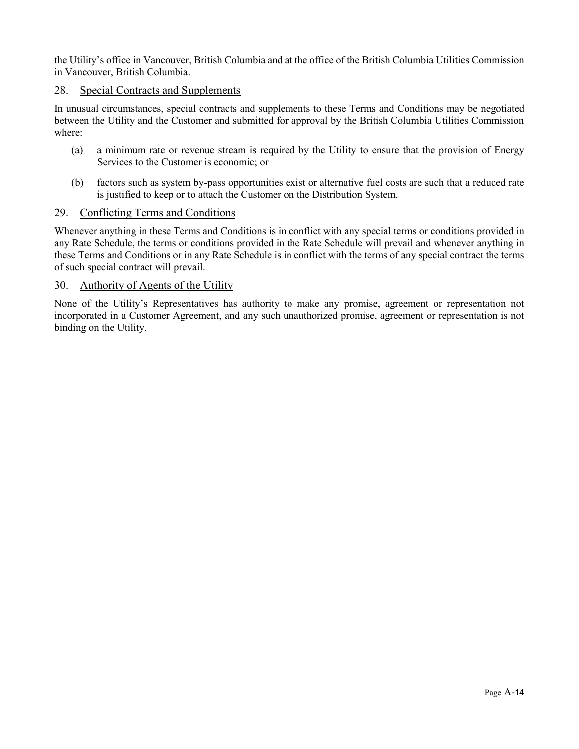the Utility's office in Vancouver, British Columbia and at the office of the British Columbia Utilities Commission in Vancouver, British Columbia.

#### 28. Special Contracts and Supplements

In unusual circumstances, special contracts and supplements to these Terms and Conditions may be negotiated between the Utility and the Customer and submitted for approval by the British Columbia Utilities Commission where:

- (a) a minimum rate or revenue stream is required by the Utility to ensure that the provision of Energy Services to the Customer is economic; or
- (b) factors such as system by-pass opportunities exist or alternative fuel costs are such that a reduced rate is justified to keep or to attach the Customer on the Distribution System.

#### 29. Conflicting Terms and Conditions

Whenever anything in these Terms and Conditions is in conflict with any special terms or conditions provided in any Rate Schedule, the terms or conditions provided in the Rate Schedule will prevail and whenever anything in these Terms and Conditions or in any Rate Schedule is in conflict with the terms of any special contract the terms of such special contract will prevail.

#### 30. Authority of Agents of the Utility

None of the Utility's Representatives has authority to make any promise, agreement or representation not incorporated in a Customer Agreement, and any such unauthorized promise, agreement or representation is not binding on the Utility.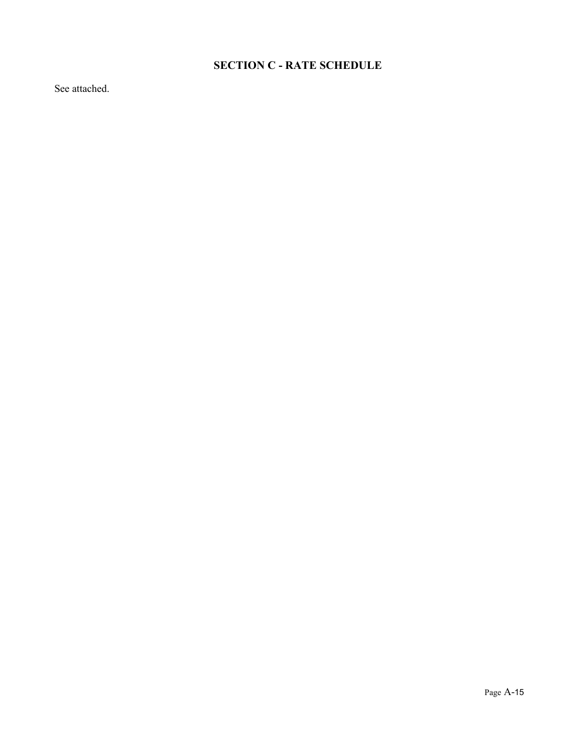# **SECTION C - RATE SCHEDULE**

See attached.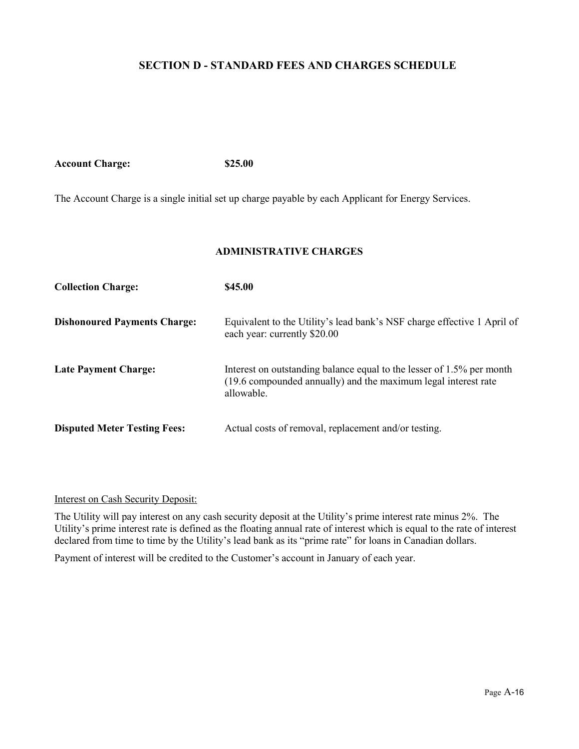#### **SECTION D - STANDARD FEES AND CHARGES SCHEDULE**

**Account Charge: \$25.00**

The Account Charge is a single initial set up charge payable by each Applicant for Energy Services.

#### **ADMINISTRATIVE CHARGES**

| <b>Collection Charge:</b>           | \$45.00                                                                                                                                               |
|-------------------------------------|-------------------------------------------------------------------------------------------------------------------------------------------------------|
| <b>Dishonoured Payments Charge:</b> | Equivalent to the Utility's lead bank's NSF charge effective 1 April of<br>each year: currently \$20.00                                               |
| <b>Late Payment Charge:</b>         | Interest on outstanding balance equal to the lesser of 1.5% per month<br>(19.6 compounded annually) and the maximum legal interest rate<br>allowable. |
| <b>Disputed Meter Testing Fees:</b> | Actual costs of removal, replacement and/or testing.                                                                                                  |

#### Interest on Cash Security Deposit:

The Utility will pay interest on any cash security deposit at the Utility's prime interest rate minus 2%. The Utility's prime interest rate is defined as the floating annual rate of interest which is equal to the rate of interest declared from time to time by the Utility's lead bank as its "prime rate" for loans in Canadian dollars.

Payment of interest will be credited to the Customer's account in January of each year.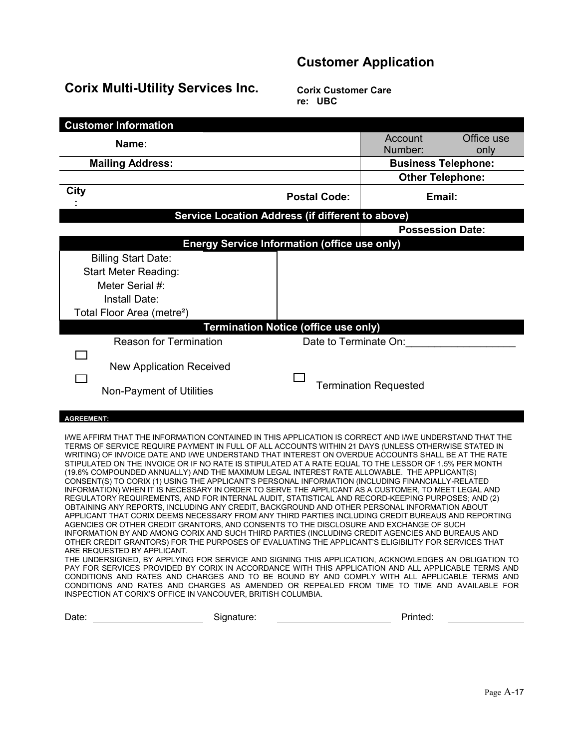# **Customer Application**

# **Corix Multi-Utility Services Inc.**

**Corix Customer Care re: UBC**

| <b>Customer Information</b>                                                                                                                                                                                                                                                                                                                                                                                                                                                                                                                                                                                                                                                                                                                                                                                                                                                                                                                                                                                                                                                                                                                                                                                                                                                                                                                                                                                                                                                                                                                                                                                                                                                                                                                                                                                                                                          |                                             |                              |            |
|----------------------------------------------------------------------------------------------------------------------------------------------------------------------------------------------------------------------------------------------------------------------------------------------------------------------------------------------------------------------------------------------------------------------------------------------------------------------------------------------------------------------------------------------------------------------------------------------------------------------------------------------------------------------------------------------------------------------------------------------------------------------------------------------------------------------------------------------------------------------------------------------------------------------------------------------------------------------------------------------------------------------------------------------------------------------------------------------------------------------------------------------------------------------------------------------------------------------------------------------------------------------------------------------------------------------------------------------------------------------------------------------------------------------------------------------------------------------------------------------------------------------------------------------------------------------------------------------------------------------------------------------------------------------------------------------------------------------------------------------------------------------------------------------------------------------------------------------------------------------|---------------------------------------------|------------------------------|------------|
| Name:                                                                                                                                                                                                                                                                                                                                                                                                                                                                                                                                                                                                                                                                                                                                                                                                                                                                                                                                                                                                                                                                                                                                                                                                                                                                                                                                                                                                                                                                                                                                                                                                                                                                                                                                                                                                                                                                |                                             | Account                      | Office use |
|                                                                                                                                                                                                                                                                                                                                                                                                                                                                                                                                                                                                                                                                                                                                                                                                                                                                                                                                                                                                                                                                                                                                                                                                                                                                                                                                                                                                                                                                                                                                                                                                                                                                                                                                                                                                                                                                      |                                             | Number:                      | only       |
| <b>Mailing Address:</b>                                                                                                                                                                                                                                                                                                                                                                                                                                                                                                                                                                                                                                                                                                                                                                                                                                                                                                                                                                                                                                                                                                                                                                                                                                                                                                                                                                                                                                                                                                                                                                                                                                                                                                                                                                                                                                              |                                             | <b>Business Telephone:</b>   |            |
|                                                                                                                                                                                                                                                                                                                                                                                                                                                                                                                                                                                                                                                                                                                                                                                                                                                                                                                                                                                                                                                                                                                                                                                                                                                                                                                                                                                                                                                                                                                                                                                                                                                                                                                                                                                                                                                                      |                                             | <b>Other Telephone:</b>      |            |
| City                                                                                                                                                                                                                                                                                                                                                                                                                                                                                                                                                                                                                                                                                                                                                                                                                                                                                                                                                                                                                                                                                                                                                                                                                                                                                                                                                                                                                                                                                                                                                                                                                                                                                                                                                                                                                                                                 | <b>Postal Code:</b>                         | Email:                       |            |
| Service Location Address (if different to above)                                                                                                                                                                                                                                                                                                                                                                                                                                                                                                                                                                                                                                                                                                                                                                                                                                                                                                                                                                                                                                                                                                                                                                                                                                                                                                                                                                                                                                                                                                                                                                                                                                                                                                                                                                                                                     |                                             |                              |            |
|                                                                                                                                                                                                                                                                                                                                                                                                                                                                                                                                                                                                                                                                                                                                                                                                                                                                                                                                                                                                                                                                                                                                                                                                                                                                                                                                                                                                                                                                                                                                                                                                                                                                                                                                                                                                                                                                      |                                             | <b>Possession Date:</b>      |            |
| <b>Energy Service Information (office use only)</b>                                                                                                                                                                                                                                                                                                                                                                                                                                                                                                                                                                                                                                                                                                                                                                                                                                                                                                                                                                                                                                                                                                                                                                                                                                                                                                                                                                                                                                                                                                                                                                                                                                                                                                                                                                                                                  |                                             |                              |            |
| <b>Billing Start Date:</b>                                                                                                                                                                                                                                                                                                                                                                                                                                                                                                                                                                                                                                                                                                                                                                                                                                                                                                                                                                                                                                                                                                                                                                                                                                                                                                                                                                                                                                                                                                                                                                                                                                                                                                                                                                                                                                           |                                             |                              |            |
| <b>Start Meter Reading:</b>                                                                                                                                                                                                                                                                                                                                                                                                                                                                                                                                                                                                                                                                                                                                                                                                                                                                                                                                                                                                                                                                                                                                                                                                                                                                                                                                                                                                                                                                                                                                                                                                                                                                                                                                                                                                                                          |                                             |                              |            |
| Meter Serial #:                                                                                                                                                                                                                                                                                                                                                                                                                                                                                                                                                                                                                                                                                                                                                                                                                                                                                                                                                                                                                                                                                                                                                                                                                                                                                                                                                                                                                                                                                                                                                                                                                                                                                                                                                                                                                                                      |                                             |                              |            |
| Install Date:                                                                                                                                                                                                                                                                                                                                                                                                                                                                                                                                                                                                                                                                                                                                                                                                                                                                                                                                                                                                                                                                                                                                                                                                                                                                                                                                                                                                                                                                                                                                                                                                                                                                                                                                                                                                                                                        |                                             |                              |            |
| Total Floor Area (metre <sup>2</sup> )                                                                                                                                                                                                                                                                                                                                                                                                                                                                                                                                                                                                                                                                                                                                                                                                                                                                                                                                                                                                                                                                                                                                                                                                                                                                                                                                                                                                                                                                                                                                                                                                                                                                                                                                                                                                                               |                                             |                              |            |
|                                                                                                                                                                                                                                                                                                                                                                                                                                                                                                                                                                                                                                                                                                                                                                                                                                                                                                                                                                                                                                                                                                                                                                                                                                                                                                                                                                                                                                                                                                                                                                                                                                                                                                                                                                                                                                                                      | <b>Termination Notice (office use only)</b> |                              |            |
| <b>Reason for Termination</b>                                                                                                                                                                                                                                                                                                                                                                                                                                                                                                                                                                                                                                                                                                                                                                                                                                                                                                                                                                                                                                                                                                                                                                                                                                                                                                                                                                                                                                                                                                                                                                                                                                                                                                                                                                                                                                        | Date to Terminate On:                       |                              |            |
|                                                                                                                                                                                                                                                                                                                                                                                                                                                                                                                                                                                                                                                                                                                                                                                                                                                                                                                                                                                                                                                                                                                                                                                                                                                                                                                                                                                                                                                                                                                                                                                                                                                                                                                                                                                                                                                                      |                                             |                              |            |
| <b>New Application Received</b>                                                                                                                                                                                                                                                                                                                                                                                                                                                                                                                                                                                                                                                                                                                                                                                                                                                                                                                                                                                                                                                                                                                                                                                                                                                                                                                                                                                                                                                                                                                                                                                                                                                                                                                                                                                                                                      |                                             |                              |            |
|                                                                                                                                                                                                                                                                                                                                                                                                                                                                                                                                                                                                                                                                                                                                                                                                                                                                                                                                                                                                                                                                                                                                                                                                                                                                                                                                                                                                                                                                                                                                                                                                                                                                                                                                                                                                                                                                      |                                             | <b>Termination Requested</b> |            |
| Non-Payment of Utilities                                                                                                                                                                                                                                                                                                                                                                                                                                                                                                                                                                                                                                                                                                                                                                                                                                                                                                                                                                                                                                                                                                                                                                                                                                                                                                                                                                                                                                                                                                                                                                                                                                                                                                                                                                                                                                             |                                             |                              |            |
|                                                                                                                                                                                                                                                                                                                                                                                                                                                                                                                                                                                                                                                                                                                                                                                                                                                                                                                                                                                                                                                                                                                                                                                                                                                                                                                                                                                                                                                                                                                                                                                                                                                                                                                                                                                                                                                                      |                                             |                              |            |
| <b>AGREEMENT:</b>                                                                                                                                                                                                                                                                                                                                                                                                                                                                                                                                                                                                                                                                                                                                                                                                                                                                                                                                                                                                                                                                                                                                                                                                                                                                                                                                                                                                                                                                                                                                                                                                                                                                                                                                                                                                                                                    |                                             |                              |            |
| I/WE AFFIRM THAT THE INFORMATION CONTAINED IN THIS APPLICATION IS CORRECT AND I/WE UNDERSTAND THAT THE<br>TERMS OF SERVICE REQUIRE PAYMENT IN FULL OF ALL ACCOUNTS WITHIN 21 DAYS (UNLESS OTHERWISE STATED IN<br>WRITING) OF INVOICE DATE AND I/WE UNDERSTAND THAT INTEREST ON OVERDUE ACCOUNTS SHALL BE AT THE RATE<br>STIPULATED ON THE INVOICE OR IF NO RATE IS STIPULATED AT A RATE EQUAL TO THE LESSOR OF 1.5% PER MONTH<br>(19.6% COMPOUNDED ANNUALLY) AND THE MAXIMUM LEGAL INTEREST RATE ALLOWABLE. THE APPLICANT(S)<br>CONSENT(S) TO CORIX (1) USING THE APPLICANT'S PERSONAL INFORMATION (INCLUDING FINANCIALLY-RELATED<br>INFORMATION) WHEN IT IS NECESSARY IN ORDER TO SERVE THE APPLICANT AS A CUSTOMER, TO MEET LEGAL AND<br>REGULATORY REQUIREMENTS, AND FOR INTERNAL AUDIT, STATISTICAL AND RECORD-KEEPING PURPOSES; AND (2)<br>OBTAINING ANY REPORTS, INCLUDING ANY CREDIT, BACKGROUND AND OTHER PERSONAL INFORMATION ABOUT<br>APPLICANT THAT CORIX DEEMS NECESSARY FROM ANY THIRD PARTIES INCLUDING CREDIT BUREAUS AND REPORTING<br>AGENCIES OR OTHER CREDIT GRANTORS, AND CONSENTS TO THE DISCLOSURE AND EXCHANGE OF SUCH<br>INFORMATION BY AND AMONG CORIX AND SUCH THIRD PARTIES (INCLUDING CREDIT AGENCIES AND BUREAUS AND<br>OTHER CREDIT GRANTORS) FOR THE PURPOSES OF EVALUATING THE APPLICANT'S ELIGIBILITY FOR SERVICES THAT<br>ARE REQUESTED BY APPLICANT.<br>THE UNDERSIGNED, BY APPLYING FOR SERVICE AND SIGNING THIS APPLICATION, ACKNOWLEDGES AN OBLIGATION TO<br>PAY FOR SERVICES PROVIDED BY CORIX IN ACCORDANCE WITH THIS APPLICATION AND ALL APPLICABLE TERMS AND<br>CONDITIONS AND RATES AND CHARGES AND TO BE BOUND BY AND COMPLY WITH ALL APPLICABLE TERMS AND<br>CONDITIONS AND RATES AND CHARGES AS AMENDED OR REPEALED FROM TIME TO TIME AND AVAILABLE FOR<br>INSPECTION AT CORIX'S OFFICE IN VANCOUVER, BRITISH COLUMBIA. |                                             |                              |            |
| Date:<br>Signature:                                                                                                                                                                                                                                                                                                                                                                                                                                                                                                                                                                                                                                                                                                                                                                                                                                                                                                                                                                                                                                                                                                                                                                                                                                                                                                                                                                                                                                                                                                                                                                                                                                                                                                                                                                                                                                                  |                                             | Printed:                     |            |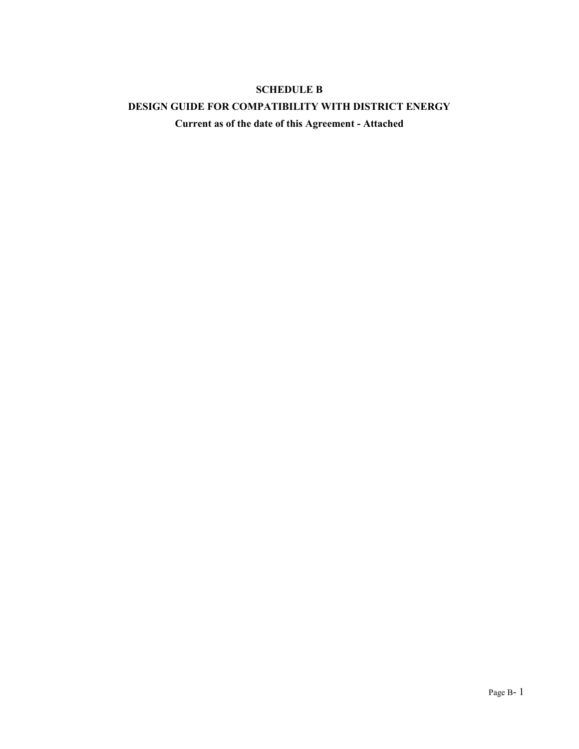#### **SCHEDULE B**

#### **DESIGN GUIDE FOR COMPATIBILITY WITH DISTRICT ENERGY**

**Current as of the date of this Agreement - Attached**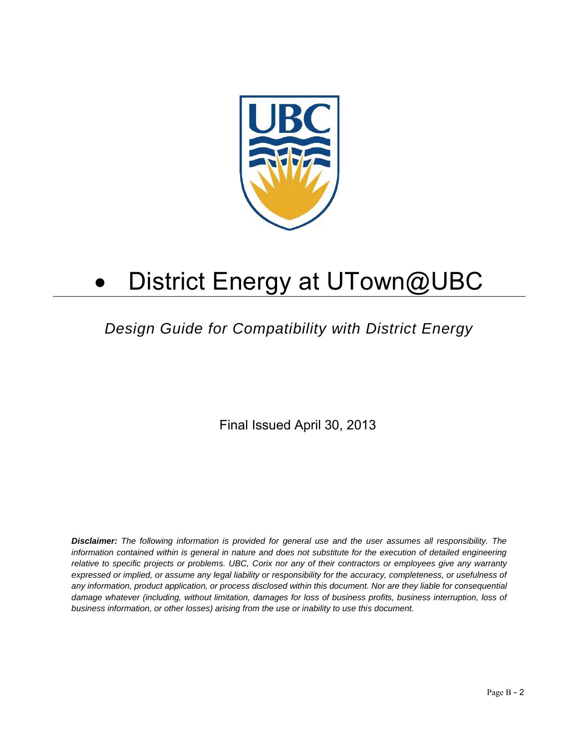

# District Energy at UTown@UBC

# *Design Guide for Compatibility with District Energy*

Final Issued April 30, 2013

*Disclaimer: The following information is provided for general use and the user assumes all responsibility. The*  information contained within is general in nature and does not substitute for the execution of detailed engineering *relative to specific projects or problems. UBC, Corix nor any of their contractors or employees give any warranty expressed or implied, or assume any legal liability or responsibility for the accuracy, completeness, or usefulness of any information, product application, or process disclosed within this document. Nor are they liable for consequential damage whatever (including, without limitation, damages for loss of business profits, business interruption, loss of business information, or other losses) arising from the use or inability to use this document.*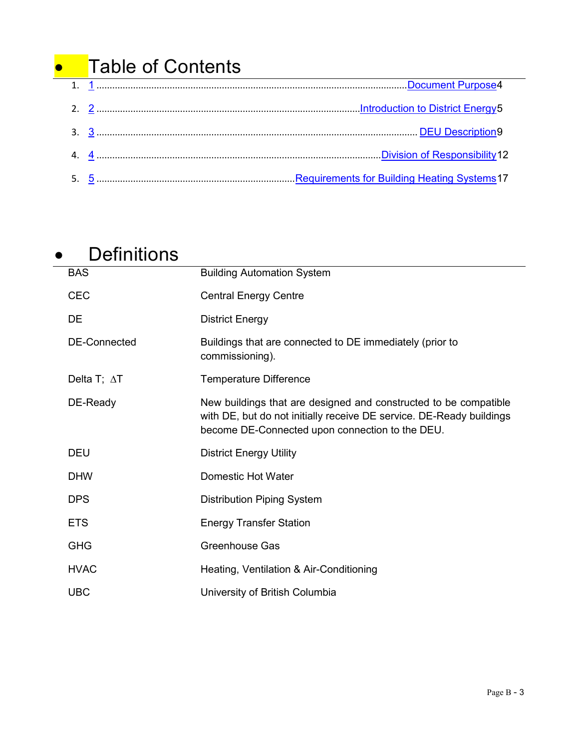# **•** Table of Contents

# **•** Definitions

| <b>BAS</b>          | <b>Building Automation System</b>                                                                                                                                                           |
|---------------------|---------------------------------------------------------------------------------------------------------------------------------------------------------------------------------------------|
| <b>CEC</b>          | <b>Central Energy Centre</b>                                                                                                                                                                |
| DE                  | <b>District Energy</b>                                                                                                                                                                      |
| <b>DE-Connected</b> | Buildings that are connected to DE immediately (prior to<br>commissioning).                                                                                                                 |
| Delta T; $\Delta T$ | <b>Temperature Difference</b>                                                                                                                                                               |
| DE-Ready            | New buildings that are designed and constructed to be compatible<br>with DE, but do not initially receive DE service. DE-Ready buildings<br>become DE-Connected upon connection to the DEU. |
| <b>DEU</b>          | <b>District Energy Utility</b>                                                                                                                                                              |
| <b>DHW</b>          | Domestic Hot Water                                                                                                                                                                          |
| <b>DPS</b>          | <b>Distribution Piping System</b>                                                                                                                                                           |
| <b>ETS</b>          | <b>Energy Transfer Station</b>                                                                                                                                                              |
| <b>GHG</b>          | <b>Greenhouse Gas</b>                                                                                                                                                                       |
| <b>HVAC</b>         | Heating, Ventilation & Air-Conditioning                                                                                                                                                     |
| <b>UBC</b>          | University of British Columbia                                                                                                                                                              |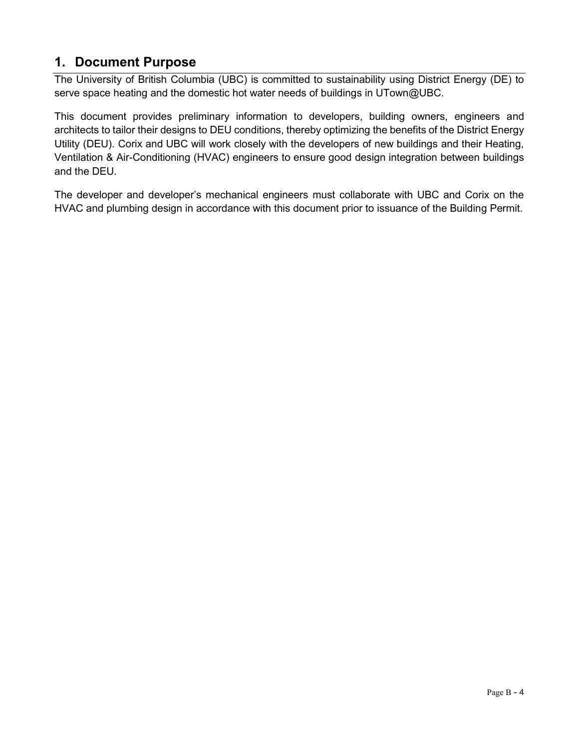# <span id="page-43-0"></span>**1. Document Purpose**

The University of British Columbia (UBC) is committed to sustainability using District Energy (DE) to serve space heating and the domestic hot water needs of buildings in UTown@UBC.

This document provides preliminary information to developers, building owners, engineers and architects to tailor their designs to DEU conditions, thereby optimizing the benefits of the District Energy Utility (DEU). Corix and UBC will work closely with the developers of new buildings and their Heating, Ventilation & Air-Conditioning (HVAC) engineers to ensure good design integration between buildings and the DEU.

The developer and developer's mechanical engineers must collaborate with UBC and Corix on the HVAC and plumbing design in accordance with this document prior to issuance of the Building Permit.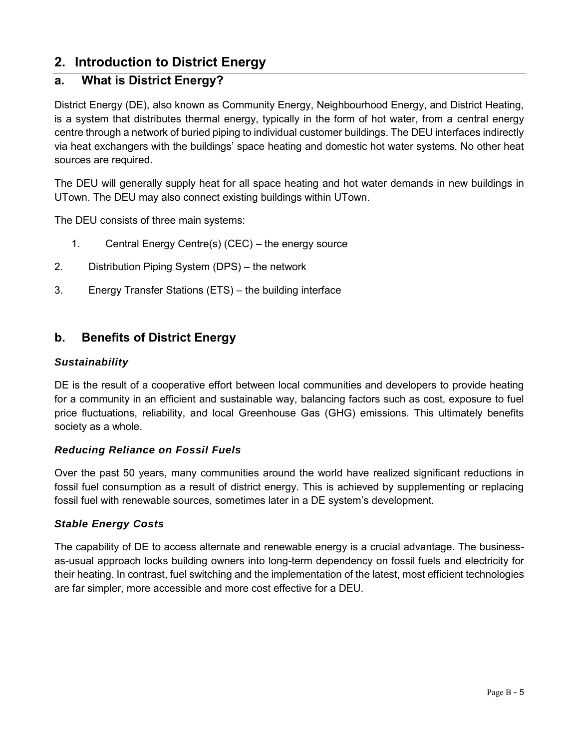# <span id="page-44-0"></span>**2. Introduction to District Energy**

### **a. What is District Energy?**

District Energy (DE), also known as Community Energy, Neighbourhood Energy, and District Heating, is a system that distributes thermal energy, typically in the form of hot water, from a central energy centre through a network of buried piping to individual customer buildings. The DEU interfaces indirectly via heat exchangers with the buildings' space heating and domestic hot water systems. No other heat sources are required.

The DEU will generally supply heat for all space heating and hot water demands in new buildings in UTown. The DEU may also connect existing buildings within UTown.

The DEU consists of three main systems:

- 1. Central Energy Centre(s) (CEC) the energy source
- 2. Distribution Piping System (DPS) the network
- 3. Energy Transfer Stations (ETS) the building interface

#### **b. Benefits of District Energy**

#### *Sustainability*

DE is the result of a cooperative effort between local communities and developers to provide heating for a community in an efficient and sustainable way, balancing factors such as cost, exposure to fuel price fluctuations, reliability, and local Greenhouse Gas (GHG) emissions. This ultimately benefits society as a whole.

#### *Reducing Reliance on Fossil Fuels*

Over the past 50 years, many communities around the world have realized significant reductions in fossil fuel consumption as a result of district energy. This is achieved by supplementing or replacing fossil fuel with renewable sources, sometimes later in a DE system's development.

#### *Stable Energy Costs*

The capability of DE to access alternate and renewable energy is a crucial advantage. The businessas-usual approach locks building owners into long-term dependency on fossil fuels and electricity for their heating. In contrast, fuel switching and the implementation of the latest, most efficient technologies are far simpler, more accessible and more cost effective for a DEU.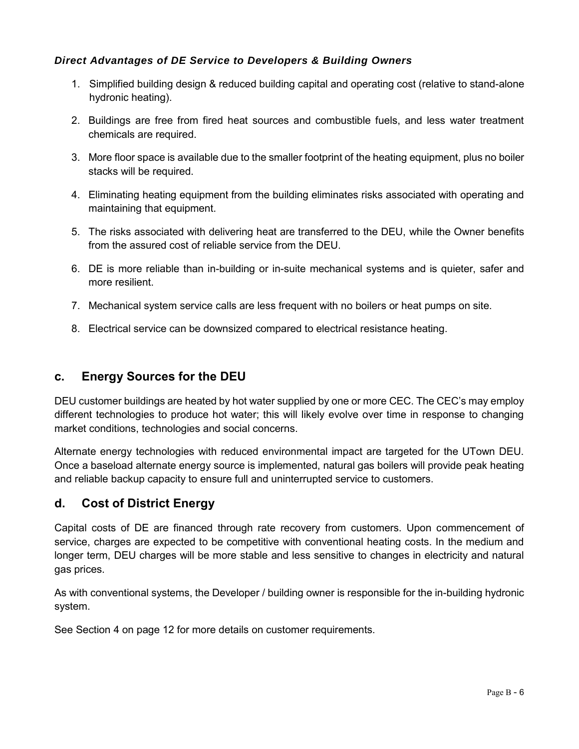#### *Direct Advantages of DE Service to Developers & Building Owners*

- 1. Simplified building design & reduced building capital and operating cost (relative to stand-alone hydronic heating).
- 2. Buildings are free from fired heat sources and combustible fuels, and less water treatment chemicals are required.
- 3. More floor space is available due to the smaller footprint of the heating equipment, plus no boiler stacks will be required.
- 4. Eliminating heating equipment from the building eliminates risks associated with operating and maintaining that equipment.
- 5. The risks associated with delivering heat are transferred to the DEU, while the Owner benefits from the assured cost of reliable service from the DEU.
- 6. DE is more reliable than in-building or in-suite mechanical systems and is quieter, safer and more resilient.
- 7. Mechanical system service calls are less frequent with no boilers or heat pumps on site.
- 8. Electrical service can be downsized compared to electrical resistance heating.

#### **c. Energy Sources for the DEU**

DEU customer buildings are heated by hot water supplied by one or more CEC. The CEC's may employ different technologies to produce hot water; this will likely evolve over time in response to changing market conditions, technologies and social concerns.

Alternate energy technologies with reduced environmental impact are targeted for the UTown DEU. Once a baseload alternate energy source is implemented, natural gas boilers will provide peak heating and reliable backup capacity to ensure full and uninterrupted service to customers.

#### **d. Cost of District Energy**

Capital costs of DE are financed through rate recovery from customers. Upon commencement of service, charges are expected to be competitive with conventional heating costs. In the medium and longer term, DEU charges will be more stable and less sensitive to changes in electricity and natural gas prices.

As with conventional systems, the Developer / building owner is responsible for the in-building hydronic system.

See Section [4](#page-51-0) on page [12](#page-51-0) for more details on customer requirements.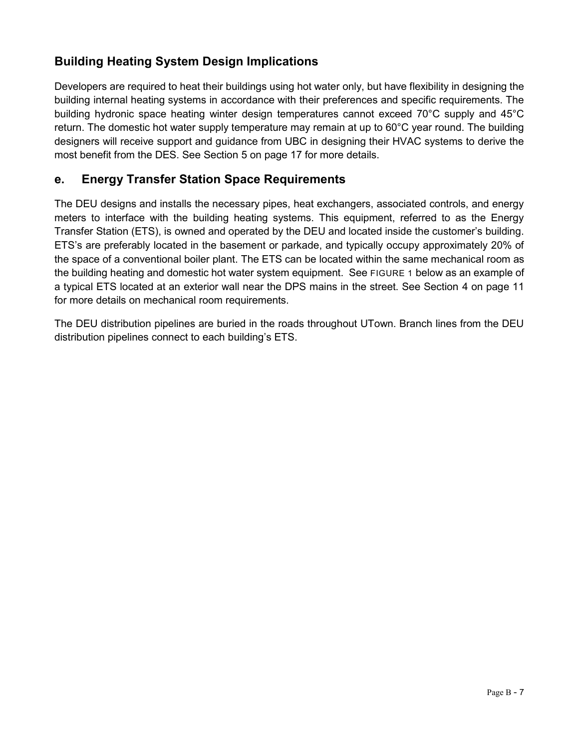# **Building Heating System Design Implications**

Developers are required to heat their buildings using hot water only, but have flexibility in designing the building internal heating systems in accordance with their preferences and specific requirements. The building hydronic space heating winter design temperatures cannot exceed 70°C supply and 45°C return. The domestic hot water supply temperature may remain at up to 60°C year round. The building designers will receive support and guidance from UBC in designing their HVAC systems to derive the most benefit from the DES. See Section [5](#page-56-0) on page [17](#page-56-0) for more details.

#### **e. Energy Transfer Station Space Requirements**

The DEU designs and installs the necessary pipes, heat exchangers, associated controls, and energy meters to interface with the building heating systems. This equipment, referred to as the Energy Transfer Station (ETS), is owned and operated by the DEU and located inside the customer's building. ETS's are preferably located in the basement or parkade, and typically occupy approximately 20% of the space of a conventional boiler plant. The ETS can be located within the same mechanical room as the building heating and domestic hot water system equipment. See [FIGURE 1](#page-47-0) [below](#page-47-0) as an example of a typical ETS located at an exterior wall near the DPS mains in the street. See Section [4](#page-51-0) on page 11 for more details on mechanical room requirements.

The DEU distribution pipelines are buried in the roads throughout UTown. Branch lines from the DEU distribution pipelines connect to each building's ETS.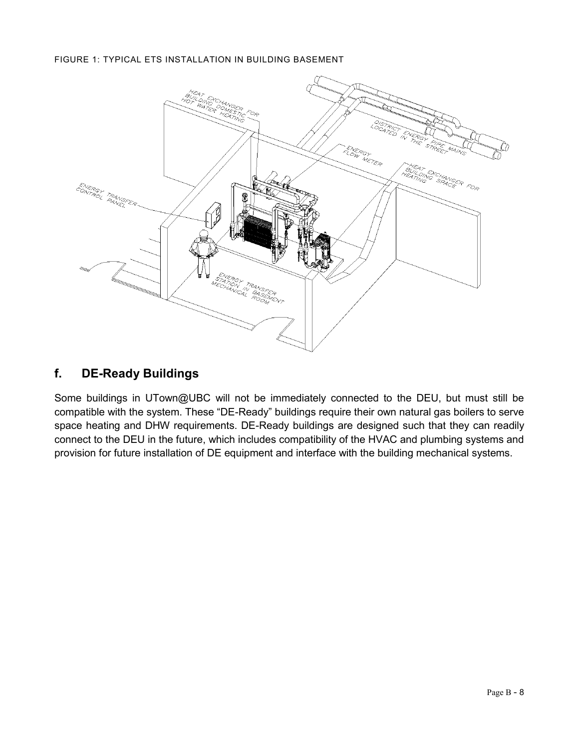#### <span id="page-47-0"></span>FIGURE 1: TYPICAL ETS INSTALLATION IN BUILDING BASEMENT



#### **f. DE-Ready Buildings**

Some buildings in UTown@UBC will not be immediately connected to the DEU, but must still be compatible with the system. These "DE-Ready" buildings require their own natural gas boilers to serve space heating and DHW requirements. DE-Ready buildings are designed such that they can readily connect to the DEU in the future, which includes compatibility of the HVAC and plumbing systems and provision for future installation of DE equipment and interface with the building mechanical systems.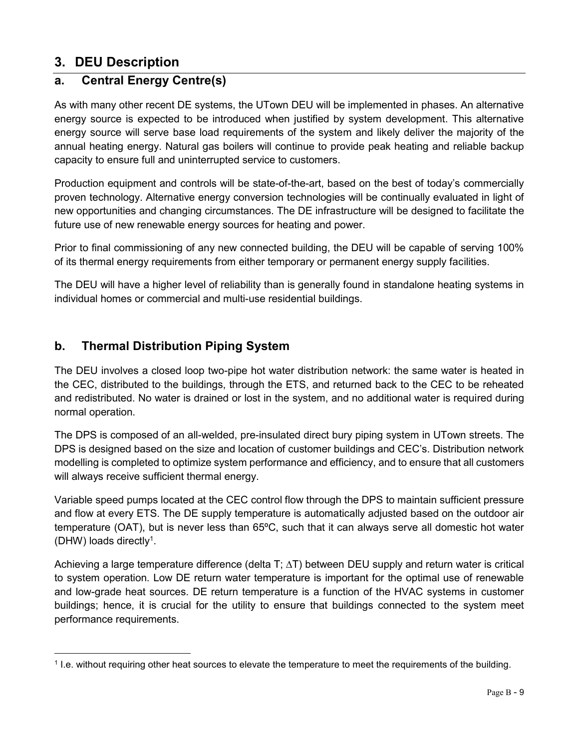# <span id="page-48-0"></span>**3. DEU Description**

### **a. Central Energy Centre(s)**

As with many other recent DE systems, the UTown DEU will be implemented in phases. An alternative energy source is expected to be introduced when justified by system development. This alternative energy source will serve base load requirements of the system and likely deliver the majority of the annual heating energy. Natural gas boilers will continue to provide peak heating and reliable backup capacity to ensure full and uninterrupted service to customers.

Production equipment and controls will be state-of-the-art, based on the best of today's commercially proven technology. Alternative energy conversion technologies will be continually evaluated in light of new opportunities and changing circumstances. The DE infrastructure will be designed to facilitate the future use of new renewable energy sources for heating and power.

Prior to final commissioning of any new connected building, the DEU will be capable of serving 100% of its thermal energy requirements from either temporary or permanent energy supply facilities.

The DEU will have a higher level of reliability than is generally found in standalone heating systems in individual homes or commercial and multi-use residential buildings.

### **b. Thermal Distribution Piping System**

 $\overline{a}$ 

The DEU involves a closed loop two-pipe hot water distribution network: the same water is heated in the CEC, distributed to the buildings, through the ETS, and returned back to the CEC to be reheated and redistributed. No water is drained or lost in the system, and no additional water is required during normal operation.

The DPS is composed of an all-welded, pre-insulated direct bury piping system in UTown streets. The DPS is designed based on the size and location of customer buildings and CEC's. Distribution network modelling is completed to optimize system performance and efficiency, and to ensure that all customers will always receive sufficient thermal energy.

Variable speed pumps located at the CEC control flow through the DPS to maintain sufficient pressure and flow at every ETS. The DE supply temperature is automatically adjusted based on the outdoor air temperature (OAT), but is never less than 65ºC, such that it can always serve all domestic hot water (DHW) loads directly<sup>1</sup>.

Achieving a large temperature difference (delta T; ∆T) between DEU supply and return water is critical to system operation. Low DE return water temperature is important for the optimal use of renewable and low-grade heat sources. DE return temperature is a function of the HVAC systems in customer buildings; hence, it is crucial for the utility to ensure that buildings connected to the system meet performance requirements.

<sup>1</sup> I.e. without requiring other heat sources to elevate the temperature to meet the requirements of the building.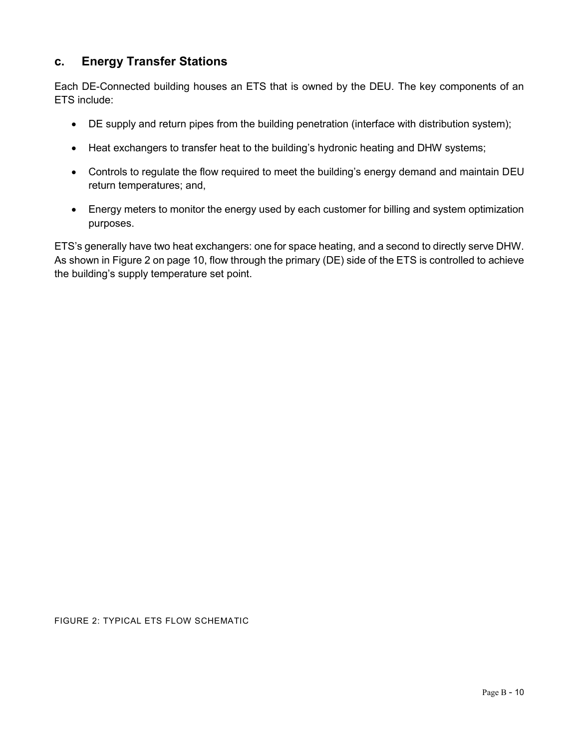### **c. Energy Transfer Stations**

Each DE-Connected building houses an ETS that is owned by the DEU. The key components of an ETS include:

- DE supply and return pipes from the building penetration (interface with distribution system);
- Heat exchangers to transfer heat to the building's hydronic heating and DHW systems;
- Controls to regulate the flow required to meet the building's energy demand and maintain DEU return temperatures; and,
- Energy meters to monitor the energy used by each customer for billing and system optimization purposes.

ETS's generally have two heat exchangers: one for space heating, and a second to directly serve DHW. As shown in [Figure 2](#page-49-0) on pag[e 10,](#page-49-0) flow through the primary (DE) side of the ETS is controlled to achieve the building's supply temperature set point.

<span id="page-49-0"></span>FIGURE 2: TYPICAL ETS FLOW SCHEMATIC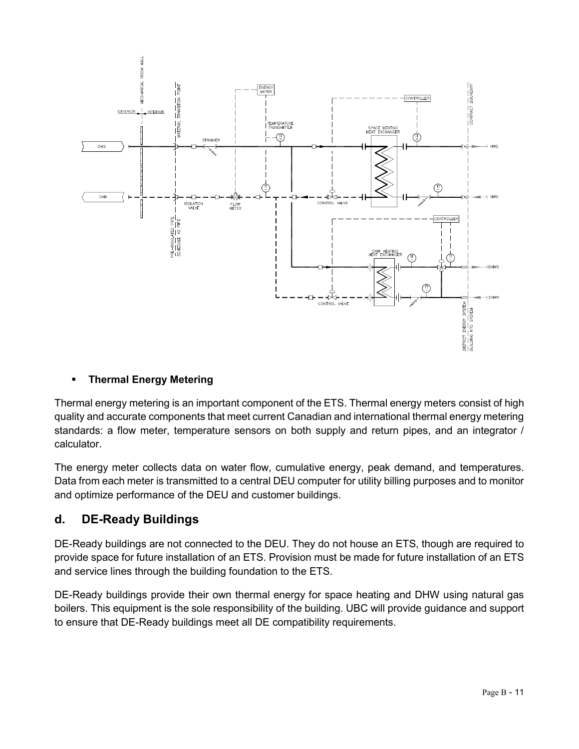

#### **Thermal Energy Metering**

Thermal energy metering is an important component of the ETS. Thermal energy meters consist of high quality and accurate components that meet current Canadian and international thermal energy metering standards: a flow meter, temperature sensors on both supply and return pipes, and an integrator / calculator.

The energy meter collects data on water flow, cumulative energy, peak demand, and temperatures. Data from each meter is transmitted to a central DEU computer for utility billing purposes and to monitor and optimize performance of the DEU and customer buildings.

#### **d. DE-Ready Buildings**

DE-Ready buildings are not connected to the DEU. They do not house an ETS, though are required to provide space for future installation of an ETS. Provision must be made for future installation of an ETS and service lines through the building foundation to the ETS.

DE-Ready buildings provide their own thermal energy for space heating and DHW using natural gas boilers. This equipment is the sole responsibility of the building. UBC will provide guidance and support to ensure that DE-Ready buildings meet all DE compatibility requirements.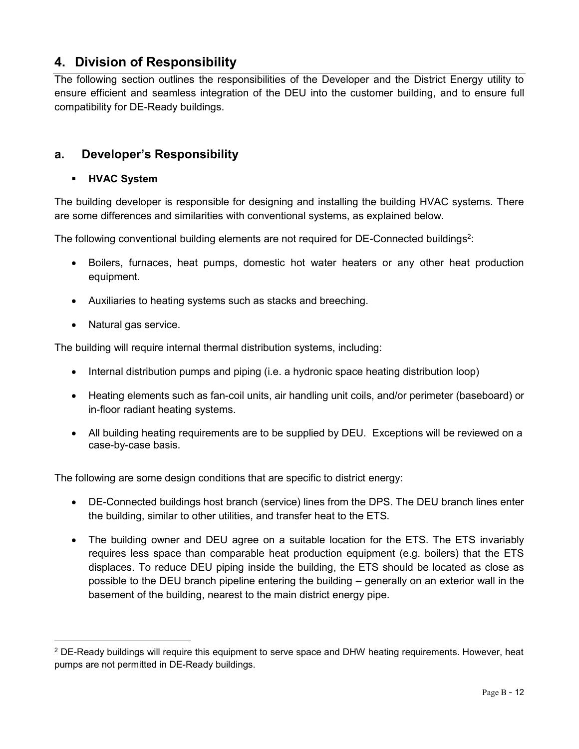# <span id="page-51-0"></span>**4. Division of Responsibility**

The following section outlines the responsibilities of the Developer and the District Energy utility to ensure efficient and seamless integration of the DEU into the customer building, and to ensure full compatibility for DE-Ready buildings.

#### **a. Developer's Responsibility**

#### **HVAC System**

The building developer is responsible for designing and installing the building HVAC systems. There are some differences and similarities with conventional systems, as explained below.

The following conventional building elements are not required for DE-Connected buildings<sup>2</sup>:

- Boilers, furnaces, heat pumps, domestic hot water heaters or any other heat production equipment.
- Auxiliaries to heating systems such as stacks and breeching.
- Natural gas service.

 $\overline{a}$ 

The building will require internal thermal distribution systems, including:

- Internal distribution pumps and piping (i.e. a hydronic space heating distribution loop)
- Heating elements such as fan-coil units, air handling unit coils, and/or perimeter (baseboard) or in-floor radiant heating systems.
- All building heating requirements are to be supplied by DEU. Exceptions will be reviewed on a case-by-case basis.

The following are some design conditions that are specific to district energy:

- DE-Connected buildings host branch (service) lines from the DPS. The DEU branch lines enter the building, similar to other utilities, and transfer heat to the ETS.
- The building owner and DEU agree on a suitable location for the ETS. The ETS invariably requires less space than comparable heat production equipment (e.g. boilers) that the ETS displaces. To reduce DEU piping inside the building, the ETS should be located as close as possible to the DEU branch pipeline entering the building – generally on an exterior wall in the basement of the building, nearest to the main district energy pipe.

<sup>2</sup> DE-Ready buildings will require this equipment to serve space and DHW heating requirements. However, heat pumps are not permitted in DE-Ready buildings.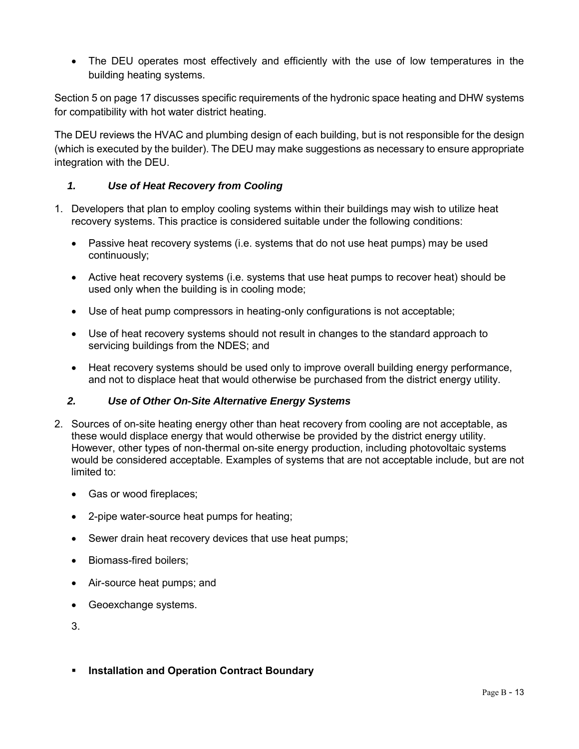The DEU operates most effectively and efficiently with the use of low temperatures in the building heating systems.

Section [5](#page-56-0) on pag[e 17](#page-56-0) discusses specific requirements of the hydronic space heating and DHW systems for compatibility with hot water district heating.

The DEU reviews the HVAC and plumbing design of each building, but is not responsible for the design (which is executed by the builder). The DEU may make suggestions as necessary to ensure appropriate integration with the DEU.

#### *1. Use of Heat Recovery from Cooling*

- 1. Developers that plan to employ cooling systems within their buildings may wish to utilize heat recovery systems. This practice is considered suitable under the following conditions:
	- Passive heat recovery systems (i.e. systems that do not use heat pumps) may be used continuously;
	- Active heat recovery systems (i.e. systems that use heat pumps to recover heat) should be used only when the building is in cooling mode;
	- Use of heat pump compressors in heating-only configurations is not acceptable;
	- Use of heat recovery systems should not result in changes to the standard approach to servicing buildings from the NDES; and
	- Heat recovery systems should be used only to improve overall building energy performance, and not to displace heat that would otherwise be purchased from the district energy utility.

#### *2. Use of Other On-Site Alternative Energy Systems*

- 2. Sources of on-site heating energy other than heat recovery from cooling are not acceptable, as these would displace energy that would otherwise be provided by the district energy utility. However, other types of non-thermal on-site energy production, including photovoltaic systems would be considered acceptable. Examples of systems that are not acceptable include, but are not limited to:
	- Gas or wood fireplaces;
	- 2-pipe water-source heat pumps for heating;
	- Sewer drain heat recovery devices that use heat pumps;
	- Biomass-fired boilers;
	- Air-source heat pumps; and
	- Geoexchange systems.

3.

**F** Installation and Operation Contract Boundary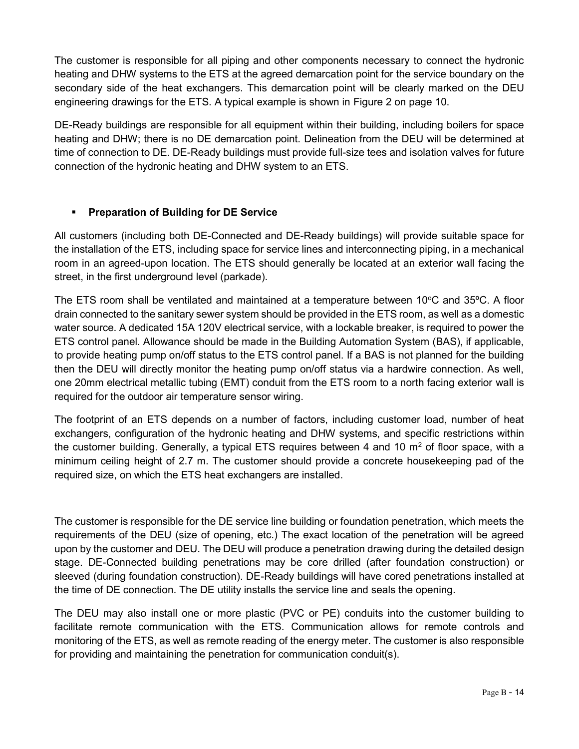The customer is responsible for all piping and other components necessary to connect the hydronic heating and DHW systems to the ETS at the agreed demarcation point for the service boundary on the secondary side of the heat exchangers. This demarcation point will be clearly marked on the DEU engineering drawings for the ETS. A typical example is shown in [Figure 2](#page-49-0) on page [10.](#page-49-0)

DE-Ready buildings are responsible for all equipment within their building, including boilers for space heating and DHW; there is no DE demarcation point. Delineation from the DEU will be determined at time of connection to DE. DE-Ready buildings must provide full-size tees and isolation valves for future connection of the hydronic heating and DHW system to an ETS.

#### **Preparation of Building for DE Service**

All customers (including both DE-Connected and DE-Ready buildings) will provide suitable space for the installation of the ETS, including space for service lines and interconnecting piping, in a mechanical room in an agreed-upon location. The ETS should generally be located at an exterior wall facing the street, in the first underground level (parkade).

The ETS room shall be ventilated and maintained at a temperature between 10 $\degree$ C and 35 $\degree$ C. A floor drain connected to the sanitary sewer system should be provided in the ETS room, as well as a domestic water source. A dedicated 15A 120V electrical service, with a lockable breaker, is required to power the ETS control panel. Allowance should be made in the Building Automation System (BAS), if applicable, to provide heating pump on/off status to the ETS control panel. If a BAS is not planned for the building then the DEU will directly monitor the heating pump on/off status via a hardwire connection. As well, one 20mm electrical metallic tubing (EMT) conduit from the ETS room to a north facing exterior wall is required for the outdoor air temperature sensor wiring.

The footprint of an ETS depends on a number of factors, including customer load, number of heat exchangers, configuration of the hydronic heating and DHW systems, and specific restrictions within the customer building. Generally, a typical ETS requires between 4 and 10 m<sup>2</sup> of floor space, with a minimum ceiling height of 2.7 m. The customer should provide a concrete housekeeping pad of the required size, on which the ETS heat exchangers are installed.

The customer is responsible for the DE service line building or foundation penetration, which meets the requirements of the DEU (size of opening, etc.) The exact location of the penetration will be agreed upon by the customer and DEU. The DEU will produce a penetration drawing during the detailed design stage. DE-Connected building penetrations may be core drilled (after foundation construction) or sleeved (during foundation construction). DE-Ready buildings will have cored penetrations installed at the time of DE connection. The DE utility installs the service line and seals the opening.

The DEU may also install one or more plastic (PVC or PE) conduits into the customer building to facilitate remote communication with the ETS. Communication allows for remote controls and monitoring of the ETS, as well as remote reading of the energy meter. The customer is also responsible for providing and maintaining the penetration for communication conduit(s).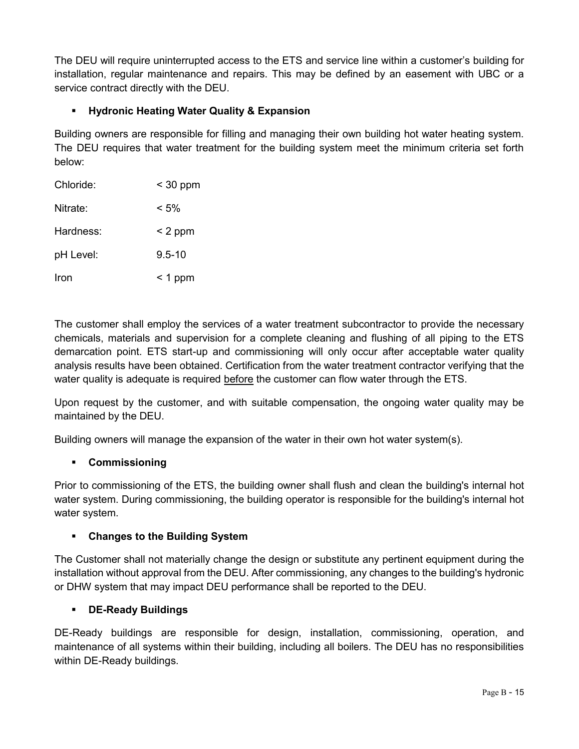The DEU will require uninterrupted access to the ETS and service line within a customer's building for installation, regular maintenance and repairs. This may be defined by an easement with UBC or a service contract directly with the DEU.

#### **Hydronic Heating Water Quality & Expansion**

Building owners are responsible for filling and managing their own building hot water heating system. The DEU requires that water treatment for the building system meet the minimum criteria set forth below:

| Chloride: | $<$ 30 ppm |
|-----------|------------|
| Nitrate:  | $< 5\%$    |
| Hardness: | $< 2$ ppm  |
| pH Level: | $9.5 - 10$ |
| Iron      | $<$ 1 ppm  |

The customer shall employ the services of a water treatment subcontractor to provide the necessary chemicals, materials and supervision for a complete cleaning and flushing of all piping to the ETS demarcation point. ETS start-up and commissioning will only occur after acceptable water quality analysis results have been obtained. Certification from the water treatment contractor verifying that the water quality is adequate is required before the customer can flow water through the ETS.

Upon request by the customer, and with suitable compensation, the ongoing water quality may be maintained by the DEU.

Building owners will manage the expansion of the water in their own hot water system(s).

#### **Commissioning**

Prior to commissioning of the ETS, the building owner shall flush and clean the building's internal hot water system. During commissioning, the building operator is responsible for the building's internal hot water system.

#### **Changes to the Building System**

The Customer shall not materially change the design or substitute any pertinent equipment during the installation without approval from the DEU. After commissioning, any changes to the building's hydronic or DHW system that may impact DEU performance shall be reported to the DEU.

#### **DE-Ready Buildings**

DE-Ready buildings are responsible for design, installation, commissioning, operation, and maintenance of all systems within their building, including all boilers. The DEU has no responsibilities within DE-Ready buildings.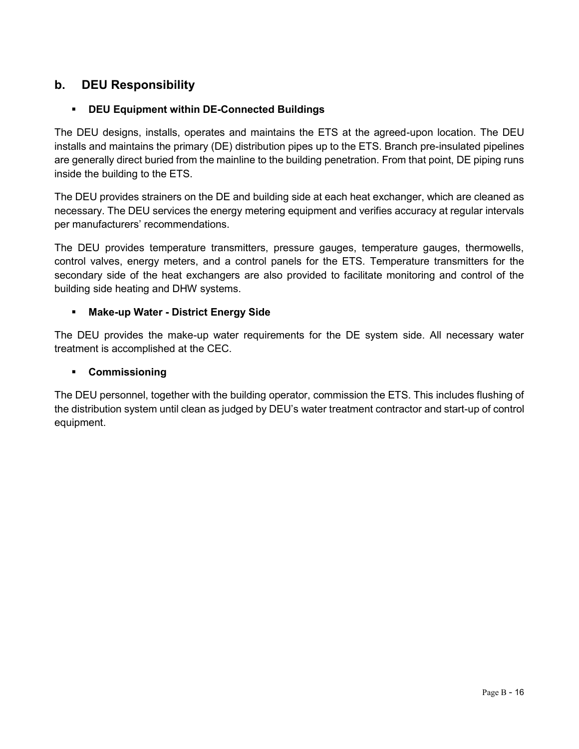### **b. DEU Responsibility**

#### **DEU Equipment within DE-Connected Buildings**

The DEU designs, installs, operates and maintains the ETS at the agreed-upon location. The DEU installs and maintains the primary (DE) distribution pipes up to the ETS. Branch pre-insulated pipelines are generally direct buried from the mainline to the building penetration. From that point, DE piping runs inside the building to the ETS.

The DEU provides strainers on the DE and building side at each heat exchanger, which are cleaned as necessary. The DEU services the energy metering equipment and verifies accuracy at regular intervals per manufacturers' recommendations.

The DEU provides temperature transmitters, pressure gauges, temperature gauges, thermowells, control valves, energy meters, and a control panels for the ETS. Temperature transmitters for the secondary side of the heat exchangers are also provided to facilitate monitoring and control of the building side heating and DHW systems.

#### **Make-up Water - District Energy Side**

The DEU provides the make-up water requirements for the DE system side. All necessary water treatment is accomplished at the CEC.

#### **Commissioning**

The DEU personnel, together with the building operator, commission the ETS. This includes flushing of the distribution system until clean as judged by DEU's water treatment contractor and start-up of control equipment.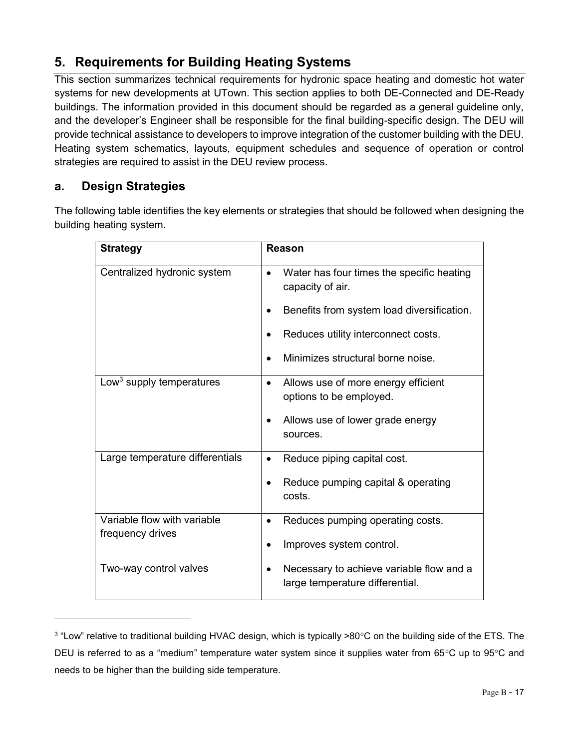# <span id="page-56-0"></span>**5. Requirements for Building Heating Systems**

This section summarizes technical requirements for hydronic space heating and domestic hot water systems for new developments at UTown. This section applies to both DE-Connected and DE-Ready buildings. The information provided in this document should be regarded as a general guideline only, and the developer's Engineer shall be responsible for the final building-specific design. The DEU will provide technical assistance to developers to improve integration of the customer building with the DEU. Heating system schematics, layouts, equipment schedules and sequence of operation or control strategies are required to assist in the DEU review process.

# **a. Design Strategies**

 $\overline{a}$ 

The following table identifies the key elements or strategies that should be followed when designing the building heating system.

| <b>Strategy</b>                      | Reason                                                                     |
|--------------------------------------|----------------------------------------------------------------------------|
| Centralized hydronic system          | Water has four times the specific heating<br>$\bullet$<br>capacity of air. |
|                                      | Benefits from system load diversification.                                 |
|                                      | Reduces utility interconnect costs.                                        |
|                                      | Minimizes structural borne noise.                                          |
| Low <sup>3</sup> supply temperatures | Allows use of more energy efficient<br>$\bullet$                           |
|                                      | options to be employed.                                                    |
|                                      | Allows use of lower grade energy<br>sources.                               |
| Large temperature differentials      | Reduce piping capital cost.<br>$\bullet$                                   |
|                                      | Reduce pumping capital & operating<br>costs.                               |
| Variable flow with variable          | Reduces pumping operating costs.<br>٠                                      |
| frequency drives                     | Improves system control.<br>$\bullet$                                      |
| Two-way control valves               | Necessary to achieve variable flow and a<br>$\bullet$                      |
|                                      | large temperature differential.                                            |
|                                      |                                                                            |

 $^3$  "Low" relative to traditional building HVAC design, which is typically >80°C on the building side of the ETS. The DEU is referred to as a "medium" temperature water system since it supplies water from 65°C up to 95°C and needs to be higher than the building side temperature.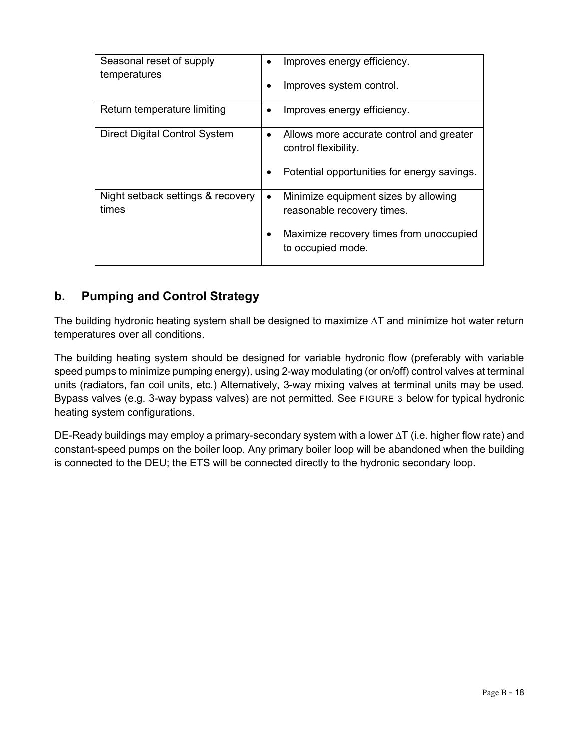| Seasonal reset of supply                   | $\bullet$ | Improves energy efficiency.                                        |
|--------------------------------------------|-----------|--------------------------------------------------------------------|
| temperatures                               | $\bullet$ | Improves system control.                                           |
| Return temperature limiting                | ٠         | Improves energy efficiency.                                        |
| <b>Direct Digital Control System</b>       | $\bullet$ | Allows more accurate control and greater<br>control flexibility.   |
|                                            | $\bullet$ | Potential opportunities for energy savings.                        |
| Night setback settings & recovery<br>times | $\bullet$ | Minimize equipment sizes by allowing<br>reasonable recovery times. |
|                                            | $\bullet$ | Maximize recovery times from unoccupied<br>to occupied mode.       |

# **b. Pumping and Control Strategy**

The building hydronic heating system shall be designed to maximize ∆T and minimize hot water return temperatures over all conditions.

The building heating system should be designed for variable hydronic flow (preferably with variable speed pumps to minimize pumping energy), using 2-way modulating (or on/off) control valves at terminal units (radiators, fan coil units, etc.) Alternatively, 3-way mixing valves at terminal units may be used. Bypass valves (e.g. 3-way bypass valves) are not permitted. See [FIGURE 3](#page-58-0) [below](#page-58-0) for typical hydronic heating system configurations.

DE-Ready buildings may employ a primary-secondary system with a lower ∆T (i.e. higher flow rate) and constant-speed pumps on the boiler loop. Any primary boiler loop will be abandoned when the building is connected to the DEU; the ETS will be connected directly to the hydronic secondary loop.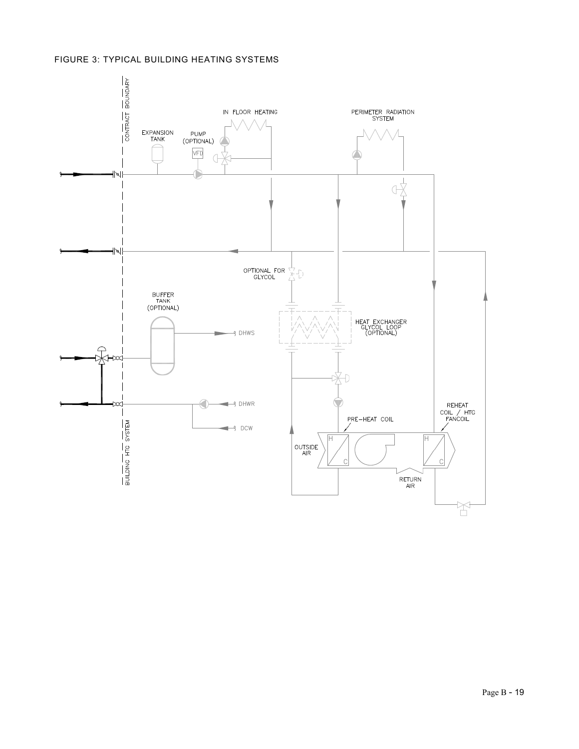#### <span id="page-58-0"></span>FIGURE 3: TYPICAL BUILDING HEATING SYSTEMS

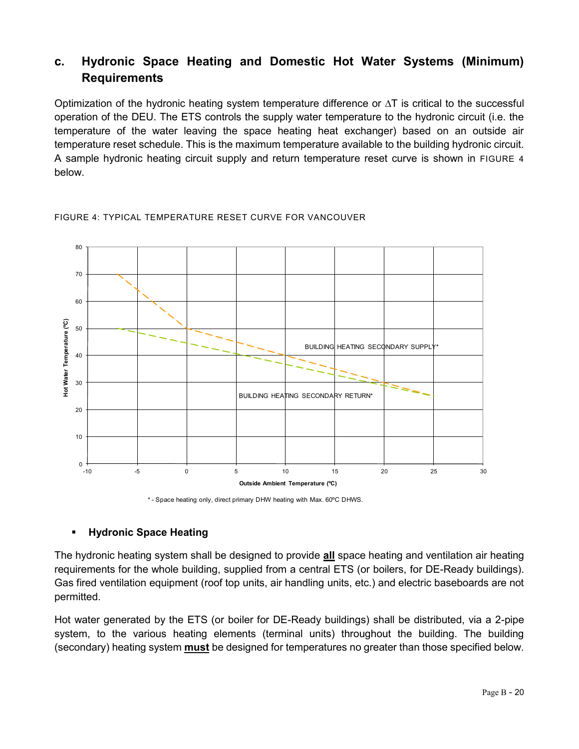# **c. Hydronic Space Heating and Domestic Hot Water Systems (Minimum) Requirements**

Optimization of the hydronic heating system temperature difference or  $\Delta T$  is critical to the successful operation of the DEU. The ETS controls the supply water temperature to the hydronic circuit (i.e. the temperature of the water leaving the space heating heat exchanger) based on an outside air temperature reset schedule. This is the maximum temperature available to the building hydronic circuit. A sample hydronic heating circuit supply and return temperature reset curve is shown in [FIGURE 4](#page-59-0) [below.](#page-59-0)

<span id="page-59-0"></span>



#### **Hydronic Space Heating**

The hydronic heating system shall be designed to provide **all** space heating and ventilation air heating requirements for the whole building, supplied from a central ETS (or boilers, for DE-Ready buildings). Gas fired ventilation equipment (roof top units, air handling units, etc.) and electric baseboards are not permitted.

Hot water generated by the ETS (or boiler for DE-Ready buildings) shall be distributed, via a 2-pipe system, to the various heating elements (terminal units) throughout the building. The building (secondary) heating system **must** be designed for temperatures no greater than those specified below.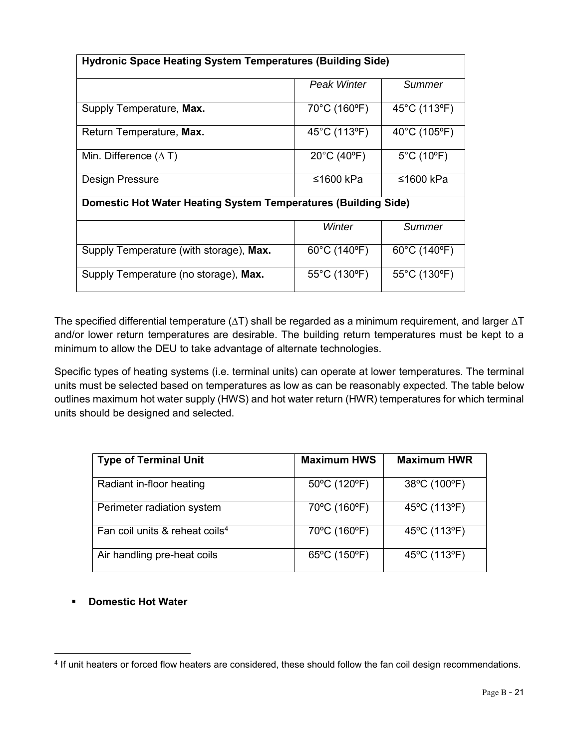| <b>Hydronic Space Heating System Temperatures (Building Side)</b> |                       |                                   |  |
|-------------------------------------------------------------------|-----------------------|-----------------------------------|--|
|                                                                   | <b>Peak Winter</b>    | Summer                            |  |
| Supply Temperature, Max.                                          | 70°C (160°F)          | 45°C (113°F)                      |  |
| Return Temperature, Max.                                          | 45°C (113°F)          | 40°C (105°F)                      |  |
| Min. Difference $(\Delta T)$                                      | $20^{\circ}$ C (40°F) | $5^{\circ}$ C (10 $^{\circ}$ F)   |  |
| Design Pressure                                                   | ≤1600 kPa             | ≤1600 kPa                         |  |
| Domestic Hot Water Heating System Temperatures (Building Side)    |                       |                                   |  |
|                                                                   | Winter                | Summer                            |  |
| Supply Temperature (with storage), Max.                           | 60°C (140°F)          | 60°C (140°F)                      |  |
| Supply Temperature (no storage), Max.                             | 55°C (130°F)          | $55^{\circ}$ C (130 $^{\circ}$ F) |  |

The specified differential temperature ( $\Delta T$ ) shall be regarded as a minimum requirement, and larger  $\Delta T$ and/or lower return temperatures are desirable. The building return temperatures must be kept to a minimum to allow the DEU to take advantage of alternate technologies.

Specific types of heating systems (i.e. terminal units) can operate at lower temperatures. The terminal units must be selected based on temperatures as low as can be reasonably expected. The table below outlines maximum hot water supply (HWS) and hot water return (HWR) temperatures for which terminal units should be designed and selected.

| <b>Type of Terminal Unit</b>               | <b>Maximum HWS</b> | <b>Maximum HWR</b> |
|--------------------------------------------|--------------------|--------------------|
| Radiant in-floor heating                   | 50°C (120°F)       | 38°C (100°F)       |
| Perimeter radiation system                 | 70°C (160°F)       | 45°C (113°F)       |
| Fan coil units & reheat coils <sup>4</sup> | 70°C (160°F)       | 45°C (113°F)       |
| Air handling pre-heat coils                | 65°C (150°F)       | 45°C (113°F)       |

#### **Promestic Hot Water**

 $\overline{a}$ 

<sup>4</sup> If unit heaters or forced flow heaters are considered, these should follow the fan coil design recommendations.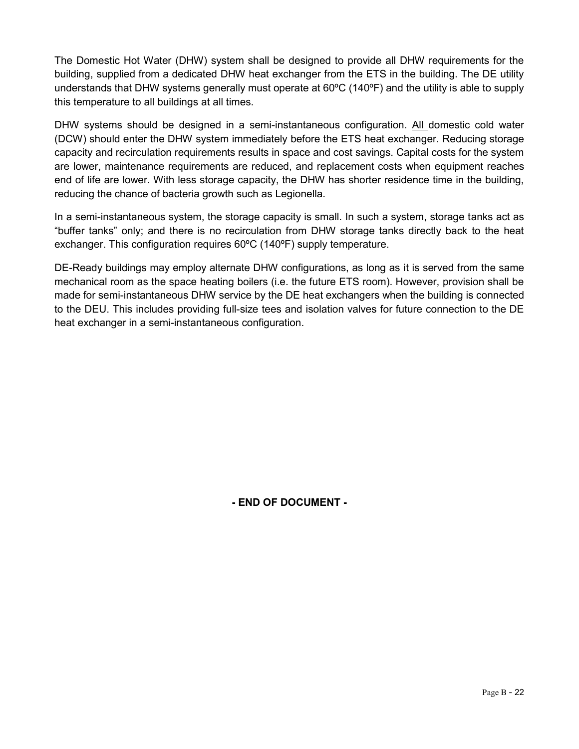The Domestic Hot Water (DHW) system shall be designed to provide all DHW requirements for the building, supplied from a dedicated DHW heat exchanger from the ETS in the building. The DE utility understands that DHW systems generally must operate at 60ºC (140ºF) and the utility is able to supply this temperature to all buildings at all times.

DHW systems should be designed in a semi-instantaneous configuration. All domestic cold water (DCW) should enter the DHW system immediately before the ETS heat exchanger. Reducing storage capacity and recirculation requirements results in space and cost savings. Capital costs for the system are lower, maintenance requirements are reduced, and replacement costs when equipment reaches end of life are lower. With less storage capacity, the DHW has shorter residence time in the building, reducing the chance of bacteria growth such as Legionella.

In a semi-instantaneous system, the storage capacity is small. In such a system, storage tanks act as "buffer tanks" only; and there is no recirculation from DHW storage tanks directly back to the heat exchanger. This configuration requires 60ºC (140ºF) supply temperature.

DE-Ready buildings may employ alternate DHW configurations, as long as it is served from the same mechanical room as the space heating boilers (i.e. the future ETS room). However, provision shall be made for semi-instantaneous DHW service by the DE heat exchangers when the building is connected to the DEU. This includes providing full-size tees and isolation valves for future connection to the DE heat exchanger in a semi-instantaneous configuration.

**- END OF DOCUMENT -**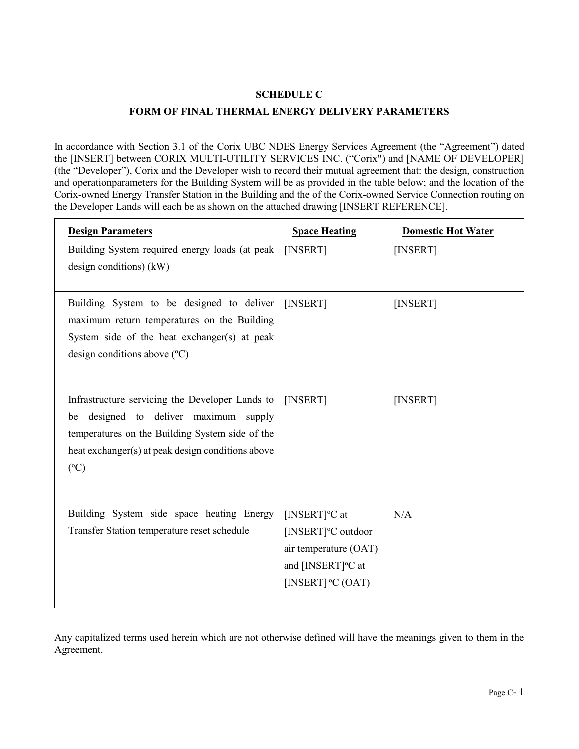#### **SCHEDULE C**

#### **FORM OF FINAL THERMAL ENERGY DELIVERY PARAMETERS**

In accordance with Section [3.1](#page-6-0) of the Corix UBC NDES Energy Services Agreement (the "Agreement") dated the [INSERT] between CORIX MULTI-UTILITY SERVICES INC. ("Corix") and [NAME OF DEVELOPER] (the "Developer"), Corix and the Developer wish to record their mutual agreement that: the design, construction and operationparameters for the Building System will be as provided in the table below; and the location of the Corix-owned Energy Transfer Station in the Building and the of the Corix-owned Service Connection routing on the Developer Lands will each be as shown on the attached drawing [INSERT REFERENCE].

| <b>Design Parameters</b>                                                                                                                                                                                          | <b>Space Heating</b>                                                                                                                         | <b>Domestic Hot Water</b> |
|-------------------------------------------------------------------------------------------------------------------------------------------------------------------------------------------------------------------|----------------------------------------------------------------------------------------------------------------------------------------------|---------------------------|
| Building System required energy loads (at peak<br>design conditions) $(kW)$                                                                                                                                       | [INSERT]                                                                                                                                     | [INSERT]                  |
| Building System to be designed to deliver<br>maximum return temperatures on the Building<br>System side of the heat exchanger(s) at peak<br>design conditions above $({}^{\circ}C)$                               | [INSERT]                                                                                                                                     | [INSERT]                  |
| Infrastructure servicing the Developer Lands to<br>be designed to deliver maximum supply<br>temperatures on the Building System side of the<br>heat exchanger(s) at peak design conditions above<br>$(^{\circ}C)$ | [INSERT]                                                                                                                                     | [INSERT]                  |
| Building System side space heating Energy<br>Transfer Station temperature reset schedule                                                                                                                          | [INSERT] $\rm ^{o}C$ at<br>[INSERT] <sup>o</sup> C outdoor<br>air temperature (OAT)<br>and [INSERT] <sup>o</sup> C at<br>[INSERT] $°C$ (OAT) | N/A                       |

Any capitalized terms used herein which are not otherwise defined will have the meanings given to them in the Agreement.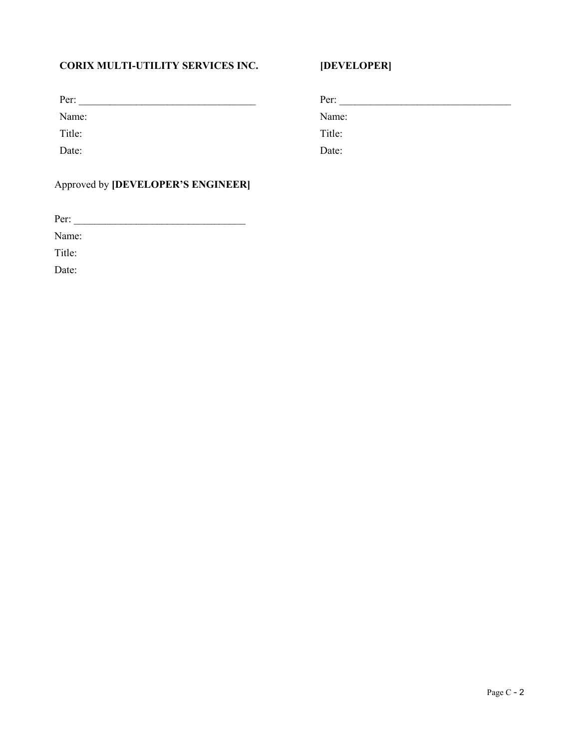#### **CORIX MULTI-UTILITY SERVICES INC.**

| Per:   | Per:   |
|--------|--------|
| Name:  | Name:  |
| Title: | Title: |
| Date:  | Date:  |

**[DEVELOPER]**

#### Approved by **[DEVELOPER'S ENGINEER]**

Per: \_\_\_\_\_\_\_\_\_\_\_\_\_\_\_\_\_\_\_\_\_\_\_\_\_\_\_\_\_\_\_\_\_

Name:

Title:

Date: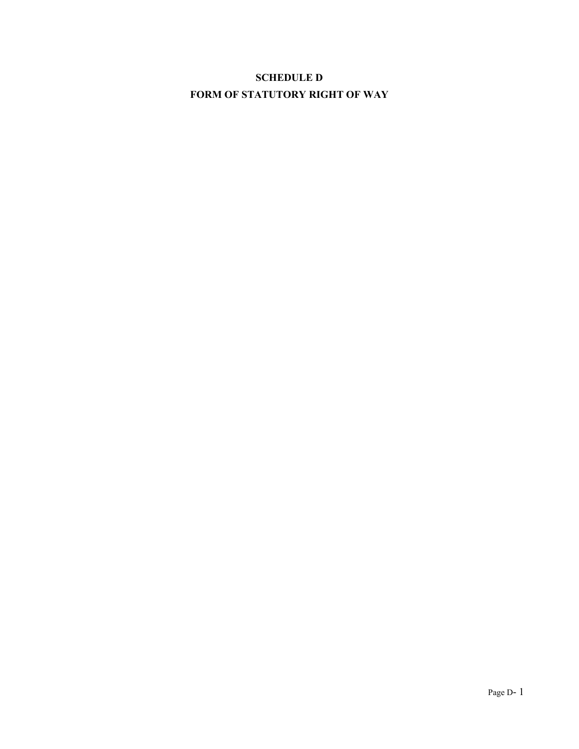# **SCHEDULE D FORM OF STATUTORY RIGHT OF WAY**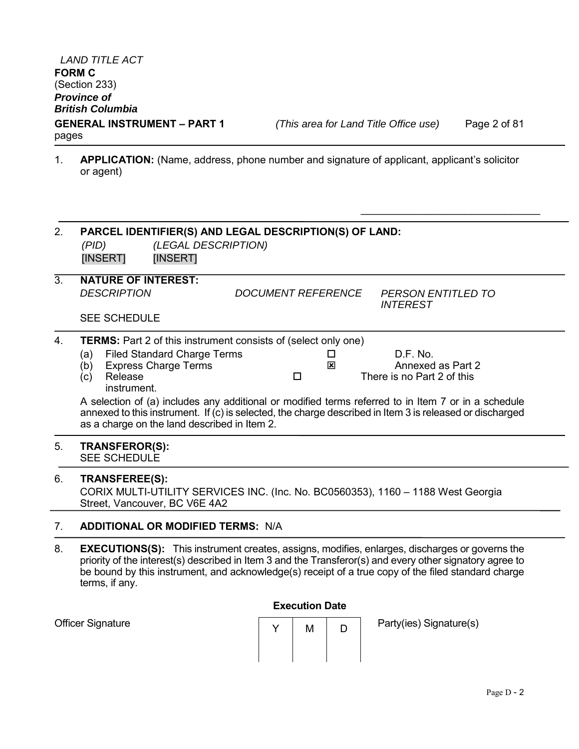Officer Signature

**GENERAL INSTRUMENT – PART 1** *(This area for Land Title Office use)* Page 2 of 81

 $\_$ 

1. **APPLICATION:** (Name, address, phone number and signature of applicant, applicant's solicitor or agent)

| 2.               | PARCEL IDENTIFIER(S) AND LEGAL DESCRIPTION(S) OF LAND:<br>(LEGAL DESCRIPTION)<br>(PID)<br>[INSERT]<br>[INSERT]                                                                                                    |  |
|------------------|-------------------------------------------------------------------------------------------------------------------------------------------------------------------------------------------------------------------|--|
| $\overline{3}$ . | <b>NATURE OF INTEREST:</b>                                                                                                                                                                                        |  |
|                  | <b>DESCRIPTION</b><br><i>DOCUMENT REFERENCE</i><br>PERSON ENTITLED TO<br><b>INTEREST</b>                                                                                                                          |  |
|                  | <b>SEE SCHEDULE</b>                                                                                                                                                                                               |  |
| 4.               | <b>TERMS:</b> Part 2 of this instrument consists of (select only one)                                                                                                                                             |  |
|                  | D.F. No.<br><b>Filed Standard Charge Terms</b><br>(a)<br>□                                                                                                                                                        |  |
|                  | <b>Express Charge Terms</b><br>Annexed as Part 2<br>(b)<br>⊠                                                                                                                                                      |  |
|                  | There is no Part 2 of this<br>Release<br>□<br>(c)<br>instrument.                                                                                                                                                  |  |
|                  | A selection of (a) includes any additional or modified terms referred to in Item 7 or in a schedule                                                                                                               |  |
|                  | annexed to this instrument. If (c) is selected, the charge described in Item 3 is released or discharged<br>as a charge on the land described in Item 2.                                                          |  |
| 5.               | <b>TRANSFEROR(S):</b><br><b>SEE SCHEDULE</b>                                                                                                                                                                      |  |
| 6.               | <b>TRANSFEREE(S):</b><br>CORIX MULTI-UTILITY SERVICES INC. (Inc. No. BC0560353), 1160 - 1188 West Georgia<br>Street, Vancouver, BC V6E 4A2                                                                        |  |
| 7.               | <b>ADDITIONAL OR MODIFIED TERMS: N/A</b>                                                                                                                                                                          |  |
| 8.               | <b>EXECUTIONS(S):</b> This instrument creates, assigns, modifies, enlarges, discharges or governs the<br>priority of the interest(s) described in Item 3 and the Transferor(s) and eveny other signatory agree to |  |

priority of the interest(s) described in Item 3 and the Transferor(s) and every other signatory agree to be bound by this instrument, and acknowledge(s) receipt of a true copy of the filed standard charge terms, if any.

#### **Execution Date**

| м | Party(ies) Signat |
|---|-------------------|
|   |                   |

 $ture(s)$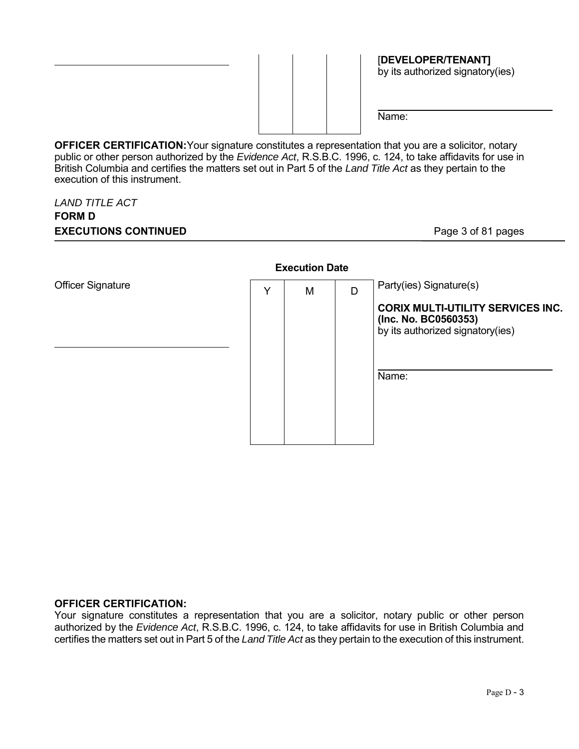

[**DEVELOPER/TENANT]** by its authorized signatory(ies)

Name:

**OFFICER CERTIFICATION:** Your signature constitutes a representation that you are a solicitor, notary public or other person authorized by the *Evidence Act*, R.S.B.C. 1996, c. 124, to take affidavits for use in British Columbia and certifies the matters set out in Part 5 of the *Land Title Act* as they pertain to the execution of this instrument.

#### *LAND TITLE ACT*  **FORM D EXECUTIONS CONTINUED** Page 3 of 81 pages



#### **OFFICER CERTIFICATION:**

Your signature constitutes a representation that you are a solicitor, notary public or other person authorized by the *Evidence Act*, R.S.B.C. 1996, c. 124, to take affidavits for use in British Columbia and certifies the matters set out in Part 5 of the *Land Title Act* as they pertain to the execution of this instrument.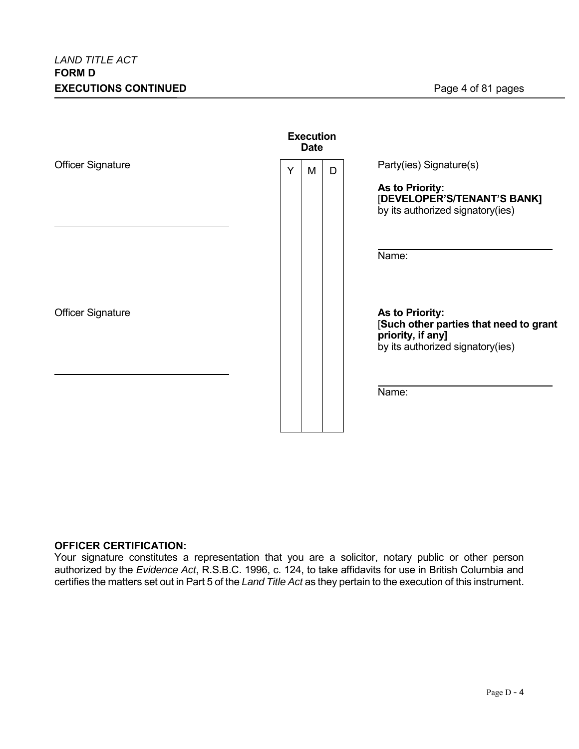|                          | <b>Execution</b><br><b>Date</b> |   |   |                                                                                                                    |  |
|--------------------------|---------------------------------|---|---|--------------------------------------------------------------------------------------------------------------------|--|
| <b>Officer Signature</b> | Y                               | M | D | Party(ies) Signature(s)<br>As to Priority:                                                                         |  |
|                          |                                 |   |   | [DEVELOPER'S/TENANT'S BANK]<br>by its authorized signatory(ies)                                                    |  |
|                          |                                 |   |   | Name:                                                                                                              |  |
| <b>Officer Signature</b> |                                 |   |   | As to Priority:<br>[Such other parties that need to grant<br>priority, if any]<br>by its authorized signatory(ies) |  |
|                          |                                 |   |   | Name:                                                                                                              |  |

#### **OFFICER CERTIFICATION:**

Your signature constitutes a representation that you are a solicitor, notary public or other person authorized by the *Evidence Act*, R.S.B.C. 1996, c. 124, to take affidavits for use in British Columbia and certifies the matters set out in Part 5 of the *Land Title Act* as they pertain to the execution of this instrument.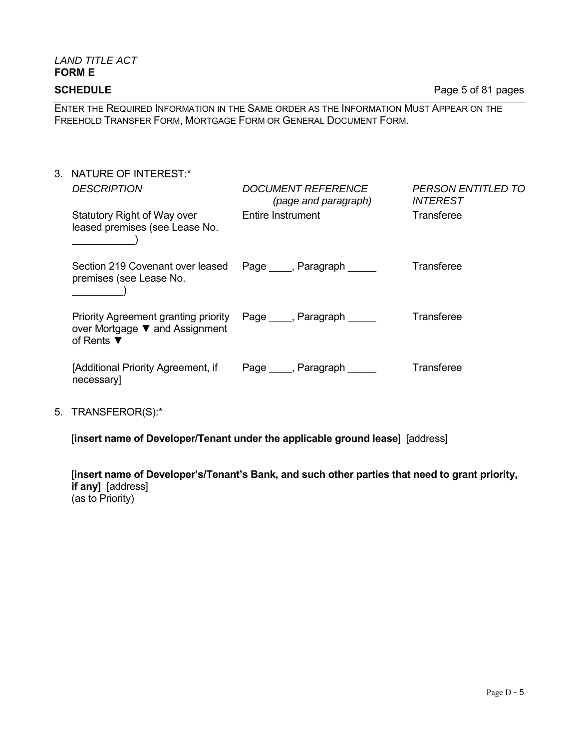# *LAND TITLE ACT*  **FORM E**

**SCHEDULE** Page 5 of 81 pages

ENTER THE REQUIRED INFORMATION IN THE SAME ORDER AS THE INFORMATION MUST APPEAR ON THE FREEHOLD TRANSFER FORM, MORTGAGE FORM OR GENERAL DOCUMENT FORM.

- 3. NATURE OF INTEREST:\* *DESCRIPTION DOCUMENT REFERENCE (page and paragraph) PERSON ENTITLED TO INTEREST* Statutory Right of Way over leased premises (see Lease No.  $\qquad \qquad$ Entire Instrument Transferee Section 219 Covenant over leased premises (see Lease No.  $\Box$ Page Faragraph Transferee Priority Agreement granting priority over Mortgage ▼ and Assignment of Rents ▼ Page , Paragraph **Transferee** [Additional Priority Agreement, if necessary] Page , Paragraph **Transferee**
- 5. TRANSFEROR(S):\*

[**insert name of Developer/Tenant under the applicable ground lease**] [address]

[**insert name of Developer's/Tenant's Bank, and such other parties that need to grant priority, if any]** [address] (as to Priority)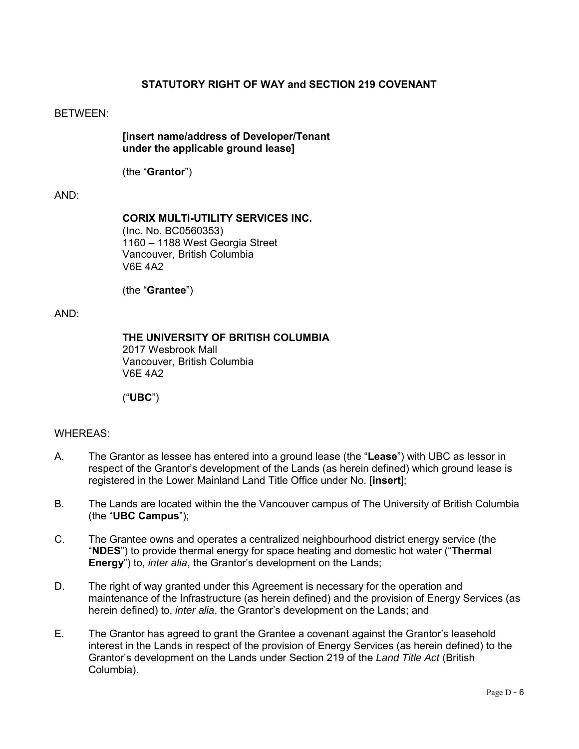#### **STATUTORY RIGHT OF WAY and SECTION 219 COVENANT**

#### BETWEEN:

**[insert name/address of Developer/Tenant under the applicable ground lease]** 

(the "**Grantor**")

#### AND:

**CORIX MULTI-UTILITY SERVICES INC.** (Inc. No. BC0560353) 1160 – 1188 West Georgia Street Vancouver, British Columbia

(the "**Grantee**")

V6E 4A2

#### AND:

**THE UNIVERSITY OF BRITISH COLUMBIA** 

2017 Wesbrook Mall Vancouver, British Columbia V6E 4A2

("**UBC**")

#### WHEREAS:

- A. The Grantor as lessee has entered into a ground lease (the "**Lease**") with UBC as lessor in respect of the Grantor's development of the Lands (as herein defined) which ground lease is registered in the Lower Mainland Land Title Office under No. [**insert**];
- B. The Lands are located within the the Vancouver campus of The University of British Columbia (the "**UBC Campus**");
- C. The Grantee owns and operates a centralized neighbourhood district energy service (the "**NDES**") to provide thermal energy for space heating and domestic hot water ("**Thermal Energy**") to, *inter alia*, the Grantor's development on the Lands;
- D. The right of way granted under this Agreement is necessary for the operation and maintenance of the Infrastructure (as herein defined) and the provision of Energy Services (as herein defined) to, *inter alia*, the Grantor's development on the Lands; and
- E. The Grantor has agreed to grant the Grantee a covenant against the Grantor's leasehold interest in the Lands in respect of the provision of Energy Services (as herein defined) to the Grantor's development on the Lands under Section 219 of the *Land Title Act* (British Columbia).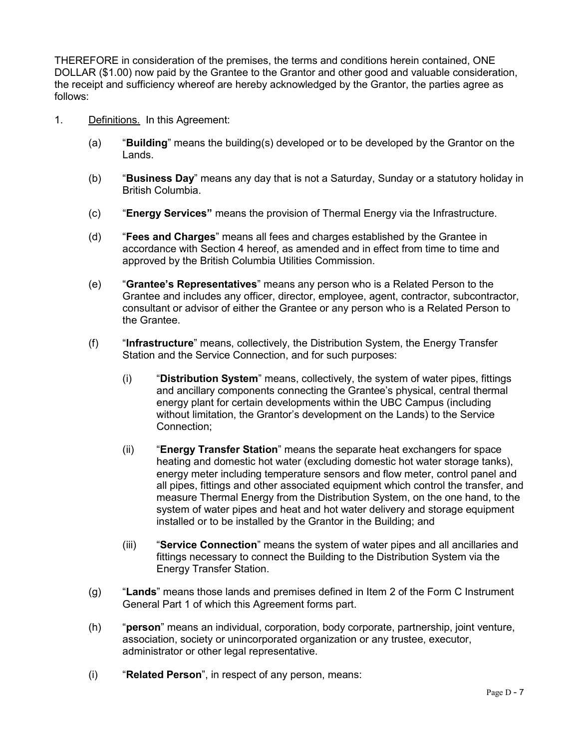THEREFORE in consideration of the premises, the terms and conditions herein contained, ONE DOLLAR (\$1.00) now paid by the Grantee to the Grantor and other good and valuable consideration, the receipt and sufficiency whereof are hereby acknowledged by the Grantor, the parties agree as follows:

- 1. Definitions. In this Agreement:
	- (a) "**Building**" means the building(s) developed or to be developed by the Grantor on the Lands.
	- (b) "**Business Day**" means any day that is not a Saturday, Sunday or a statutory holiday in British Columbia.
	- (c) "**Energy Services"** means the provision of Thermal Energy via the Infrastructure.
	- (d) "**Fees and Charges**" means all fees and charges established by the Grantee in accordance with Section 4 hereof, as amended and in effect from time to time and approved by the British Columbia Utilities Commission.
	- (e) "**Grantee's Representatives**" means any person who is a Related Person to the Grantee and includes any officer, director, employee, agent, contractor, subcontractor, consultant or advisor of either the Grantee or any person who is a Related Person to the Grantee.
	- (f) "**Infrastructure**" means, collectively, the Distribution System, the Energy Transfer Station and the Service Connection, and for such purposes:
		- (i) "**Distribution System**" means, collectively, the system of water pipes, fittings and ancillary components connecting the Grantee's physical, central thermal energy plant for certain developments within the UBC Campus (including without limitation, the Grantor's development on the Lands) to the Service Connection;
		- (ii) "**Energy Transfer Station**" means the separate heat exchangers for space heating and domestic hot water (excluding domestic hot water storage tanks), energy meter including temperature sensors and flow meter, control panel and all pipes, fittings and other associated equipment which control the transfer, and measure Thermal Energy from the Distribution System, on the one hand, to the system of water pipes and heat and hot water delivery and storage equipment installed or to be installed by the Grantor in the Building; and
		- (iii) "**Service Connection**" means the system of water pipes and all ancillaries and fittings necessary to connect the Building to the Distribution System via the Energy Transfer Station.
	- (g) "**Lands**" means those lands and premises defined in Item 2 of the Form C Instrument General Part 1 of which this Agreement forms part.
	- (h) "**person**" means an individual, corporation, body corporate, partnership, joint venture, association, society or unincorporated organization or any trustee, executor, administrator or other legal representative.
	- (i) "**Related Person**", in respect of any person, means: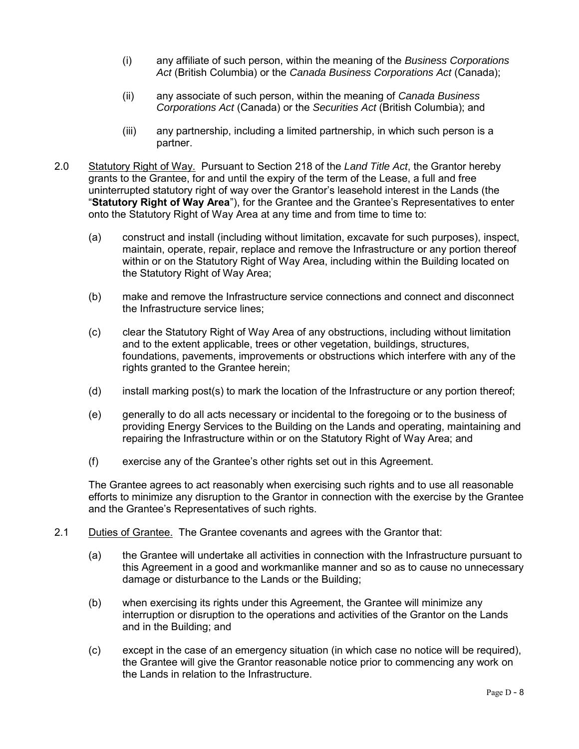- (i) any affiliate of such person, within the meaning of the *Business Corporations Act* (British Columbia) or the *Canada Business Corporations Act* (Canada);
- (ii) any associate of such person, within the meaning of *Canada Business Corporations Act* (Canada) or the *Securities Act* (British Columbia); and
- (iii) any partnership, including a limited partnership, in which such person is a partner.
- 2.0 Statutory Right of Way. Pursuant to Section 218 of the *Land Title Act*, the Grantor hereby grants to the Grantee, for and until the expiry of the term of the Lease, a full and free uninterrupted statutory right of way over the Grantor's leasehold interest in the Lands (the "**Statutory Right of Way Area**"), for the Grantee and the Grantee's Representatives to enter onto the Statutory Right of Way Area at any time and from time to time to:
	- (a) construct and install (including without limitation, excavate for such purposes), inspect, maintain, operate, repair, replace and remove the Infrastructure or any portion thereof within or on the Statutory Right of Way Area, including within the Building located on the Statutory Right of Way Area;
	- (b) make and remove the Infrastructure service connections and connect and disconnect the Infrastructure service lines;
	- (c) clear the Statutory Right of Way Area of any obstructions, including without limitation and to the extent applicable, trees or other vegetation, buildings, structures, foundations, pavements, improvements or obstructions which interfere with any of the rights granted to the Grantee herein;
	- (d) install marking post(s) to mark the location of the Infrastructure or any portion thereof;
	- (e) generally to do all acts necessary or incidental to the foregoing or to the business of providing Energy Services to the Building on the Lands and operating, maintaining and repairing the Infrastructure within or on the Statutory Right of Way Area; and
	- (f) exercise any of the Grantee's other rights set out in this Agreement.

The Grantee agrees to act reasonably when exercising such rights and to use all reasonable efforts to minimize any disruption to the Grantor in connection with the exercise by the Grantee and the Grantee's Representatives of such rights.

- 2.1 Duties of Grantee. The Grantee covenants and agrees with the Grantor that:
	- (a) the Grantee will undertake all activities in connection with the Infrastructure pursuant to this Agreement in a good and workmanlike manner and so as to cause no unnecessary damage or disturbance to the Lands or the Building;
	- (b) when exercising its rights under this Agreement, the Grantee will minimize any interruption or disruption to the operations and activities of the Grantor on the Lands and in the Building; and
	- (c) except in the case of an emergency situation (in which case no notice will be required), the Grantee will give the Grantor reasonable notice prior to commencing any work on the Lands in relation to the Infrastructure.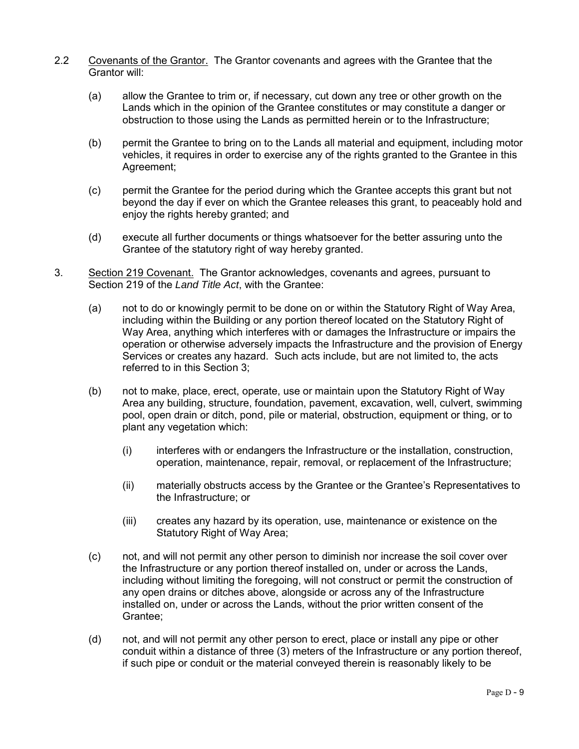- 2.2 Covenants of the Grantor. The Grantor covenants and agrees with the Grantee that the Grantor will:
	- (a) allow the Grantee to trim or, if necessary, cut down any tree or other growth on the Lands which in the opinion of the Grantee constitutes or may constitute a danger or obstruction to those using the Lands as permitted herein or to the Infrastructure;
	- (b) permit the Grantee to bring on to the Lands all material and equipment, including motor vehicles, it requires in order to exercise any of the rights granted to the Grantee in this Agreement;
	- (c) permit the Grantee for the period during which the Grantee accepts this grant but not beyond the day if ever on which the Grantee releases this grant, to peaceably hold and enjoy the rights hereby granted; and
	- (d) execute all further documents or things whatsoever for the better assuring unto the Grantee of the statutory right of way hereby granted.
- 3. Section 219 Covenant. The Grantor acknowledges, covenants and agrees, pursuant to Section 219 of the *Land Title Act*, with the Grantee:
	- (a) not to do or knowingly permit to be done on or within the Statutory Right of Way Area, including within the Building or any portion thereof located on the Statutory Right of Way Area, anything which interferes with or damages the Infrastructure or impairs the operation or otherwise adversely impacts the Infrastructure and the provision of Energy Services or creates any hazard. Such acts include, but are not limited to, the acts referred to in this Section 3;
	- (b) not to make, place, erect, operate, use or maintain upon the Statutory Right of Way Area any building, structure, foundation, pavement, excavation, well, culvert, swimming pool, open drain or ditch, pond, pile or material, obstruction, equipment or thing, or to plant any vegetation which:
		- (i) interferes with or endangers the Infrastructure or the installation, construction, operation, maintenance, repair, removal, or replacement of the Infrastructure;
		- (ii) materially obstructs access by the Grantee or the Grantee's Representatives to the Infrastructure; or
		- (iii) creates any hazard by its operation, use, maintenance or existence on the Statutory Right of Way Area;
	- (c) not, and will not permit any other person to diminish nor increase the soil cover over the Infrastructure or any portion thereof installed on, under or across the Lands, including without limiting the foregoing, will not construct or permit the construction of any open drains or ditches above, alongside or across any of the Infrastructure installed on, under or across the Lands, without the prior written consent of the Grantee;
	- (d) not, and will not permit any other person to erect, place or install any pipe or other conduit within a distance of three (3) meters of the Infrastructure or any portion thereof, if such pipe or conduit or the material conveyed therein is reasonably likely to be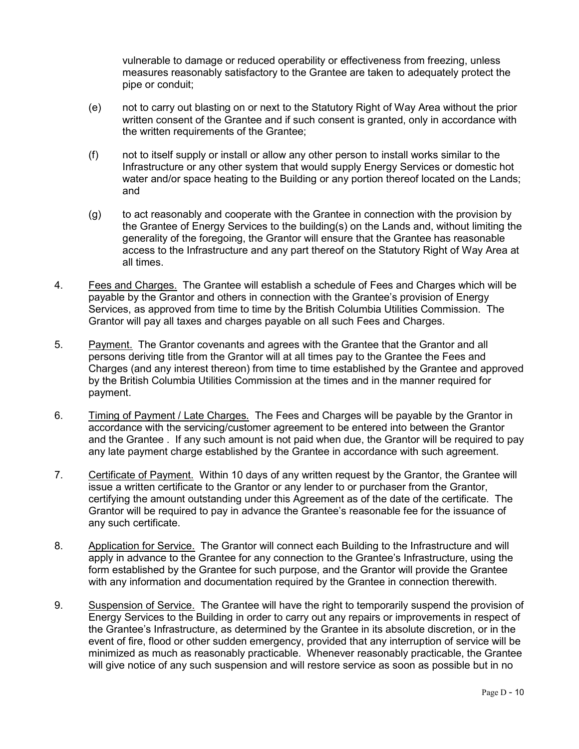vulnerable to damage or reduced operability or effectiveness from freezing, unless measures reasonably satisfactory to the Grantee are taken to adequately protect the pipe or conduit;

- (e) not to carry out blasting on or next to the Statutory Right of Way Area without the prior written consent of the Grantee and if such consent is granted, only in accordance with the written requirements of the Grantee;
- (f) not to itself supply or install or allow any other person to install works similar to the Infrastructure or any other system that would supply Energy Services or domestic hot water and/or space heating to the Building or any portion thereof located on the Lands; and
- (g) to act reasonably and cooperate with the Grantee in connection with the provision by the Grantee of Energy Services to the building(s) on the Lands and, without limiting the generality of the foregoing, the Grantor will ensure that the Grantee has reasonable access to the Infrastructure and any part thereof on the Statutory Right of Way Area at all times.
- 4. Fees and Charges. The Grantee will establish a schedule of Fees and Charges which will be payable by the Grantor and others in connection with the Grantee's provision of Energy Services, as approved from time to time by the British Columbia Utilities Commission. The Grantor will pay all taxes and charges payable on all such Fees and Charges.
- 5. Payment. The Grantor covenants and agrees with the Grantee that the Grantor and all persons deriving title from the Grantor will at all times pay to the Grantee the Fees and Charges (and any interest thereon) from time to time established by the Grantee and approved by the British Columbia Utilities Commission at the times and in the manner required for payment.
- 6. Timing of Payment / Late Charges. The Fees and Charges will be payable by the Grantor in accordance with the servicing/customer agreement to be entered into between the Grantor and the Grantee . If any such amount is not paid when due, the Grantor will be required to pay any late payment charge established by the Grantee in accordance with such agreement.
- 7. Certificate of Payment. Within 10 days of any written request by the Grantor, the Grantee will issue a written certificate to the Grantor or any lender to or purchaser from the Grantor, certifying the amount outstanding under this Agreement as of the date of the certificate. The Grantor will be required to pay in advance the Grantee's reasonable fee for the issuance of any such certificate.
- 8. Application for Service. The Grantor will connect each Building to the Infrastructure and will apply in advance to the Grantee for any connection to the Grantee's Infrastructure, using the form established by the Grantee for such purpose, and the Grantor will provide the Grantee with any information and documentation required by the Grantee in connection therewith.
- 9. Suspension of Service. The Grantee will have the right to temporarily suspend the provision of Energy Services to the Building in order to carry out any repairs or improvements in respect of the Grantee's Infrastructure, as determined by the Grantee in its absolute discretion, or in the event of fire, flood or other sudden emergency, provided that any interruption of service will be minimized as much as reasonably practicable. Whenever reasonably practicable, the Grantee will give notice of any such suspension and will restore service as soon as possible but in no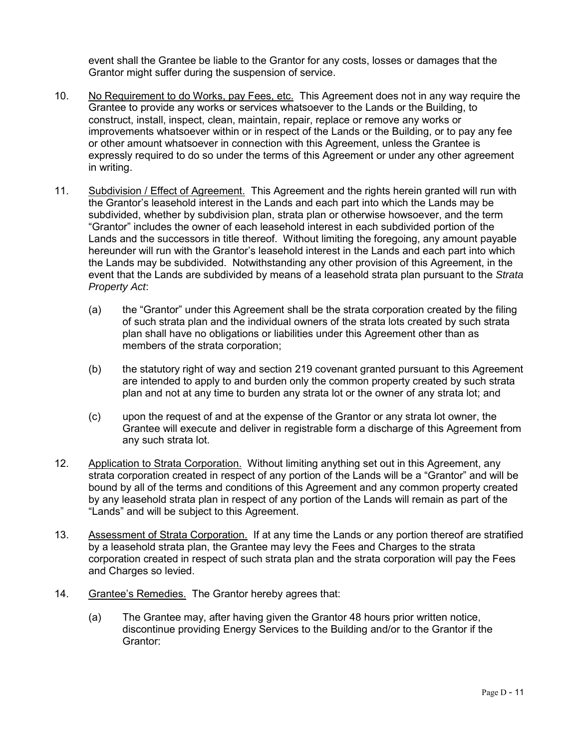event shall the Grantee be liable to the Grantor for any costs, losses or damages that the Grantor might suffer during the suspension of service.

- 10. No Requirement to do Works, pay Fees, etc. This Agreement does not in any way require the Grantee to provide any works or services whatsoever to the Lands or the Building, to construct, install, inspect, clean, maintain, repair, replace or remove any works or improvements whatsoever within or in respect of the Lands or the Building, or to pay any fee or other amount whatsoever in connection with this Agreement, unless the Grantee is expressly required to do so under the terms of this Agreement or under any other agreement in writing.
- 11. Subdivision / Effect of Agreement. This Agreement and the rights herein granted will run with the Grantor's leasehold interest in the Lands and each part into which the Lands may be subdivided, whether by subdivision plan, strata plan or otherwise howsoever, and the term "Grantor" includes the owner of each leasehold interest in each subdivided portion of the Lands and the successors in title thereof. Without limiting the foregoing, any amount payable hereunder will run with the Grantor's leasehold interest in the Lands and each part into which the Lands may be subdivided. Notwithstanding any other provision of this Agreement, in the event that the Lands are subdivided by means of a leasehold strata plan pursuant to the *Strata Property Act*:
	- (a) the "Grantor" under this Agreement shall be the strata corporation created by the filing of such strata plan and the individual owners of the strata lots created by such strata plan shall have no obligations or liabilities under this Agreement other than as members of the strata corporation;
	- (b) the statutory right of way and section 219 covenant granted pursuant to this Agreement are intended to apply to and burden only the common property created by such strata plan and not at any time to burden any strata lot or the owner of any strata lot; and
	- (c) upon the request of and at the expense of the Grantor or any strata lot owner, the Grantee will execute and deliver in registrable form a discharge of this Agreement from any such strata lot.
- 12. Application to Strata Corporation. Without limiting anything set out in this Agreement, any strata corporation created in respect of any portion of the Lands will be a "Grantor" and will be bound by all of the terms and conditions of this Agreement and any common property created by any leasehold strata plan in respect of any portion of the Lands will remain as part of the "Lands" and will be subject to this Agreement.
- 13. Assessment of Strata Corporation. If at any time the Lands or any portion thereof are stratified by a leasehold strata plan, the Grantee may levy the Fees and Charges to the strata corporation created in respect of such strata plan and the strata corporation will pay the Fees and Charges so levied.
- 14. Grantee's Remedies. The Grantor hereby agrees that:
	- (a) The Grantee may, after having given the Grantor 48 hours prior written notice, discontinue providing Energy Services to the Building and/or to the Grantor if the Grantor: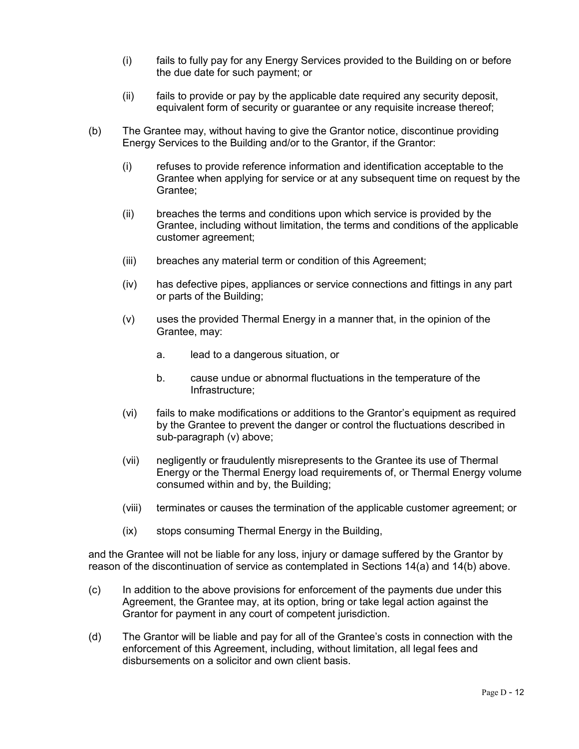- (i) fails to fully pay for any Energy Services provided to the Building on or before the due date for such payment; or
- (ii) fails to provide or pay by the applicable date required any security deposit, equivalent form of security or guarantee or any requisite increase thereof;
- (b) The Grantee may, without having to give the Grantor notice, discontinue providing Energy Services to the Building and/or to the Grantor, if the Grantor:
	- (i) refuses to provide reference information and identification acceptable to the Grantee when applying for service or at any subsequent time on request by the Grantee;
	- (ii) breaches the terms and conditions upon which service is provided by the Grantee, including without limitation, the terms and conditions of the applicable customer agreement;
	- (iii) breaches any material term or condition of this Agreement;
	- (iv) has defective pipes, appliances or service connections and fittings in any part or parts of the Building;
	- (v) uses the provided Thermal Energy in a manner that, in the opinion of the Grantee, may:
		- a. lead to a dangerous situation, or
		- b. cause undue or abnormal fluctuations in the temperature of the Infrastructure;
	- (vi) fails to make modifications or additions to the Grantor's equipment as required by the Grantee to prevent the danger or control the fluctuations described in sub-paragraph (v) above;
	- (vii) negligently or fraudulently misrepresents to the Grantee its use of Thermal Energy or the Thermal Energy load requirements of, or Thermal Energy volume consumed within and by, the Building;
	- (viii) terminates or causes the termination of the applicable customer agreement; or
	- (ix) stops consuming Thermal Energy in the Building,

and the Grantee will not be liable for any loss, injury or damage suffered by the Grantor by reason of the discontinuation of service as contemplated in Sections 14(a) and 14(b) above.

- (c) In addition to the above provisions for enforcement of the payments due under this Agreement, the Grantee may, at its option, bring or take legal action against the Grantor for payment in any court of competent jurisdiction.
- (d) The Grantor will be liable and pay for all of the Grantee's costs in connection with the enforcement of this Agreement, including, without limitation, all legal fees and disbursements on a solicitor and own client basis.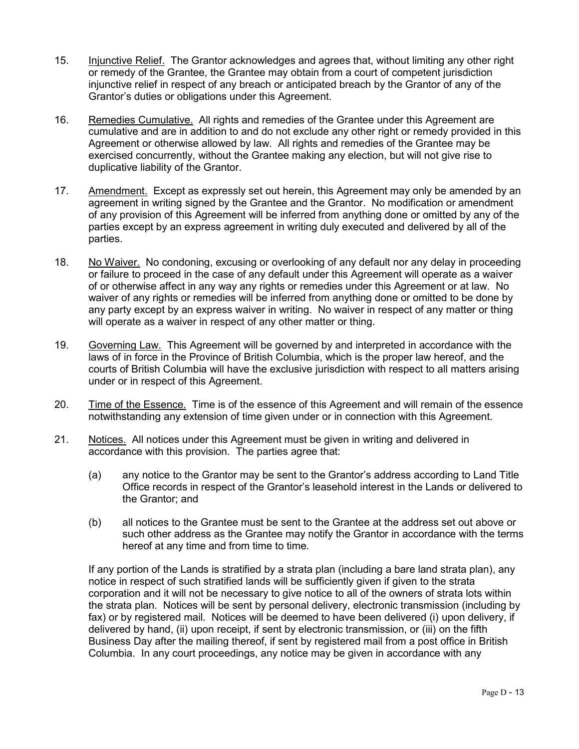- 15. Injunctive Relief. The Grantor acknowledges and agrees that, without limiting any other right or remedy of the Grantee, the Grantee may obtain from a court of competent jurisdiction injunctive relief in respect of any breach or anticipated breach by the Grantor of any of the Grantor's duties or obligations under this Agreement.
- 16. Remedies Cumulative. All rights and remedies of the Grantee under this Agreement are cumulative and are in addition to and do not exclude any other right or remedy provided in this Agreement or otherwise allowed by law. All rights and remedies of the Grantee may be exercised concurrently, without the Grantee making any election, but will not give rise to duplicative liability of the Grantor.
- 17. Amendment. Except as expressly set out herein, this Agreement may only be amended by an agreement in writing signed by the Grantee and the Grantor. No modification or amendment of any provision of this Agreement will be inferred from anything done or omitted by any of the parties except by an express agreement in writing duly executed and delivered by all of the parties.
- 18. No Waiver. No condoning, excusing or overlooking of any default nor any delay in proceeding or failure to proceed in the case of any default under this Agreement will operate as a waiver of or otherwise affect in any way any rights or remedies under this Agreement or at law. No waiver of any rights or remedies will be inferred from anything done or omitted to be done by any party except by an express waiver in writing. No waiver in respect of any matter or thing will operate as a waiver in respect of any other matter or thing.
- 19. Governing Law. This Agreement will be governed by and interpreted in accordance with the laws of in force in the Province of British Columbia, which is the proper law hereof, and the courts of British Columbia will have the exclusive jurisdiction with respect to all matters arising under or in respect of this Agreement.
- 20. Time of the Essence. Time is of the essence of this Agreement and will remain of the essence notwithstanding any extension of time given under or in connection with this Agreement.
- 21. Notices. All notices under this Agreement must be given in writing and delivered in accordance with this provision. The parties agree that:
	- (a) any notice to the Grantor may be sent to the Grantor's address according to Land Title Office records in respect of the Grantor's leasehold interest in the Lands or delivered to the Grantor; and
	- (b) all notices to the Grantee must be sent to the Grantee at the address set out above or such other address as the Grantee may notify the Grantor in accordance with the terms hereof at any time and from time to time.

If any portion of the Lands is stratified by a strata plan (including a bare land strata plan), any notice in respect of such stratified lands will be sufficiently given if given to the strata corporation and it will not be necessary to give notice to all of the owners of strata lots within the strata plan. Notices will be sent by personal delivery, electronic transmission (including by fax) or by registered mail. Notices will be deemed to have been delivered (i) upon delivery, if delivered by hand, (ii) upon receipt, if sent by electronic transmission, or (iii) on the fifth Business Day after the mailing thereof, if sent by registered mail from a post office in British Columbia. In any court proceedings, any notice may be given in accordance with any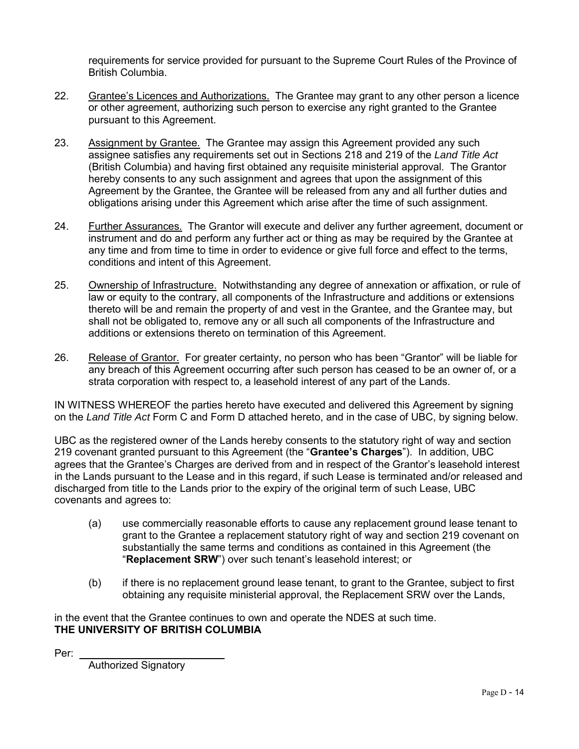requirements for service provided for pursuant to the Supreme Court Rules of the Province of British Columbia.

- 22. Grantee's Licences and Authorizations. The Grantee may grant to any other person a licence or other agreement, authorizing such person to exercise any right granted to the Grantee pursuant to this Agreement.
- 23. Assignment by Grantee. The Grantee may assign this Agreement provided any such assignee satisfies any requirements set out in Sections 218 and 219 of the *Land Title Act* (British Columbia) and having first obtained any requisite ministerial approval. The Grantor hereby consents to any such assignment and agrees that upon the assignment of this Agreement by the Grantee, the Grantee will be released from any and all further duties and obligations arising under this Agreement which arise after the time of such assignment.
- 24. Further Assurances. The Grantor will execute and deliver any further agreement, document or instrument and do and perform any further act or thing as may be required by the Grantee at any time and from time to time in order to evidence or give full force and effect to the terms, conditions and intent of this Agreement.
- 25. Ownership of Infrastructure. Notwithstanding any degree of annexation or affixation, or rule of law or equity to the contrary, all components of the Infrastructure and additions or extensions thereto will be and remain the property of and vest in the Grantee, and the Grantee may, but shall not be obligated to, remove any or all such all components of the Infrastructure and additions or extensions thereto on termination of this Agreement.
- 26. Release of Grantor. For greater certainty, no person who has been "Grantor" will be liable for any breach of this Agreement occurring after such person has ceased to be an owner of, or a strata corporation with respect to, a leasehold interest of any part of the Lands.

IN WITNESS WHEREOF the parties hereto have executed and delivered this Agreement by signing on the *Land Title Act* Form C and Form D attached hereto, and in the case of UBC, by signing below.

UBC as the registered owner of the Lands hereby consents to the statutory right of way and section 219 covenant granted pursuant to this Agreement (the "**Grantee's Charges**"). In addition, UBC agrees that the Grantee's Charges are derived from and in respect of the Grantor's leasehold interest in the Lands pursuant to the Lease and in this regard, if such Lease is terminated and/or released and discharged from title to the Lands prior to the expiry of the original term of such Lease, UBC covenants and agrees to:

- (a) use commercially reasonable efforts to cause any replacement ground lease tenant to grant to the Grantee a replacement statutory right of way and section 219 covenant on substantially the same terms and conditions as contained in this Agreement (the "**Replacement SRW**") over such tenant's leasehold interest; or
- (b) if there is no replacement ground lease tenant, to grant to the Grantee, subject to first obtaining any requisite ministerial approval, the Replacement SRW over the Lands,

in the event that the Grantee continues to own and operate the NDES at such time. **THE UNIVERSITY OF BRITISH COLUMBIA**

Per:

Authorized Signatory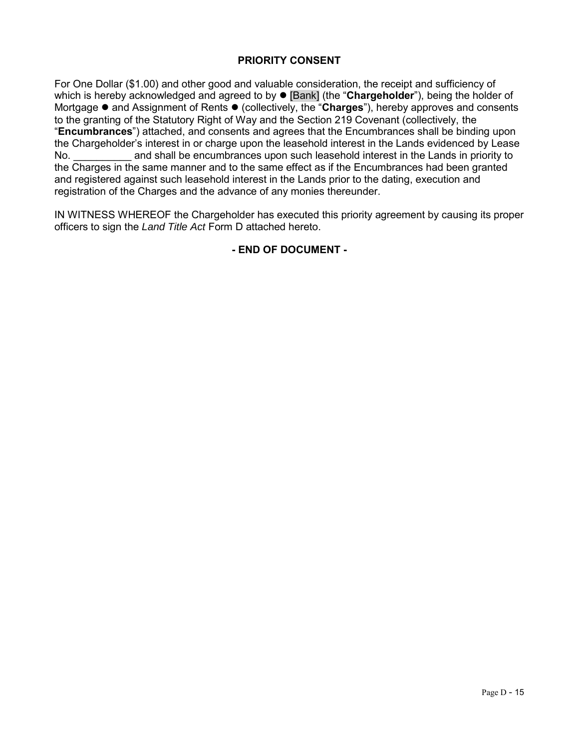## **PRIORITY CONSENT**

For One Dollar (\$1.00) and other good and valuable consideration, the receipt and sufficiency of which is hereby acknowledged and agreed to by  $\bullet$  [Bank] (the "Chargeholder"), being the holder of Mortgage  $\bullet$  and Assignment of Rents  $\bullet$  (collectively, the "**Charges**"), hereby approves and consents to the granting of the Statutory Right of Way and the Section 219 Covenant (collectively, the "**Encumbrances**") attached, and consents and agrees that the Encumbrances shall be binding upon the Chargeholder's interest in or charge upon the leasehold interest in the Lands evidenced by Lease No. **Example 20 and shall be encumbrances upon such leasehold interest in the Lands in priority to** the Charges in the same manner and to the same effect as if the Encumbrances had been granted and registered against such leasehold interest in the Lands prior to the dating, execution and registration of the Charges and the advance of any monies thereunder.

IN WITNESS WHEREOF the Chargeholder has executed this priority agreement by causing its proper officers to sign the *Land Title Act* Form D attached hereto.

## **- END OF DOCUMENT -**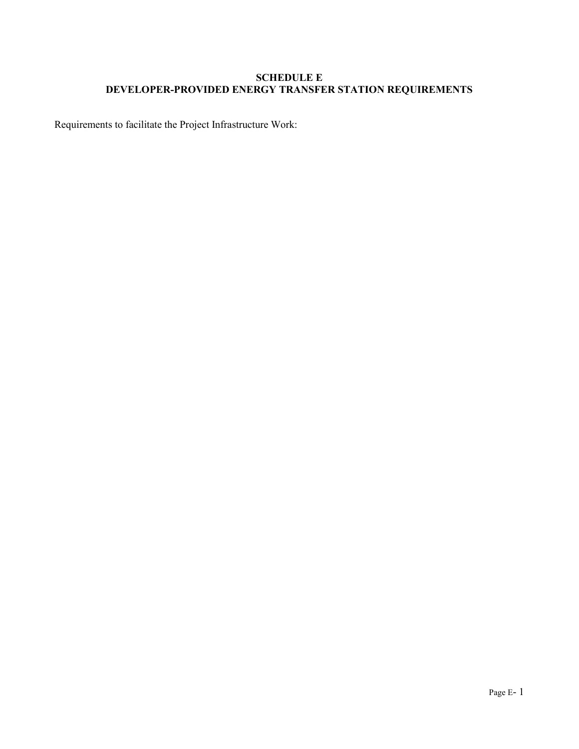# **SCHEDULE E DEVELOPER-PROVIDED ENERGY TRANSFER STATION REQUIREMENTS**

Requirements to facilitate the Project Infrastructure Work: